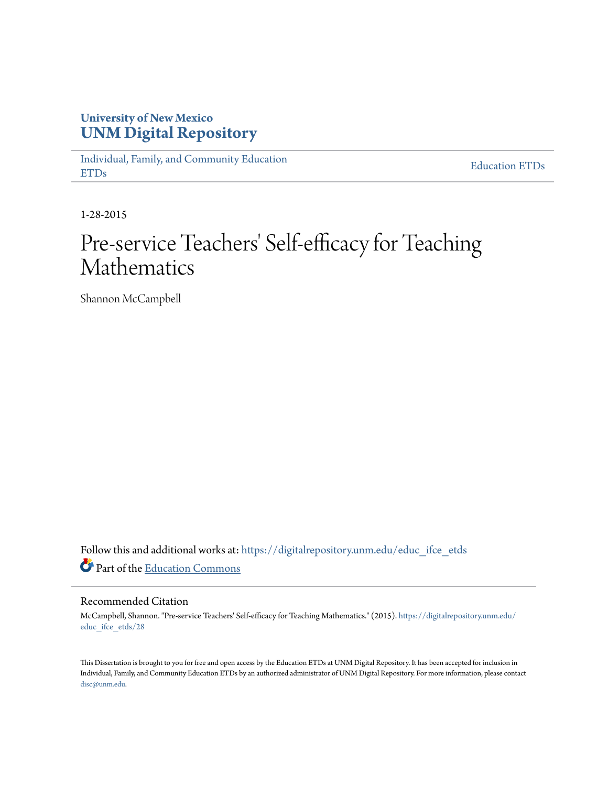## **University of New Mexico [UNM Digital Repository](https://digitalrepository.unm.edu?utm_source=digitalrepository.unm.edu%2Feduc_ifce_etds%2F28&utm_medium=PDF&utm_campaign=PDFCoverPages)**

[Individual, Family, and Community Education](https://digitalrepository.unm.edu/educ_ifce_etds?utm_source=digitalrepository.unm.edu%2Feduc_ifce_etds%2F28&utm_medium=PDF&utm_campaign=PDFCoverPages) [ETDs](https://digitalrepository.unm.edu/educ_ifce_etds?utm_source=digitalrepository.unm.edu%2Feduc_ifce_etds%2F28&utm_medium=PDF&utm_campaign=PDFCoverPages)

[Education ETDs](https://digitalrepository.unm.edu/educ_etds?utm_source=digitalrepository.unm.edu%2Feduc_ifce_etds%2F28&utm_medium=PDF&utm_campaign=PDFCoverPages)

1-28-2015

# Pre-service Teachers' Self-efficacy for Teaching Mathematics

Shannon McCampbell

Follow this and additional works at: [https://digitalrepository.unm.edu/educ\\_ifce\\_etds](https://digitalrepository.unm.edu/educ_ifce_etds?utm_source=digitalrepository.unm.edu%2Feduc_ifce_etds%2F28&utm_medium=PDF&utm_campaign=PDFCoverPages) Part of the [Education Commons](http://network.bepress.com/hgg/discipline/784?utm_source=digitalrepository.unm.edu%2Feduc_ifce_etds%2F28&utm_medium=PDF&utm_campaign=PDFCoverPages)

#### Recommended Citation

McCampbell, Shannon. "Pre-service Teachers' Self-efficacy for Teaching Mathematics." (2015). [https://digitalrepository.unm.edu/](https://digitalrepository.unm.edu/educ_ifce_etds/28?utm_source=digitalrepository.unm.edu%2Feduc_ifce_etds%2F28&utm_medium=PDF&utm_campaign=PDFCoverPages) [educ\\_ifce\\_etds/28](https://digitalrepository.unm.edu/educ_ifce_etds/28?utm_source=digitalrepository.unm.edu%2Feduc_ifce_etds%2F28&utm_medium=PDF&utm_campaign=PDFCoverPages)

This Dissertation is brought to you for free and open access by the Education ETDs at UNM Digital Repository. It has been accepted for inclusion in Individual, Family, and Community Education ETDs by an authorized administrator of UNM Digital Repository. For more information, please contact [disc@unm.edu](mailto:disc@unm.edu).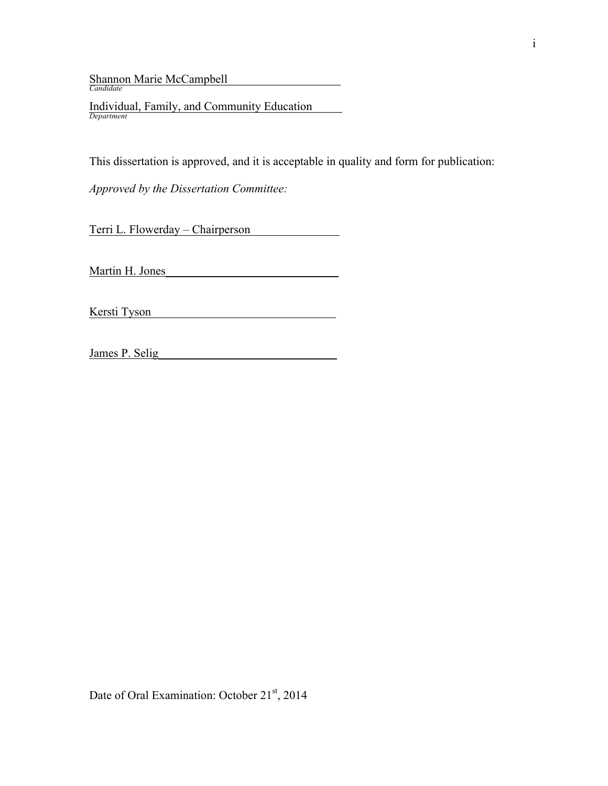Shannon Marie McCampbell\_\_\_\_\_\_\_\_\_\_\_\_\_\_\_\_\_\_\_ *Candidate*

Individual, Family, and Community Education\_\_\_\_\_ *Department*

This dissertation is approved, and it is acceptable in quality and form for publication:

*Approved by the Dissertation Committee:*

Terri L. Flowerday – Chairperson\_\_\_\_\_\_\_\_\_\_\_\_\_\_\_

Martin H. Jones

Kersti Tyson\_\_\_\_\_\_\_\_\_\_\_\_\_\_\_\_\_\_\_\_\_\_\_\_\_\_\_\_\_\_\_

James P. Selig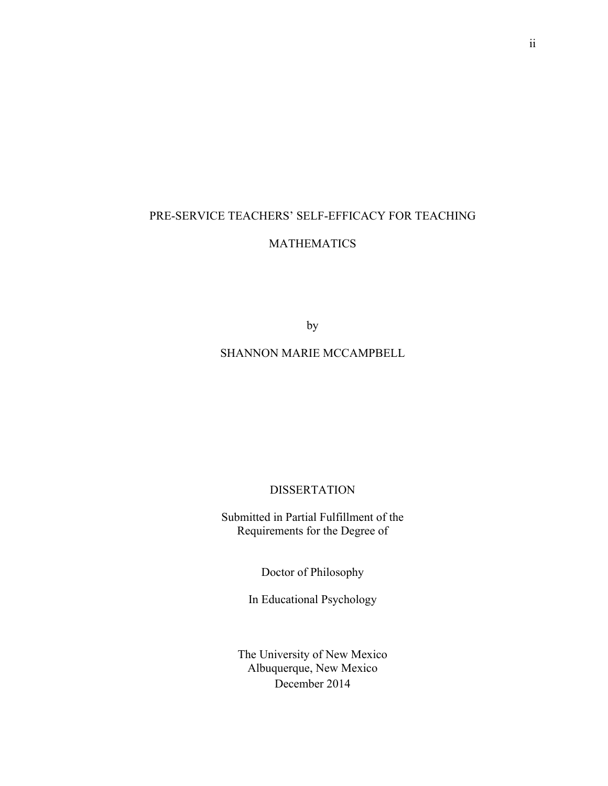## PRE-SERVICE TEACHERS' SELF-EFFICACY FOR TEACHING MATHEMATICS

by

#### SHANNON MARIE MCCAMPBELL

**DISSERTATION** 

Submitted in Partial Fulfillment of the Requirements for the Degree of

Doctor of Philosophy

In Educational Psychology

The University of New Mexico Albuquerque, New Mexico December 2014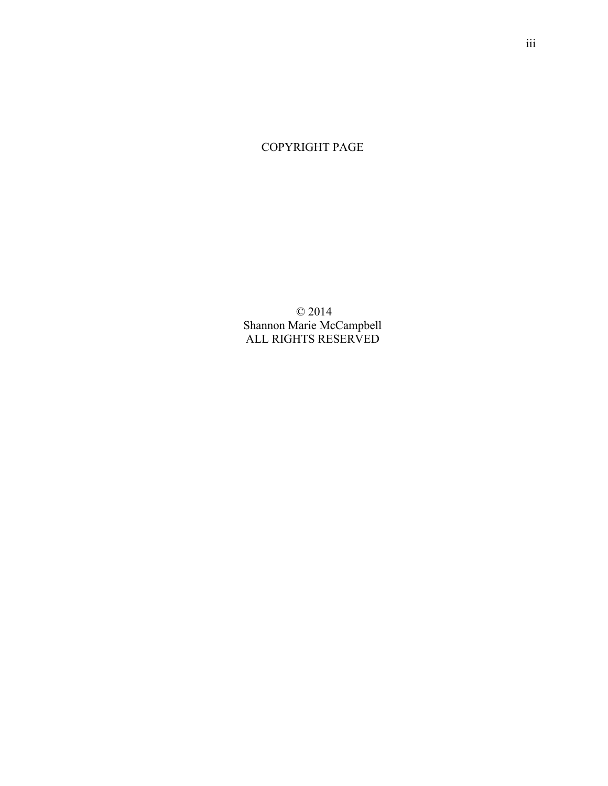## COPYRIGHT PAGE

© 2014 Shannon Marie McCampbell ALL RIGHTS RESERVED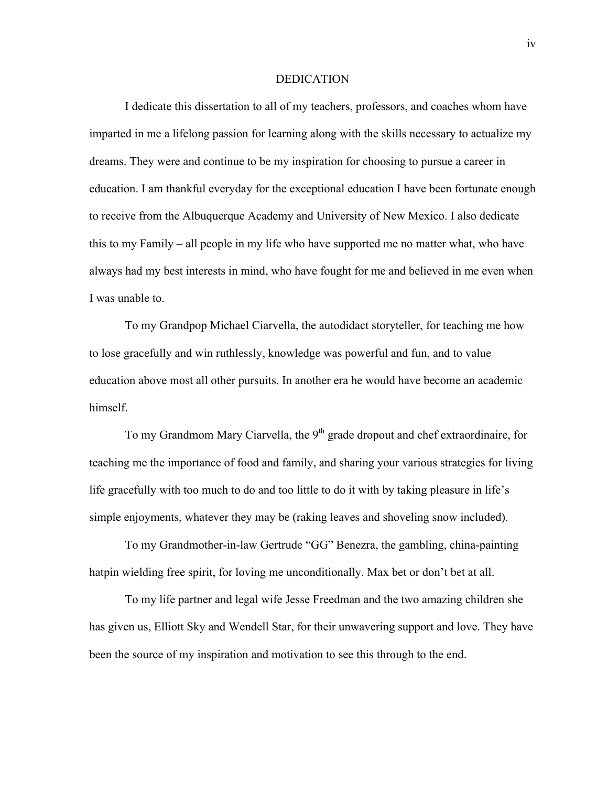#### DEDICATION

I dedicate this dissertation to all of my teachers, professors, and coaches whom have imparted in me a lifelong passion for learning along with the skills necessary to actualize my dreams. They were and continue to be my inspiration for choosing to pursue a career in education. I am thankful everyday for the exceptional education I have been fortunate enough to receive from the Albuquerque Academy and University of New Mexico. I also dedicate this to my Family – all people in my life who have supported me no matter what, who have always had my best interests in mind, who have fought for me and believed in me even when I was unable to.

To my Grandpop Michael Ciarvella, the autodidact storyteller, for teaching me how to lose gracefully and win ruthlessly, knowledge was powerful and fun, and to value education above most all other pursuits. In another era he would have become an academic himself.

To my Grandmom Mary Ciarvella, the  $9<sup>th</sup>$  grade dropout and chef extraordinaire, for teaching me the importance of food and family, and sharing your various strategies for living life gracefully with too much to do and too little to do it with by taking pleasure in life's simple enjoyments, whatever they may be (raking leaves and shoveling snow included).

To my Grandmother-in-law Gertrude "GG" Benezra, the gambling, china-painting hatpin wielding free spirit, for loving me unconditionally. Max bet or don't bet at all.

To my life partner and legal wife Jesse Freedman and the two amazing children she has given us, Elliott Sky and Wendell Star, for their unwavering support and love. They have been the source of my inspiration and motivation to see this through to the end.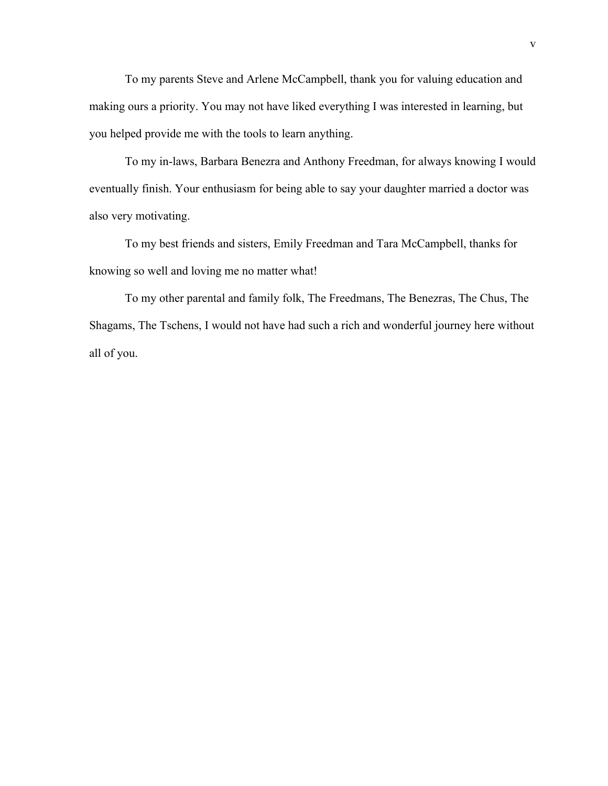To my parents Steve and Arlene McCampbell, thank you for valuing education and making ours a priority. You may not have liked everything I was interested in learning, but you helped provide me with the tools to learn anything.

To my in-laws, Barbara Benezra and Anthony Freedman, for always knowing I would eventually finish. Your enthusiasm for being able to say your daughter married a doctor was also very motivating.

To my best friends and sisters, Emily Freedman and Tara McCampbell, thanks for knowing so well and loving me no matter what!

To my other parental and family folk, The Freedmans, The Benezras, The Chus, The Shagams, The Tschens, I would not have had such a rich and wonderful journey here without all of you.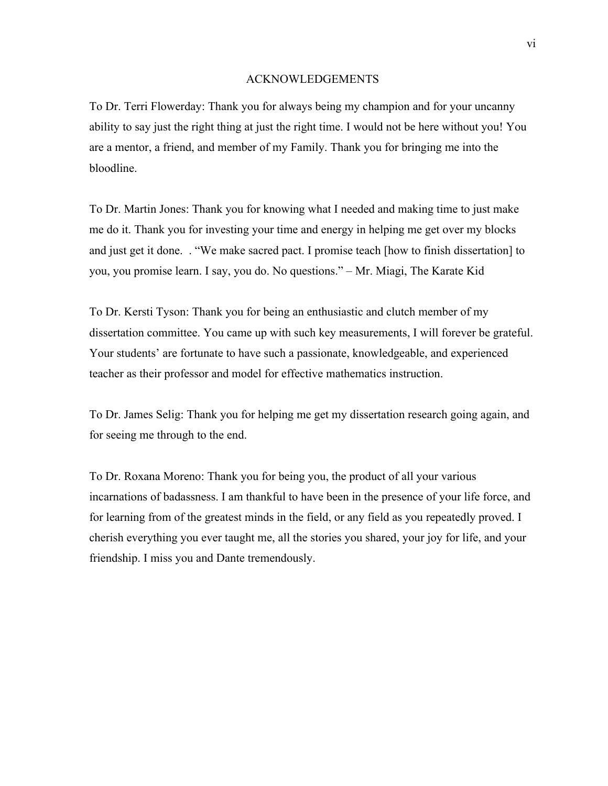#### ACKNOWLEDGEMENTS

To Dr. Terri Flowerday: Thank you for always being my champion and for your uncanny ability to say just the right thing at just the right time. I would not be here without you! You are a mentor, a friend, and member of my Family. Thank you for bringing me into the bloodline.

To Dr. Martin Jones: Thank you for knowing what I needed and making time to just make me do it. Thank you for investing your time and energy in helping me get over my blocks and just get it done. . "We make sacred pact. I promise teach [how to finish dissertation] to you, you promise learn. I say, you do. No questions." – Mr. Miagi, The Karate Kid

To Dr. Kersti Tyson: Thank you for being an enthusiastic and clutch member of my dissertation committee. You came up with such key measurements, I will forever be grateful. Your students' are fortunate to have such a passionate, knowledgeable, and experienced teacher as their professor and model for effective mathematics instruction.

To Dr. James Selig: Thank you for helping me get my dissertation research going again, and for seeing me through to the end.

To Dr. Roxana Moreno: Thank you for being you, the product of all your various incarnations of badassness. I am thankful to have been in the presence of your life force, and for learning from of the greatest minds in the field, or any field as you repeatedly proved. I cherish everything you ever taught me, all the stories you shared, your joy for life, and your friendship. I miss you and Dante tremendously.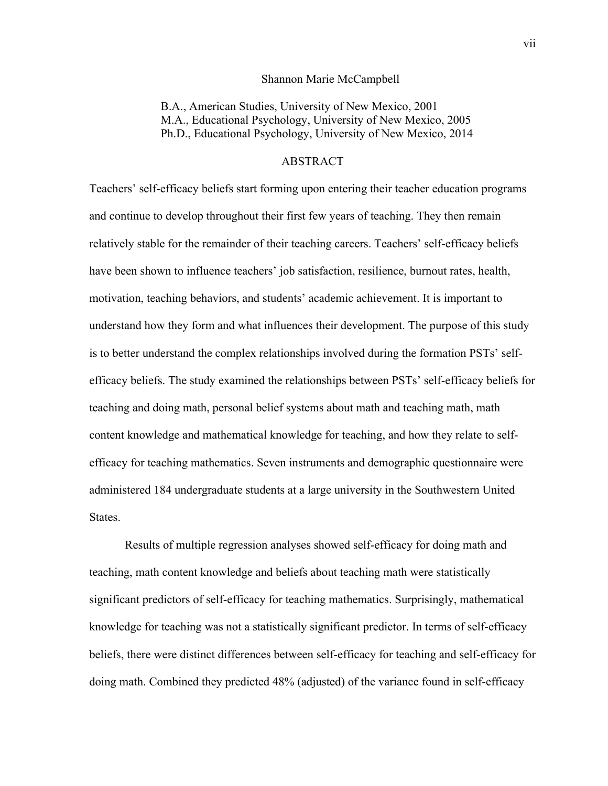#### Shannon Marie McCampbell

B.A., American Studies, University of New Mexico, 2001 M.A., Educational Psychology, University of New Mexico, 2005 Ph.D., Educational Psychology, University of New Mexico, 2014

#### ABSTRACT

Teachers' self-efficacy beliefs start forming upon entering their teacher education programs and continue to develop throughout their first few years of teaching. They then remain relatively stable for the remainder of their teaching careers. Teachers' self-efficacy beliefs have been shown to influence teachers' job satisfaction, resilience, burnout rates, health, motivation, teaching behaviors, and students' academic achievement. It is important to understand how they form and what influences their development. The purpose of this study is to better understand the complex relationships involved during the formation PSTs' selfefficacy beliefs. The study examined the relationships between PSTs' self-efficacy beliefs for teaching and doing math, personal belief systems about math and teaching math, math content knowledge and mathematical knowledge for teaching, and how they relate to selfefficacy for teaching mathematics. Seven instruments and demographic questionnaire were administered 184 undergraduate students at a large university in the Southwestern United States.

Results of multiple regression analyses showed self-efficacy for doing math and teaching, math content knowledge and beliefs about teaching math were statistically significant predictors of self-efficacy for teaching mathematics. Surprisingly, mathematical knowledge for teaching was not a statistically significant predictor. In terms of self-efficacy beliefs, there were distinct differences between self-efficacy for teaching and self-efficacy for doing math. Combined they predicted 48% (adjusted) of the variance found in self-efficacy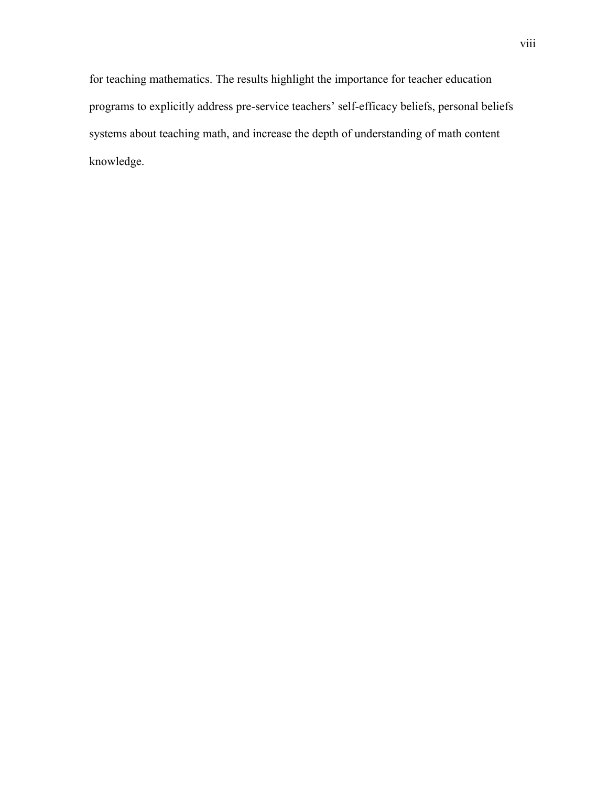for teaching mathematics. The results highlight the importance for teacher education programs to explicitly address pre-service teachers' self-efficacy beliefs, personal beliefs systems about teaching math, and increase the depth of understanding of math content knowledge.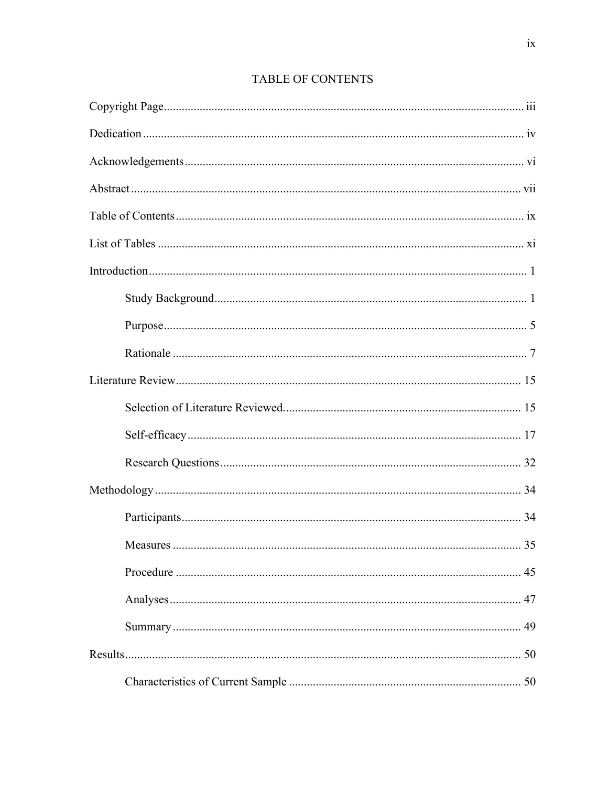| $\mathbf{r}$ and $\mathbf{r}$ |  |
|-------------------------------|--|
|                               |  |
|                               |  |
|                               |  |
|                               |  |
|                               |  |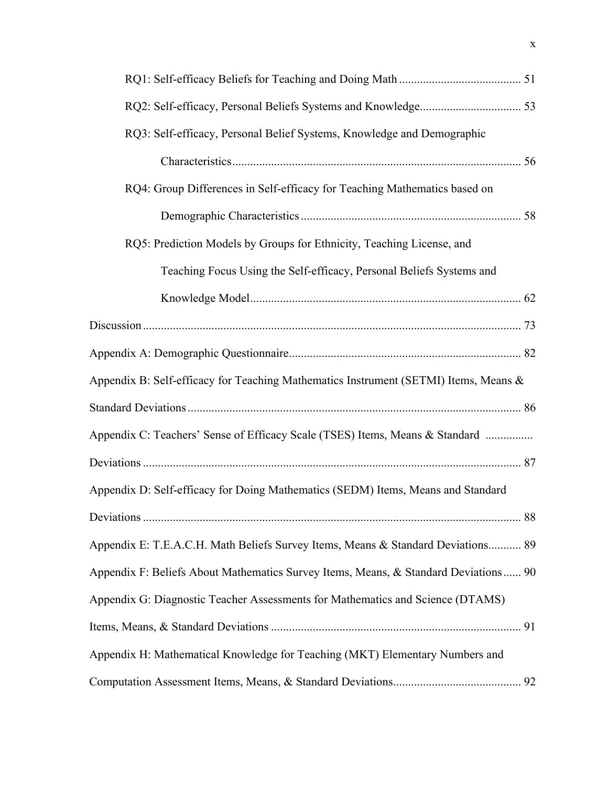| RQ3: Self-efficacy, Personal Belief Systems, Knowledge and Demographic               |    |
|--------------------------------------------------------------------------------------|----|
|                                                                                      |    |
| RQ4: Group Differences in Self-efficacy for Teaching Mathematics based on            |    |
|                                                                                      |    |
| RQ5: Prediction Models by Groups for Ethnicity, Teaching License, and                |    |
| Teaching Focus Using the Self-efficacy, Personal Beliefs Systems and                 |    |
|                                                                                      |    |
|                                                                                      |    |
|                                                                                      |    |
| Appendix B: Self-efficacy for Teaching Mathematics Instrument (SETMI) Items, Means & |    |
|                                                                                      |    |
| Appendix C: Teachers' Sense of Efficacy Scale (TSES) Items, Means & Standard         |    |
|                                                                                      |    |
| Appendix D: Self-efficacy for Doing Mathematics (SEDM) Items, Means and Standard     |    |
|                                                                                      |    |
| Appendix E: T.E.A.C.H. Math Beliefs Survey Items, Means & Standard Deviations 89     |    |
| Appendix F: Beliefs About Mathematics Survey Items, Means, & Standard Deviations 90  |    |
| Appendix G: Diagnostic Teacher Assessments for Mathematics and Science (DTAMS)       |    |
|                                                                                      | 91 |
| Appendix H: Mathematical Knowledge for Teaching (MKT) Elementary Numbers and         |    |
|                                                                                      |    |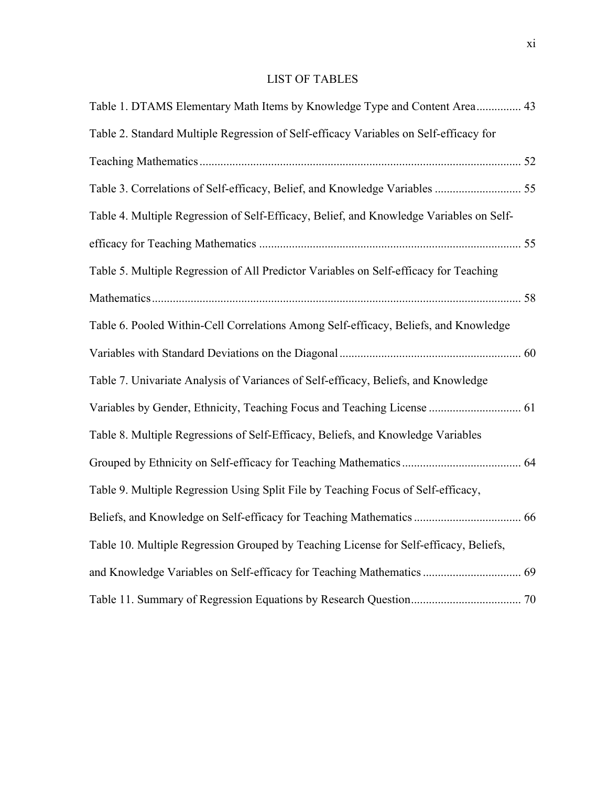### LIST OF TABLES

| Table 1. DTAMS Elementary Math Items by Knowledge Type and Content Area 43              |  |
|-----------------------------------------------------------------------------------------|--|
| Table 2. Standard Multiple Regression of Self-efficacy Variables on Self-efficacy for   |  |
|                                                                                         |  |
|                                                                                         |  |
| Table 4. Multiple Regression of Self-Efficacy, Belief, and Knowledge Variables on Self- |  |
|                                                                                         |  |
| Table 5. Multiple Regression of All Predictor Variables on Self-efficacy for Teaching   |  |
|                                                                                         |  |
| Table 6. Pooled Within-Cell Correlations Among Self-efficacy, Beliefs, and Knowledge    |  |
|                                                                                         |  |
| Table 7. Univariate Analysis of Variances of Self-efficacy, Beliefs, and Knowledge      |  |
|                                                                                         |  |
| Table 8. Multiple Regressions of Self-Efficacy, Beliefs, and Knowledge Variables        |  |
|                                                                                         |  |
| Table 9. Multiple Regression Using Split File by Teaching Focus of Self-efficacy,       |  |
|                                                                                         |  |
| Table 10. Multiple Regression Grouped by Teaching License for Self-efficacy, Beliefs,   |  |
|                                                                                         |  |
|                                                                                         |  |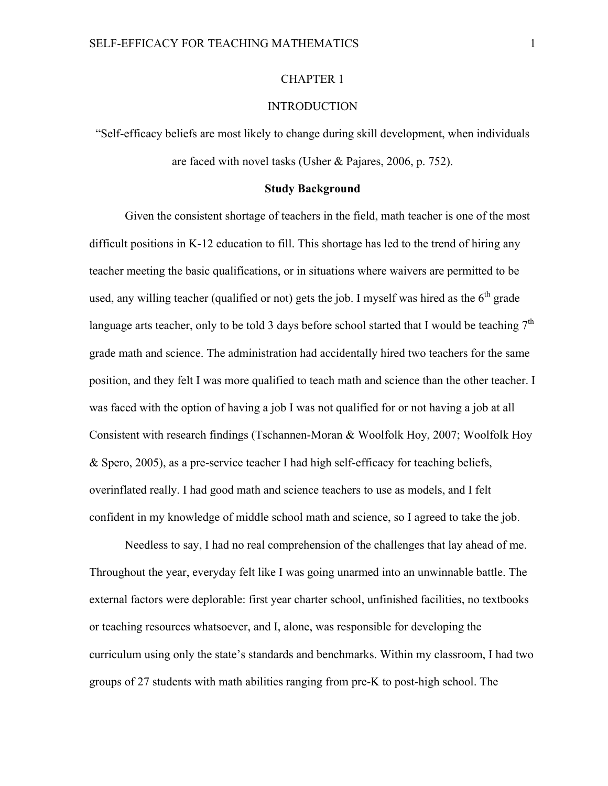#### CHAPTER 1

#### **INTRODUCTION**

"Self-efficacy beliefs are most likely to change during skill development, when individuals are faced with novel tasks (Usher & Pajares, 2006, p. 752).

#### **Study Background**

Given the consistent shortage of teachers in the field, math teacher is one of the most difficult positions in K-12 education to fill. This shortage has led to the trend of hiring any teacher meeting the basic qualifications, or in situations where waivers are permitted to be used, any willing teacher (qualified or not) gets the job. I myself was hired as the  $6<sup>th</sup>$  grade language arts teacher, only to be told 3 days before school started that I would be teaching  $7<sup>th</sup>$ grade math and science. The administration had accidentally hired two teachers for the same position, and they felt I was more qualified to teach math and science than the other teacher. I was faced with the option of having a job I was not qualified for or not having a job at all Consistent with research findings (Tschannen-Moran & Woolfolk Hoy, 2007; Woolfolk Hoy & Spero, 2005), as a pre-service teacher I had high self-efficacy for teaching beliefs, overinflated really. I had good math and science teachers to use as models, and I felt confident in my knowledge of middle school math and science, so I agreed to take the job.

Needless to say, I had no real comprehension of the challenges that lay ahead of me. Throughout the year, everyday felt like I was going unarmed into an unwinnable battle. The external factors were deplorable: first year charter school, unfinished facilities, no textbooks or teaching resources whatsoever, and I, alone, was responsible for developing the curriculum using only the state's standards and benchmarks. Within my classroom, I had two groups of 27 students with math abilities ranging from pre-K to post-high school. The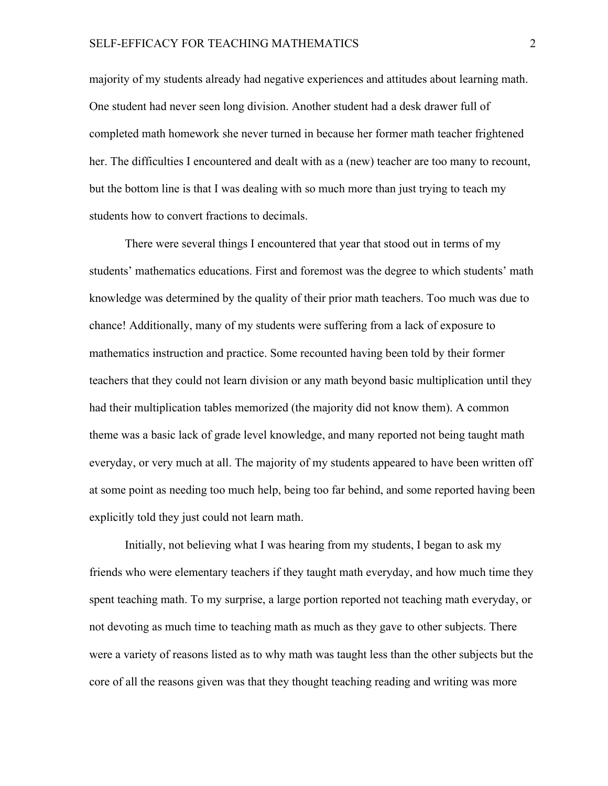majority of my students already had negative experiences and attitudes about learning math. One student had never seen long division. Another student had a desk drawer full of completed math homework she never turned in because her former math teacher frightened her. The difficulties I encountered and dealt with as a (new) teacher are too many to recount, but the bottom line is that I was dealing with so much more than just trying to teach my students how to convert fractions to decimals.

There were several things I encountered that year that stood out in terms of my students' mathematics educations. First and foremost was the degree to which students' math knowledge was determined by the quality of their prior math teachers. Too much was due to chance! Additionally, many of my students were suffering from a lack of exposure to mathematics instruction and practice. Some recounted having been told by their former teachers that they could not learn division or any math beyond basic multiplication until they had their multiplication tables memorized (the majority did not know them). A common theme was a basic lack of grade level knowledge, and many reported not being taught math everyday, or very much at all. The majority of my students appeared to have been written off at some point as needing too much help, being too far behind, and some reported having been explicitly told they just could not learn math.

Initially, not believing what I was hearing from my students, I began to ask my friends who were elementary teachers if they taught math everyday, and how much time they spent teaching math. To my surprise, a large portion reported not teaching math everyday, or not devoting as much time to teaching math as much as they gave to other subjects. There were a variety of reasons listed as to why math was taught less than the other subjects but the core of all the reasons given was that they thought teaching reading and writing was more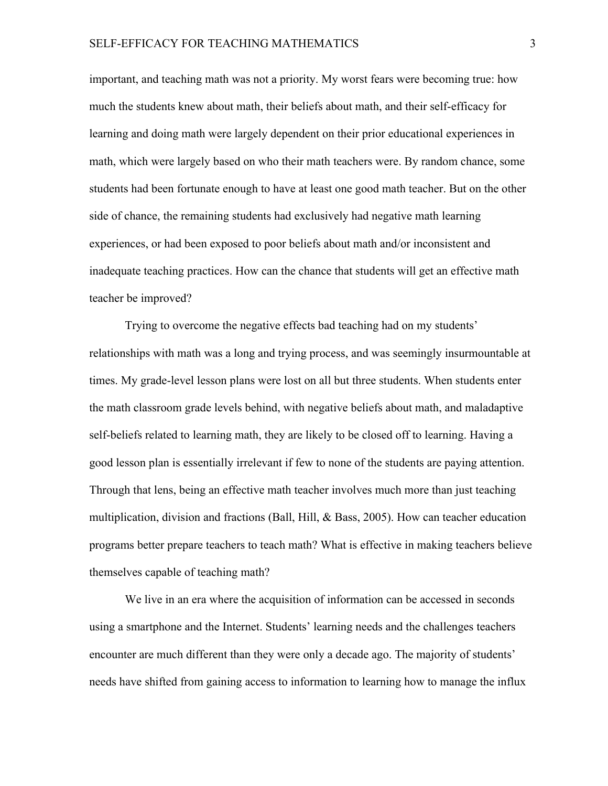important, and teaching math was not a priority. My worst fears were becoming true: how much the students knew about math, their beliefs about math, and their self-efficacy for learning and doing math were largely dependent on their prior educational experiences in math, which were largely based on who their math teachers were. By random chance, some students had been fortunate enough to have at least one good math teacher. But on the other side of chance, the remaining students had exclusively had negative math learning experiences, or had been exposed to poor beliefs about math and/or inconsistent and inadequate teaching practices. How can the chance that students will get an effective math teacher be improved?

Trying to overcome the negative effects bad teaching had on my students' relationships with math was a long and trying process, and was seemingly insurmountable at times. My grade-level lesson plans were lost on all but three students. When students enter the math classroom grade levels behind, with negative beliefs about math, and maladaptive self-beliefs related to learning math, they are likely to be closed off to learning. Having a good lesson plan is essentially irrelevant if few to none of the students are paying attention. Through that lens, being an effective math teacher involves much more than just teaching multiplication, division and fractions (Ball, Hill, & Bass, 2005). How can teacher education programs better prepare teachers to teach math? What is effective in making teachers believe themselves capable of teaching math?

We live in an era where the acquisition of information can be accessed in seconds using a smartphone and the Internet. Students' learning needs and the challenges teachers encounter are much different than they were only a decade ago. The majority of students' needs have shifted from gaining access to information to learning how to manage the influx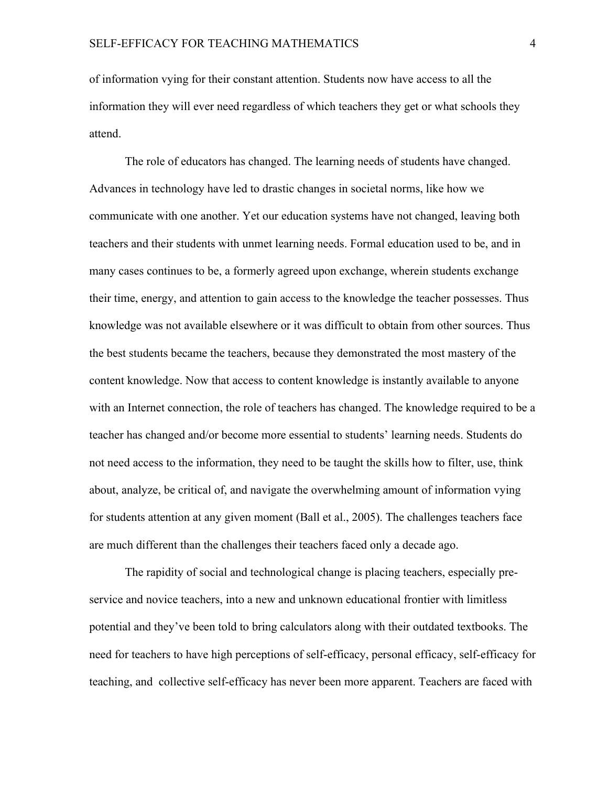of information vying for their constant attention. Students now have access to all the information they will ever need regardless of which teachers they get or what schools they attend.

The role of educators has changed. The learning needs of students have changed. Advances in technology have led to drastic changes in societal norms, like how we communicate with one another. Yet our education systems have not changed, leaving both teachers and their students with unmet learning needs. Formal education used to be, and in many cases continues to be, a formerly agreed upon exchange, wherein students exchange their time, energy, and attention to gain access to the knowledge the teacher possesses. Thus knowledge was not available elsewhere or it was difficult to obtain from other sources. Thus the best students became the teachers, because they demonstrated the most mastery of the content knowledge. Now that access to content knowledge is instantly available to anyone with an Internet connection, the role of teachers has changed. The knowledge required to be a teacher has changed and/or become more essential to students' learning needs. Students do not need access to the information, they need to be taught the skills how to filter, use, think about, analyze, be critical of, and navigate the overwhelming amount of information vying for students attention at any given moment (Ball et al., 2005). The challenges teachers face are much different than the challenges their teachers faced only a decade ago.

The rapidity of social and technological change is placing teachers, especially preservice and novice teachers, into a new and unknown educational frontier with limitless potential and they've been told to bring calculators along with their outdated textbooks. The need for teachers to have high perceptions of self-efficacy, personal efficacy, self-efficacy for teaching, and collective self-efficacy has never been more apparent. Teachers are faced with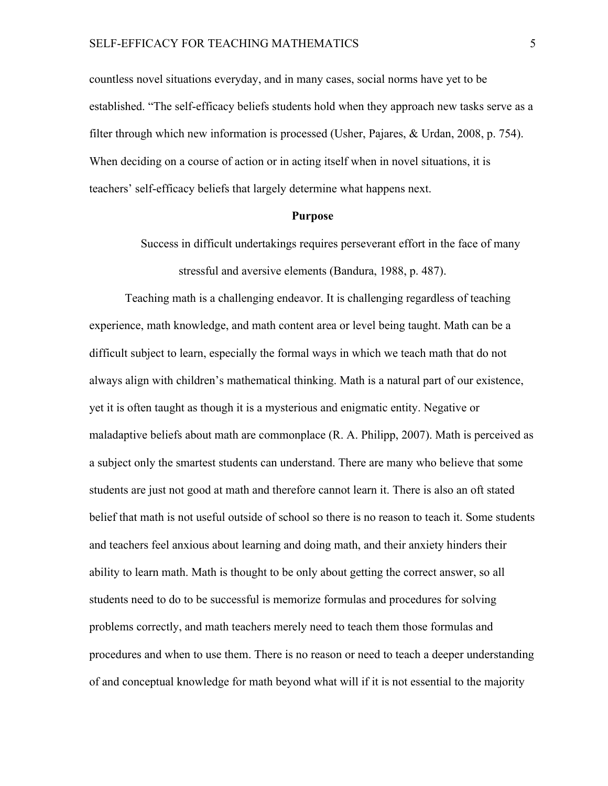countless novel situations everyday, and in many cases, social norms have yet to be established. "The self-efficacy beliefs students hold when they approach new tasks serve as a filter through which new information is processed (Usher, Pajares, & Urdan, 2008, p. 754). When deciding on a course of action or in acting itself when in novel situations, it is teachers' self-efficacy beliefs that largely determine what happens next.

#### **Purpose**

Success in difficult undertakings requires perseverant effort in the face of many stressful and aversive elements (Bandura, 1988, p. 487).

Teaching math is a challenging endeavor. It is challenging regardless of teaching experience, math knowledge, and math content area or level being taught. Math can be a difficult subject to learn, especially the formal ways in which we teach math that do not always align with children's mathematical thinking. Math is a natural part of our existence, yet it is often taught as though it is a mysterious and enigmatic entity. Negative or maladaptive beliefs about math are commonplace (R. A. Philipp, 2007). Math is perceived as a subject only the smartest students can understand. There are many who believe that some students are just not good at math and therefore cannot learn it. There is also an oft stated belief that math is not useful outside of school so there is no reason to teach it. Some students and teachers feel anxious about learning and doing math, and their anxiety hinders their ability to learn math. Math is thought to be only about getting the correct answer, so all students need to do to be successful is memorize formulas and procedures for solving problems correctly, and math teachers merely need to teach them those formulas and procedures and when to use them. There is no reason or need to teach a deeper understanding of and conceptual knowledge for math beyond what will if it is not essential to the majority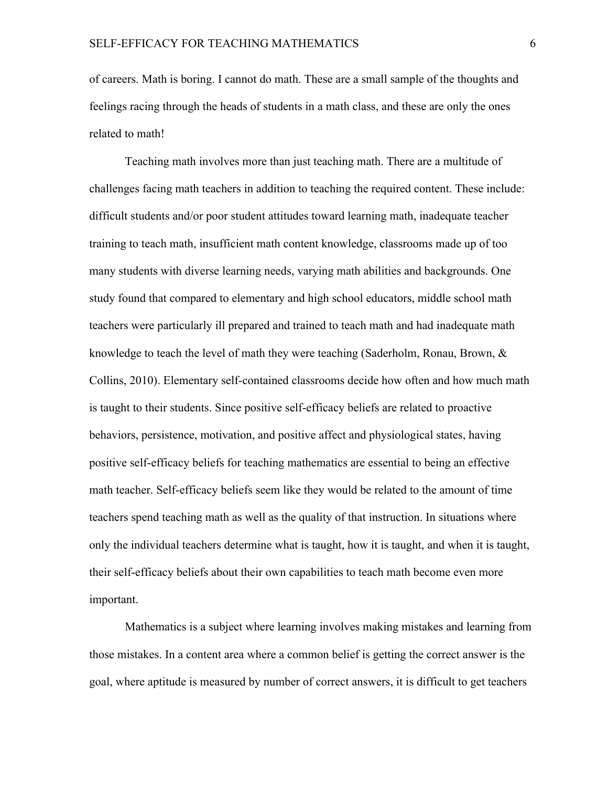of careers. Math is boring. I cannot do math. These are a small sample of the thoughts and feelings racing through the heads of students in a math class, and these are only the ones related to math!

Teaching math involves more than just teaching math. There are a multitude of challenges facing math teachers in addition to teaching the required content. These include: difficult students and/or poor student attitudes toward learning math, inadequate teacher training to teach math, insufficient math content knowledge, classrooms made up of too many students with diverse learning needs, varying math abilities and backgrounds. One study found that compared to elementary and high school educators, middle school math teachers were particularly ill prepared and trained to teach math and had inadequate math knowledge to teach the level of math they were teaching (Saderholm, Ronau, Brown, & Collins, 2010). Elementary self-contained classrooms decide how often and how much math is taught to their students. Since positive self-efficacy beliefs are related to proactive behaviors, persistence, motivation, and positive affect and physiological states, having positive self-efficacy beliefs for teaching mathematics are essential to being an effective math teacher. Self-efficacy beliefs seem like they would be related to the amount of time teachers spend teaching math as well as the quality of that instruction. In situations where only the individual teachers determine what is taught, how it is taught, and when it is taught, their self-efficacy beliefs about their own capabilities to teach math become even more important.

Mathematics is a subject where learning involves making mistakes and learning from those mistakes. In a content area where a common belief is getting the correct answer is the goal, where aptitude is measured by number of correct answers, it is difficult to get teachers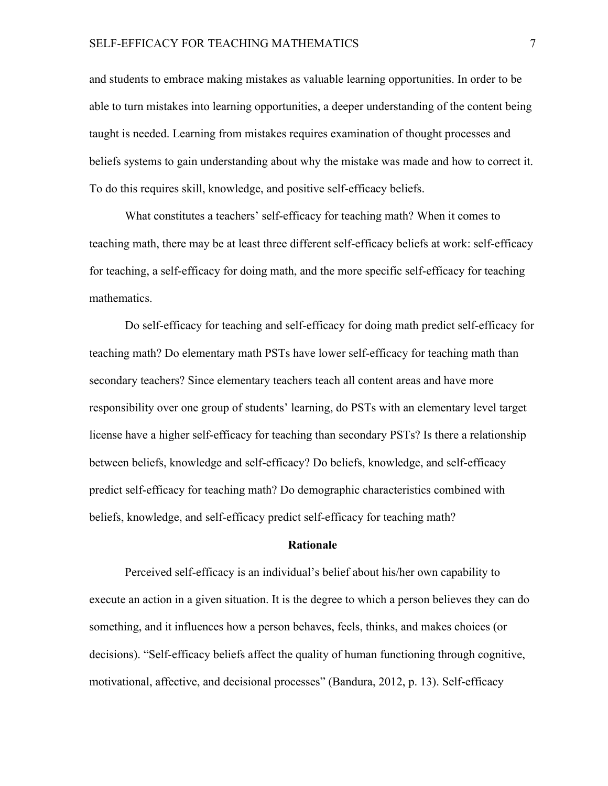and students to embrace making mistakes as valuable learning opportunities. In order to be able to turn mistakes into learning opportunities, a deeper understanding of the content being taught is needed. Learning from mistakes requires examination of thought processes and beliefs systems to gain understanding about why the mistake was made and how to correct it. To do this requires skill, knowledge, and positive self-efficacy beliefs.

What constitutes a teachers' self-efficacy for teaching math? When it comes to teaching math, there may be at least three different self-efficacy beliefs at work: self-efficacy for teaching, a self-efficacy for doing math, and the more specific self-efficacy for teaching mathematics.

Do self-efficacy for teaching and self-efficacy for doing math predict self-efficacy for teaching math? Do elementary math PSTs have lower self-efficacy for teaching math than secondary teachers? Since elementary teachers teach all content areas and have more responsibility over one group of students' learning, do PSTs with an elementary level target license have a higher self-efficacy for teaching than secondary PSTs? Is there a relationship between beliefs, knowledge and self-efficacy? Do beliefs, knowledge, and self-efficacy predict self-efficacy for teaching math? Do demographic characteristics combined with beliefs, knowledge, and self-efficacy predict self-efficacy for teaching math?

#### **Rationale**

Perceived self-efficacy is an individual's belief about his/her own capability to execute an action in a given situation. It is the degree to which a person believes they can do something, and it influences how a person behaves, feels, thinks, and makes choices (or decisions). "Self-efficacy beliefs affect the quality of human functioning through cognitive, motivational, affective, and decisional processes" (Bandura, 2012, p. 13). Self-efficacy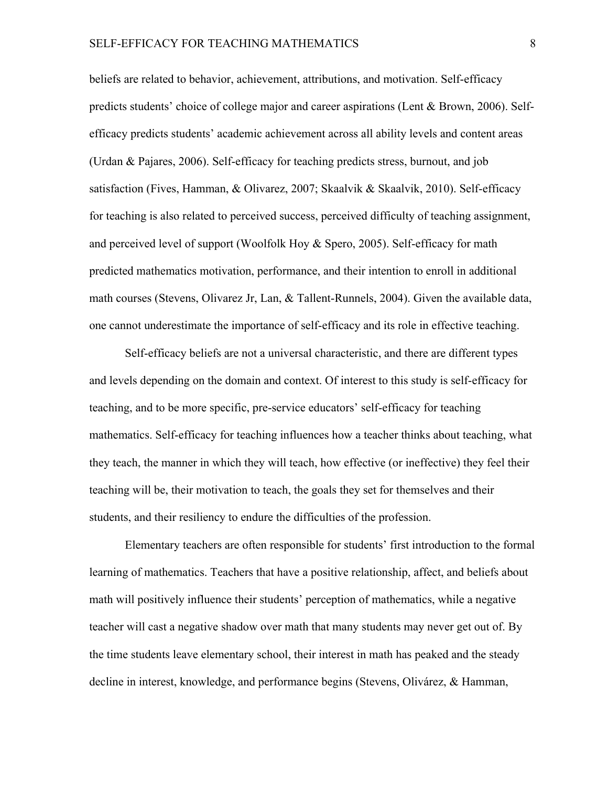beliefs are related to behavior, achievement, attributions, and motivation. Self-efficacy predicts students' choice of college major and career aspirations (Lent & Brown, 2006). Selfefficacy predicts students' academic achievement across all ability levels and content areas (Urdan & Pajares, 2006). Self-efficacy for teaching predicts stress, burnout, and job satisfaction (Fives, Hamman, & Olivarez, 2007; Skaalvik & Skaalvik, 2010). Self-efficacy for teaching is also related to perceived success, perceived difficulty of teaching assignment, and perceived level of support (Woolfolk Hoy & Spero, 2005). Self-efficacy for math predicted mathematics motivation, performance, and their intention to enroll in additional math courses (Stevens, Olivarez Jr, Lan, & Tallent-Runnels, 2004). Given the available data, one cannot underestimate the importance of self-efficacy and its role in effective teaching.

Self-efficacy beliefs are not a universal characteristic, and there are different types and levels depending on the domain and context. Of interest to this study is self-efficacy for teaching, and to be more specific, pre-service educators' self-efficacy for teaching mathematics. Self-efficacy for teaching influences how a teacher thinks about teaching, what they teach, the manner in which they will teach, how effective (or ineffective) they feel their teaching will be, their motivation to teach, the goals they set for themselves and their students, and their resiliency to endure the difficulties of the profession.

Elementary teachers are often responsible for students' first introduction to the formal learning of mathematics. Teachers that have a positive relationship, affect, and beliefs about math will positively influence their students' perception of mathematics, while a negative teacher will cast a negative shadow over math that many students may never get out of. By the time students leave elementary school, their interest in math has peaked and the steady decline in interest, knowledge, and performance begins (Stevens, Olivárez, & Hamman,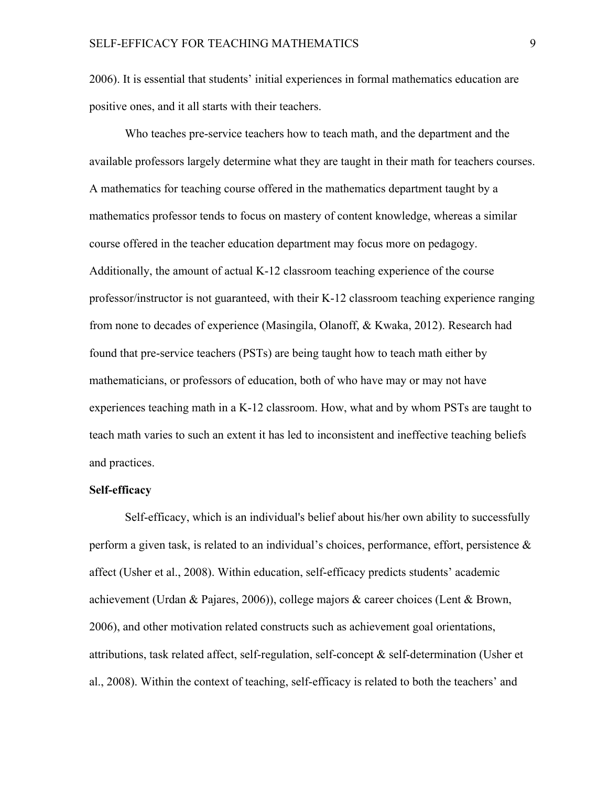2006). It is essential that students' initial experiences in formal mathematics education are positive ones, and it all starts with their teachers.

Who teaches pre-service teachers how to teach math, and the department and the available professors largely determine what they are taught in their math for teachers courses. A mathematics for teaching course offered in the mathematics department taught by a mathematics professor tends to focus on mastery of content knowledge, whereas a similar course offered in the teacher education department may focus more on pedagogy. Additionally, the amount of actual K-12 classroom teaching experience of the course professor/instructor is not guaranteed, with their K-12 classroom teaching experience ranging from none to decades of experience (Masingila, Olanoff, & Kwaka, 2012). Research had found that pre-service teachers (PSTs) are being taught how to teach math either by mathematicians, or professors of education, both of who have may or may not have experiences teaching math in a K-12 classroom. How, what and by whom PSTs are taught to teach math varies to such an extent it has led to inconsistent and ineffective teaching beliefs and practices.

#### **Self-efficacy**

Self-efficacy, which is an individual's belief about his/her own ability to successfully perform a given task, is related to an individual's choices, performance, effort, persistence  $\&$ affect (Usher et al., 2008). Within education, self-efficacy predicts students' academic achievement (Urdan & Pajares, 2006)), college majors & career choices (Lent & Brown, 2006), and other motivation related constructs such as achievement goal orientations, attributions, task related affect, self-regulation, self-concept & self-determination (Usher et al., 2008). Within the context of teaching, self-efficacy is related to both the teachers' and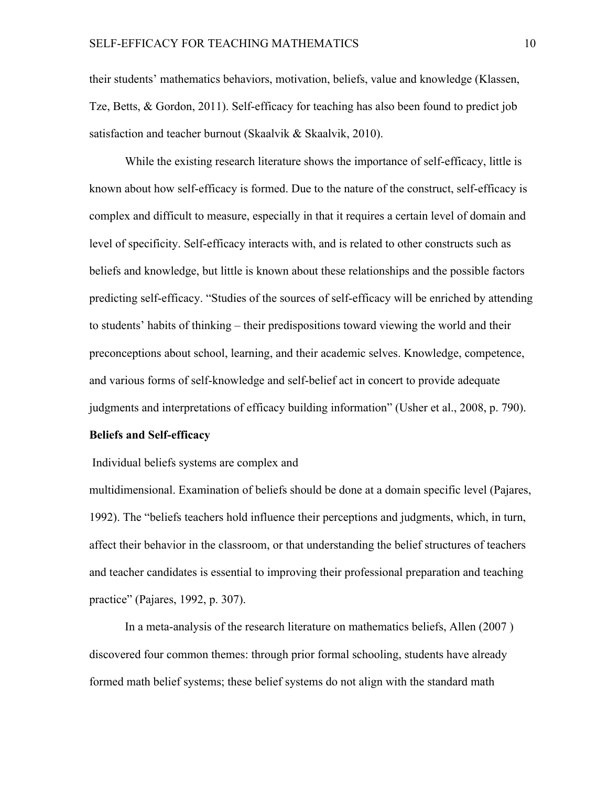their students' mathematics behaviors, motivation, beliefs, value and knowledge (Klassen, Tze, Betts, & Gordon, 2011). Self-efficacy for teaching has also been found to predict job satisfaction and teacher burnout (Skaalvik & Skaalvik, 2010).

While the existing research literature shows the importance of self-efficacy, little is known about how self-efficacy is formed. Due to the nature of the construct, self-efficacy is complex and difficult to measure, especially in that it requires a certain level of domain and level of specificity. Self-efficacy interacts with, and is related to other constructs such as beliefs and knowledge, but little is known about these relationships and the possible factors predicting self-efficacy. "Studies of the sources of self-efficacy will be enriched by attending to students' habits of thinking – their predispositions toward viewing the world and their preconceptions about school, learning, and their academic selves. Knowledge, competence, and various forms of self-knowledge and self-belief act in concert to provide adequate judgments and interpretations of efficacy building information" (Usher et al., 2008, p. 790).

#### **Beliefs and Self-efficacy**

Individual beliefs systems are complex and

multidimensional. Examination of beliefs should be done at a domain specific level (Pajares, 1992). The "beliefs teachers hold influence their perceptions and judgments, which, in turn, affect their behavior in the classroom, or that understanding the belief structures of teachers and teacher candidates is essential to improving their professional preparation and teaching practice" (Pajares, 1992, p. 307).

In a meta-analysis of the research literature on mathematics beliefs, Allen (2007 ) discovered four common themes: through prior formal schooling, students have already formed math belief systems; these belief systems do not align with the standard math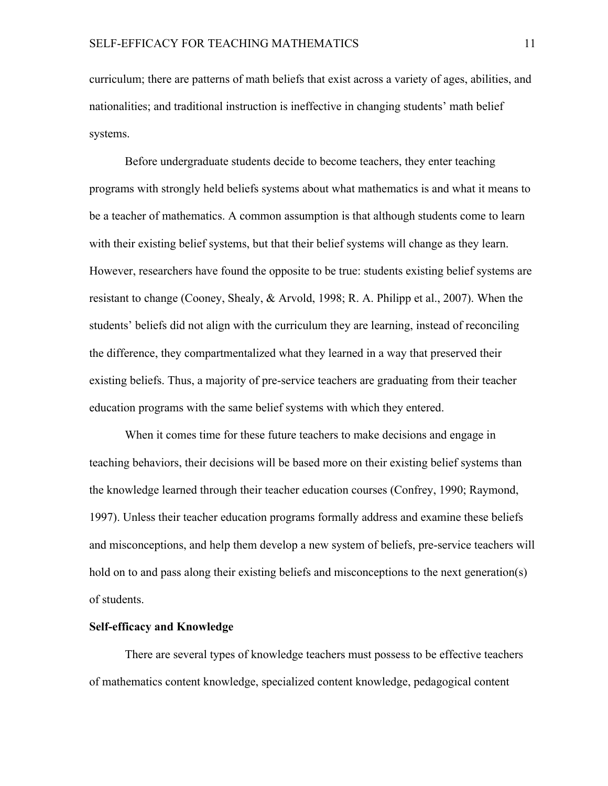curriculum; there are patterns of math beliefs that exist across a variety of ages, abilities, and nationalities; and traditional instruction is ineffective in changing students' math belief systems.

Before undergraduate students decide to become teachers, they enter teaching programs with strongly held beliefs systems about what mathematics is and what it means to be a teacher of mathematics. A common assumption is that although students come to learn with their existing belief systems, but that their belief systems will change as they learn. However, researchers have found the opposite to be true: students existing belief systems are resistant to change (Cooney, Shealy, & Arvold, 1998; R. A. Philipp et al., 2007). When the students' beliefs did not align with the curriculum they are learning, instead of reconciling the difference, they compartmentalized what they learned in a way that preserved their existing beliefs. Thus, a majority of pre-service teachers are graduating from their teacher education programs with the same belief systems with which they entered.

When it comes time for these future teachers to make decisions and engage in teaching behaviors, their decisions will be based more on their existing belief systems than the knowledge learned through their teacher education courses (Confrey, 1990; Raymond, 1997). Unless their teacher education programs formally address and examine these beliefs and misconceptions, and help them develop a new system of beliefs, pre-service teachers will hold on to and pass along their existing beliefs and misconceptions to the next generation(s) of students.

#### **Self-efficacy and Knowledge**

There are several types of knowledge teachers must possess to be effective teachers of mathematics content knowledge, specialized content knowledge, pedagogical content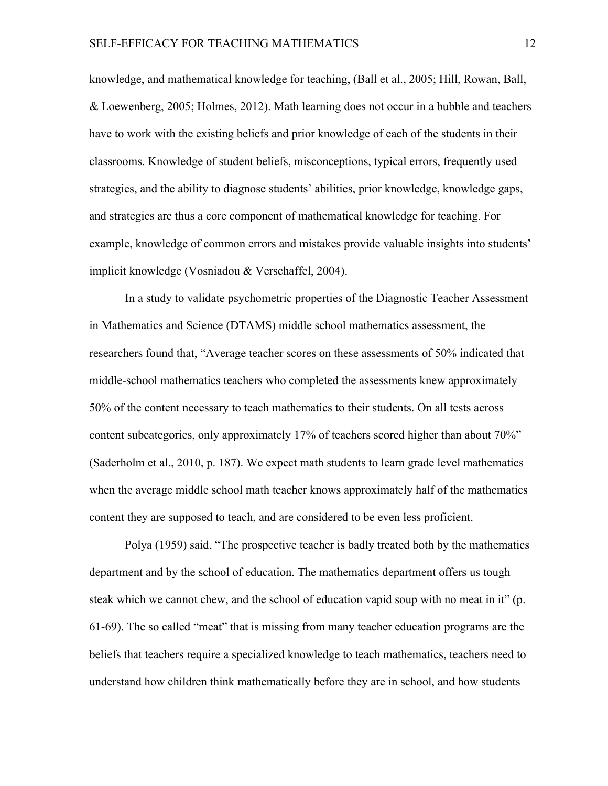knowledge, and mathematical knowledge for teaching, (Ball et al., 2005; Hill, Rowan, Ball, & Loewenberg, 2005; Holmes, 2012). Math learning does not occur in a bubble and teachers have to work with the existing beliefs and prior knowledge of each of the students in their classrooms. Knowledge of student beliefs, misconceptions, typical errors, frequently used strategies, and the ability to diagnose students' abilities, prior knowledge, knowledge gaps, and strategies are thus a core component of mathematical knowledge for teaching. For example, knowledge of common errors and mistakes provide valuable insights into students' implicit knowledge (Vosniadou & Verschaffel, 2004).

In a study to validate psychometric properties of the Diagnostic Teacher Assessment in Mathematics and Science (DTAMS) middle school mathematics assessment, the researchers found that, "Average teacher scores on these assessments of 50% indicated that middle-school mathematics teachers who completed the assessments knew approximately 50% of the content necessary to teach mathematics to their students. On all tests across content subcategories, only approximately 17% of teachers scored higher than about 70%" (Saderholm et al., 2010, p. 187). We expect math students to learn grade level mathematics when the average middle school math teacher knows approximately half of the mathematics content they are supposed to teach, and are considered to be even less proficient.

Polya (1959) said, "The prospective teacher is badly treated both by the mathematics department and by the school of education. The mathematics department offers us tough steak which we cannot chew, and the school of education vapid soup with no meat in it" (p. 61-69). The so called "meat" that is missing from many teacher education programs are the beliefs that teachers require a specialized knowledge to teach mathematics, teachers need to understand how children think mathematically before they are in school, and how students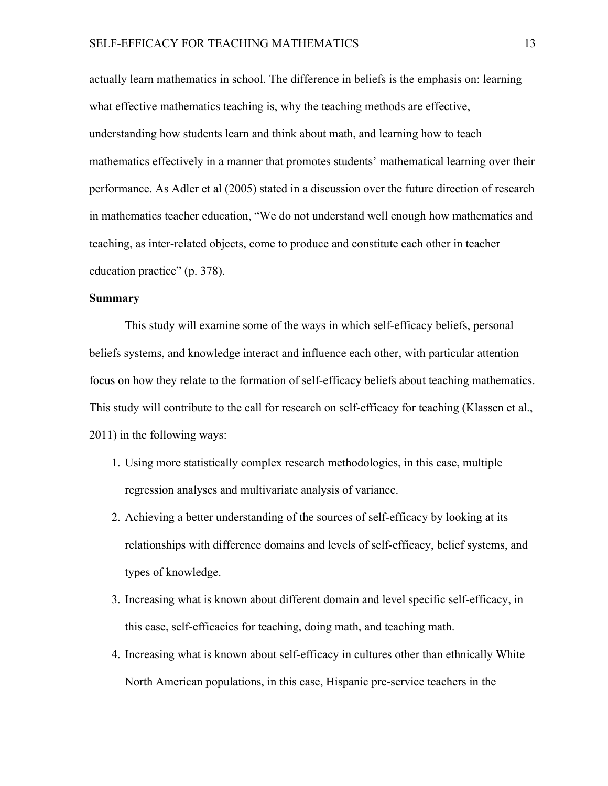actually learn mathematics in school. The difference in beliefs is the emphasis on: learning what effective mathematics teaching is, why the teaching methods are effective, understanding how students learn and think about math, and learning how to teach mathematics effectively in a manner that promotes students' mathematical learning over their performance. As Adler et al (2005) stated in a discussion over the future direction of research in mathematics teacher education, "We do not understand well enough how mathematics and teaching, as inter-related objects, come to produce and constitute each other in teacher education practice" (p. 378).

#### **Summary**

This study will examine some of the ways in which self-efficacy beliefs, personal beliefs systems, and knowledge interact and influence each other, with particular attention focus on how they relate to the formation of self-efficacy beliefs about teaching mathematics. This study will contribute to the call for research on self-efficacy for teaching (Klassen et al., 2011) in the following ways:

- 1. Using more statistically complex research methodologies, in this case, multiple regression analyses and multivariate analysis of variance.
- 2. Achieving a better understanding of the sources of self-efficacy by looking at its relationships with difference domains and levels of self-efficacy, belief systems, and types of knowledge.
- 3. Increasing what is known about different domain and level specific self-efficacy, in this case, self-efficacies for teaching, doing math, and teaching math.
- 4. Increasing what is known about self-efficacy in cultures other than ethnically White North American populations, in this case, Hispanic pre-service teachers in the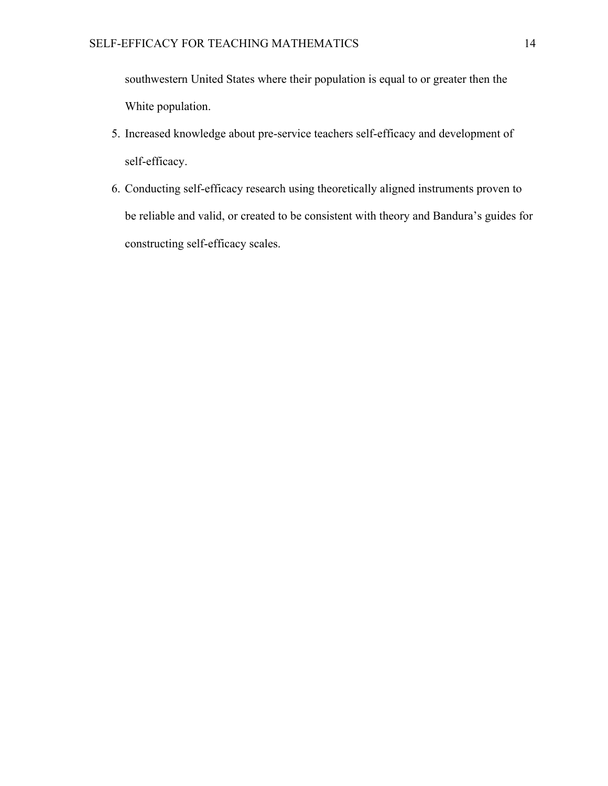southwestern United States where their population is equal to or greater then the White population.

- 5. Increased knowledge about pre-service teachers self-efficacy and development of self-efficacy.
- 6. Conducting self-efficacy research using theoretically aligned instruments proven to be reliable and valid, or created to be consistent with theory and Bandura's guides for constructing self-efficacy scales.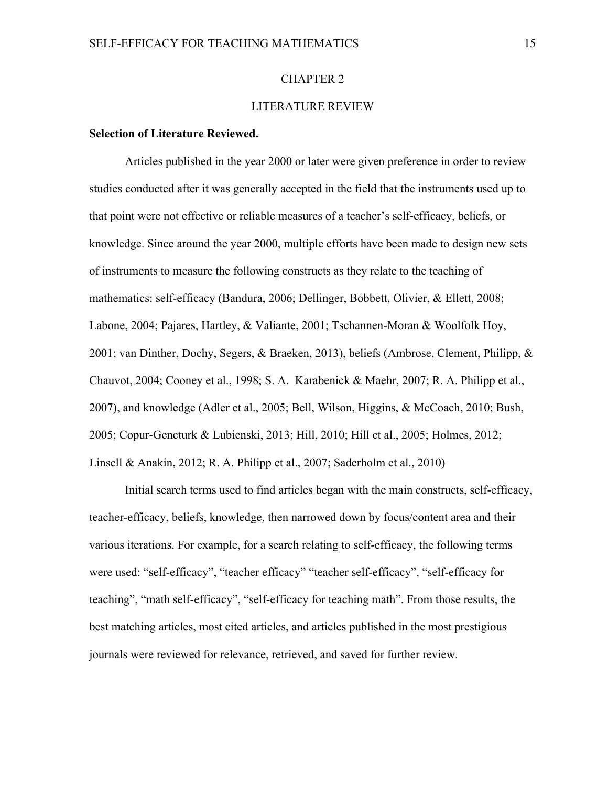#### CHAPTER 2

#### LITERATURE REVIEW

#### **Selection of Literature Reviewed.**

Articles published in the year 2000 or later were given preference in order to review studies conducted after it was generally accepted in the field that the instruments used up to that point were not effective or reliable measures of a teacher's self-efficacy, beliefs, or knowledge. Since around the year 2000, multiple efforts have been made to design new sets of instruments to measure the following constructs as they relate to the teaching of mathematics: self-efficacy (Bandura, 2006; Dellinger, Bobbett, Olivier, & Ellett, 2008; Labone, 2004; Pajares, Hartley, & Valiante, 2001; Tschannen-Moran & Woolfolk Hoy, 2001; van Dinther, Dochy, Segers, & Braeken, 2013), beliefs (Ambrose, Clement, Philipp, & Chauvot, 2004; Cooney et al., 1998; S. A. Karabenick & Maehr, 2007; R. A. Philipp et al., 2007), and knowledge (Adler et al., 2005; Bell, Wilson, Higgins, & McCoach, 2010; Bush, 2005; Copur-Gencturk & Lubienski, 2013; Hill, 2010; Hill et al., 2005; Holmes, 2012; Linsell & Anakin, 2012; R. A. Philipp et al., 2007; Saderholm et al., 2010)

Initial search terms used to find articles began with the main constructs, self-efficacy, teacher-efficacy, beliefs, knowledge, then narrowed down by focus/content area and their various iterations. For example, for a search relating to self-efficacy, the following terms were used: "self-efficacy", "teacher efficacy" "teacher self-efficacy", "self-efficacy for teaching", "math self-efficacy", "self-efficacy for teaching math". From those results, the best matching articles, most cited articles, and articles published in the most prestigious journals were reviewed for relevance, retrieved, and saved for further review.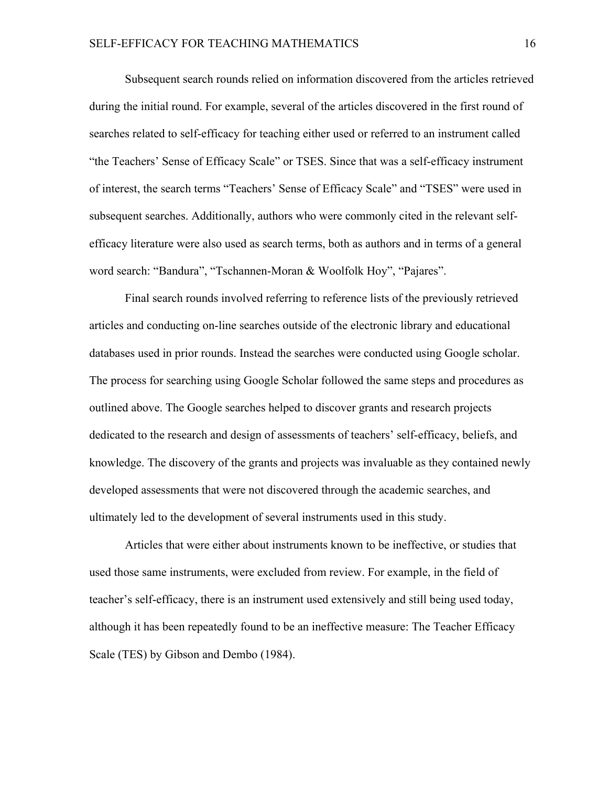Subsequent search rounds relied on information discovered from the articles retrieved during the initial round. For example, several of the articles discovered in the first round of searches related to self-efficacy for teaching either used or referred to an instrument called "the Teachers' Sense of Efficacy Scale" or TSES. Since that was a self-efficacy instrument of interest, the search terms "Teachers' Sense of Efficacy Scale" and "TSES" were used in subsequent searches. Additionally, authors who were commonly cited in the relevant selfefficacy literature were also used as search terms, both as authors and in terms of a general word search: "Bandura", "Tschannen-Moran & Woolfolk Hoy", "Pajares".

Final search rounds involved referring to reference lists of the previously retrieved articles and conducting on-line searches outside of the electronic library and educational databases used in prior rounds. Instead the searches were conducted using Google scholar. The process for searching using Google Scholar followed the same steps and procedures as outlined above. The Google searches helped to discover grants and research projects dedicated to the research and design of assessments of teachers' self-efficacy, beliefs, and knowledge. The discovery of the grants and projects was invaluable as they contained newly developed assessments that were not discovered through the academic searches, and ultimately led to the development of several instruments used in this study.

Articles that were either about instruments known to be ineffective, or studies that used those same instruments, were excluded from review. For example, in the field of teacher's self-efficacy, there is an instrument used extensively and still being used today, although it has been repeatedly found to be an ineffective measure: The Teacher Efficacy Scale (TES) by Gibson and Dembo (1984).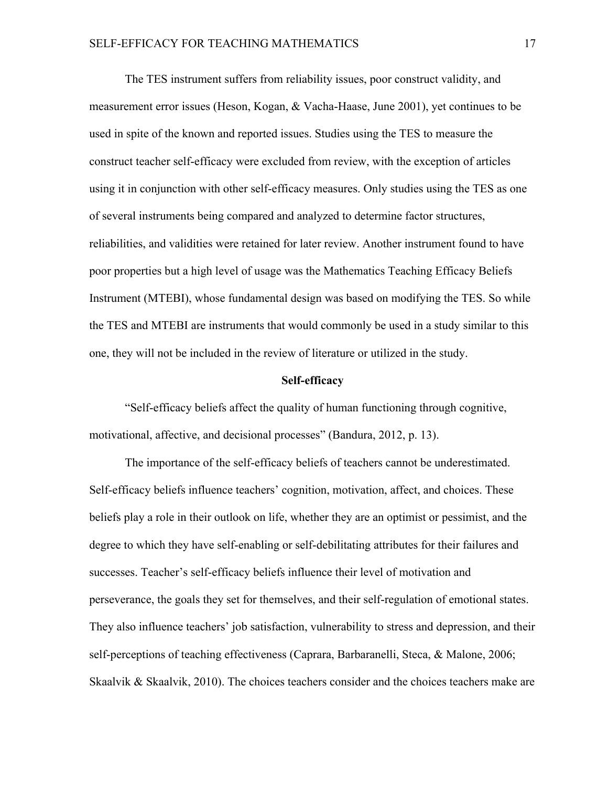The TES instrument suffers from reliability issues, poor construct validity, and measurement error issues (Heson, Kogan, & Vacha-Haase, June 2001), yet continues to be used in spite of the known and reported issues. Studies using the TES to measure the construct teacher self-efficacy were excluded from review, with the exception of articles using it in conjunction with other self-efficacy measures. Only studies using the TES as one of several instruments being compared and analyzed to determine factor structures, reliabilities, and validities were retained for later review. Another instrument found to have poor properties but a high level of usage was the Mathematics Teaching Efficacy Beliefs Instrument (MTEBI), whose fundamental design was based on modifying the TES. So while the TES and MTEBI are instruments that would commonly be used in a study similar to this one, they will not be included in the review of literature or utilized in the study.

#### **Self-efficacy**

"Self-efficacy beliefs affect the quality of human functioning through cognitive, motivational, affective, and decisional processes" (Bandura, 2012, p. 13).

The importance of the self-efficacy beliefs of teachers cannot be underestimated. Self-efficacy beliefs influence teachers' cognition, motivation, affect, and choices. These beliefs play a role in their outlook on life, whether they are an optimist or pessimist, and the degree to which they have self-enabling or self-debilitating attributes for their failures and successes. Teacher's self-efficacy beliefs influence their level of motivation and perseverance, the goals they set for themselves, and their self-regulation of emotional states. They also influence teachers' job satisfaction, vulnerability to stress and depression, and their self-perceptions of teaching effectiveness (Caprara, Barbaranelli, Steca, & Malone, 2006; Skaalvik & Skaalvik, 2010). The choices teachers consider and the choices teachers make are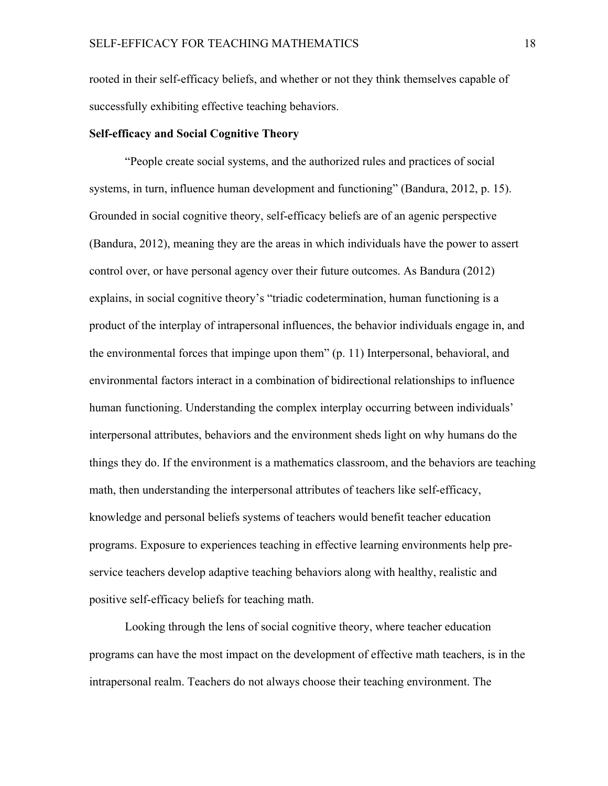rooted in their self-efficacy beliefs, and whether or not they think themselves capable of successfully exhibiting effective teaching behaviors.

#### **Self-efficacy and Social Cognitive Theory**

"People create social systems, and the authorized rules and practices of social systems, in turn, influence human development and functioning" (Bandura, 2012, p. 15). Grounded in social cognitive theory, self-efficacy beliefs are of an agenic perspective (Bandura, 2012), meaning they are the areas in which individuals have the power to assert control over, or have personal agency over their future outcomes. As Bandura (2012) explains, in social cognitive theory's "triadic codetermination, human functioning is a product of the interplay of intrapersonal influences, the behavior individuals engage in, and the environmental forces that impinge upon them" (p. 11) Interpersonal, behavioral, and environmental factors interact in a combination of bidirectional relationships to influence human functioning. Understanding the complex interplay occurring between individuals' interpersonal attributes, behaviors and the environment sheds light on why humans do the things they do. If the environment is a mathematics classroom, and the behaviors are teaching math, then understanding the interpersonal attributes of teachers like self-efficacy, knowledge and personal beliefs systems of teachers would benefit teacher education programs. Exposure to experiences teaching in effective learning environments help preservice teachers develop adaptive teaching behaviors along with healthy, realistic and positive self-efficacy beliefs for teaching math.

Looking through the lens of social cognitive theory, where teacher education programs can have the most impact on the development of effective math teachers, is in the intrapersonal realm. Teachers do not always choose their teaching environment. The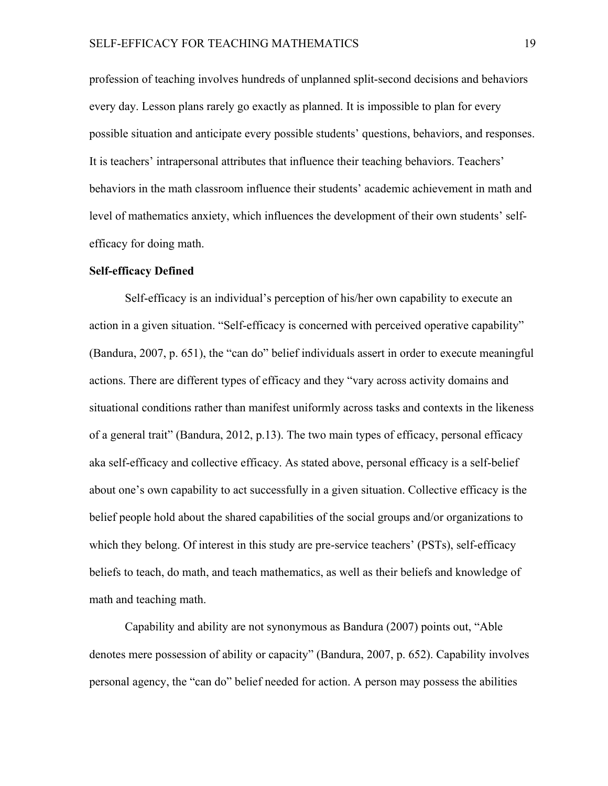profession of teaching involves hundreds of unplanned split-second decisions and behaviors every day. Lesson plans rarely go exactly as planned. It is impossible to plan for every possible situation and anticipate every possible students' questions, behaviors, and responses. It is teachers' intrapersonal attributes that influence their teaching behaviors. Teachers' behaviors in the math classroom influence their students' academic achievement in math and level of mathematics anxiety, which influences the development of their own students' selfefficacy for doing math.

#### **Self-efficacy Defined**

Self-efficacy is an individual's perception of his/her own capability to execute an action in a given situation. "Self-efficacy is concerned with perceived operative capability" (Bandura, 2007, p. 651), the "can do" belief individuals assert in order to execute meaningful actions. There are different types of efficacy and they "vary across activity domains and situational conditions rather than manifest uniformly across tasks and contexts in the likeness of a general trait" (Bandura, 2012, p.13). The two main types of efficacy, personal efficacy aka self-efficacy and collective efficacy. As stated above, personal efficacy is a self-belief about one's own capability to act successfully in a given situation. Collective efficacy is the belief people hold about the shared capabilities of the social groups and/or organizations to which they belong. Of interest in this study are pre-service teachers' (PSTs), self-efficacy beliefs to teach, do math, and teach mathematics, as well as their beliefs and knowledge of math and teaching math.

Capability and ability are not synonymous as Bandura (2007) points out, "Able denotes mere possession of ability or capacity" (Bandura, 2007, p. 652). Capability involves personal agency, the "can do" belief needed for action. A person may possess the abilities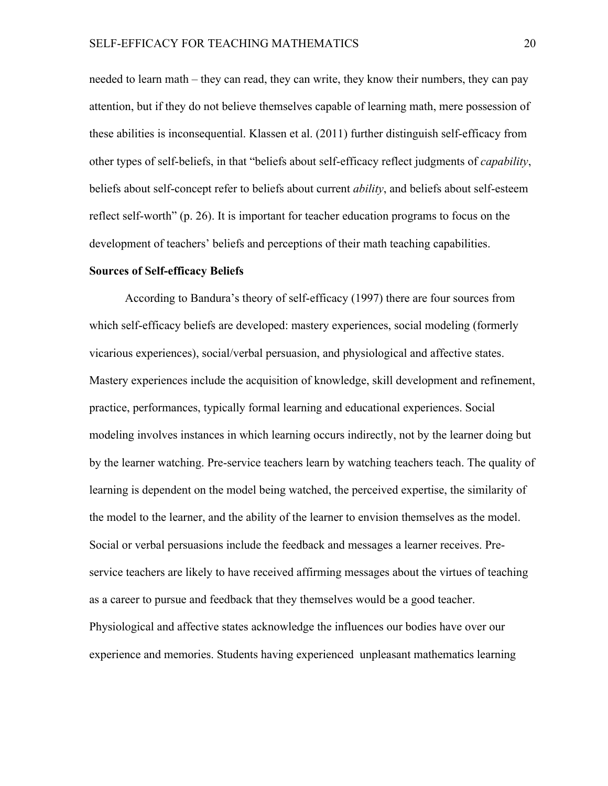needed to learn math – they can read, they can write, they know their numbers, they can pay attention, but if they do not believe themselves capable of learning math, mere possession of these abilities is inconsequential. Klassen et al. (2011) further distinguish self-efficacy from other types of self-beliefs, in that "beliefs about self-efficacy reflect judgments of *capability*, beliefs about self-concept refer to beliefs about current *ability*, and beliefs about self-esteem reflect self-worth" (p. 26). It is important for teacher education programs to focus on the development of teachers' beliefs and perceptions of their math teaching capabilities.

#### **Sources of Self-efficacy Beliefs**

According to Bandura's theory of self-efficacy (1997) there are four sources from which self-efficacy beliefs are developed: mastery experiences, social modeling (formerly vicarious experiences), social/verbal persuasion, and physiological and affective states. Mastery experiences include the acquisition of knowledge, skill development and refinement, practice, performances, typically formal learning and educational experiences. Social modeling involves instances in which learning occurs indirectly, not by the learner doing but by the learner watching. Pre-service teachers learn by watching teachers teach. The quality of learning is dependent on the model being watched, the perceived expertise, the similarity of the model to the learner, and the ability of the learner to envision themselves as the model. Social or verbal persuasions include the feedback and messages a learner receives. Preservice teachers are likely to have received affirming messages about the virtues of teaching as a career to pursue and feedback that they themselves would be a good teacher. Physiological and affective states acknowledge the influences our bodies have over our experience and memories. Students having experienced unpleasant mathematics learning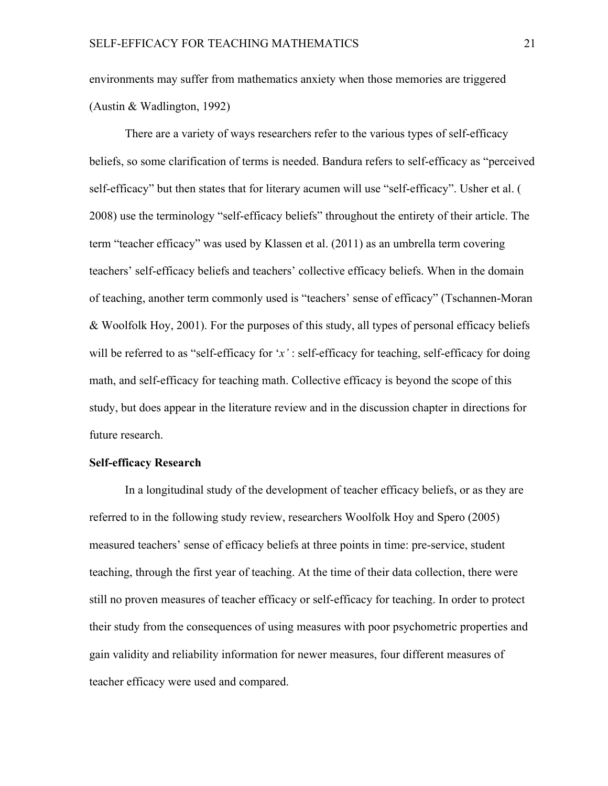environments may suffer from mathematics anxiety when those memories are triggered (Austin & Wadlington, 1992)

There are a variety of ways researchers refer to the various types of self-efficacy beliefs, so some clarification of terms is needed. Bandura refers to self-efficacy as "perceived self-efficacy" but then states that for literary acumen will use "self-efficacy". Usher et al. ( 2008) use the terminology "self-efficacy beliefs" throughout the entirety of their article. The term "teacher efficacy" was used by Klassen et al. (2011) as an umbrella term covering teachers' self-efficacy beliefs and teachers' collective efficacy beliefs. When in the domain of teaching, another term commonly used is "teachers' sense of efficacy" (Tschannen-Moran & Woolfolk Hoy, 2001). For the purposes of this study, all types of personal efficacy beliefs will be referred to as "self-efficacy for '*x'* : self-efficacy for teaching, self-efficacy for doing math, and self-efficacy for teaching math. Collective efficacy is beyond the scope of this study, but does appear in the literature review and in the discussion chapter in directions for future research.

#### **Self-efficacy Research**

In a longitudinal study of the development of teacher efficacy beliefs, or as they are referred to in the following study review, researchers Woolfolk Hoy and Spero (2005) measured teachers' sense of efficacy beliefs at three points in time: pre-service, student teaching, through the first year of teaching. At the time of their data collection, there were still no proven measures of teacher efficacy or self-efficacy for teaching. In order to protect their study from the consequences of using measures with poor psychometric properties and gain validity and reliability information for newer measures, four different measures of teacher efficacy were used and compared.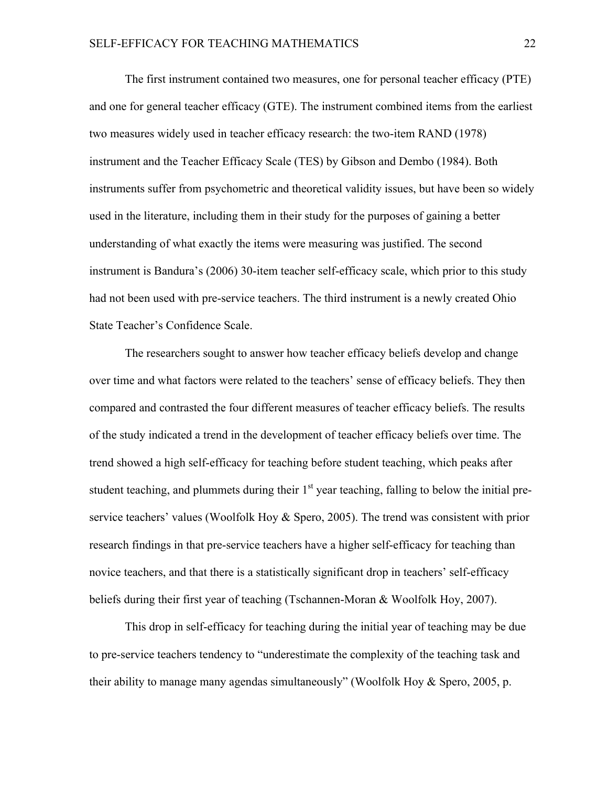The first instrument contained two measures, one for personal teacher efficacy (PTE) and one for general teacher efficacy (GTE). The instrument combined items from the earliest two measures widely used in teacher efficacy research: the two-item RAND (1978) instrument and the Teacher Efficacy Scale (TES) by Gibson and Dembo (1984). Both instruments suffer from psychometric and theoretical validity issues, but have been so widely used in the literature, including them in their study for the purposes of gaining a better understanding of what exactly the items were measuring was justified. The second instrument is Bandura's (2006) 30-item teacher self-efficacy scale, which prior to this study had not been used with pre-service teachers. The third instrument is a newly created Ohio State Teacher's Confidence Scale.

The researchers sought to answer how teacher efficacy beliefs develop and change over time and what factors were related to the teachers' sense of efficacy beliefs. They then compared and contrasted the four different measures of teacher efficacy beliefs. The results of the study indicated a trend in the development of teacher efficacy beliefs over time. The trend showed a high self-efficacy for teaching before student teaching, which peaks after student teaching, and plummets during their  $1<sup>st</sup>$  year teaching, falling to below the initial preservice teachers' values (Woolfolk Hoy & Spero, 2005). The trend was consistent with prior research findings in that pre-service teachers have a higher self-efficacy for teaching than novice teachers, and that there is a statistically significant drop in teachers' self-efficacy beliefs during their first year of teaching (Tschannen-Moran & Woolfolk Hoy, 2007).

This drop in self-efficacy for teaching during the initial year of teaching may be due to pre-service teachers tendency to "underestimate the complexity of the teaching task and their ability to manage many agendas simultaneously" (Woolfolk Hoy & Spero, 2005, p.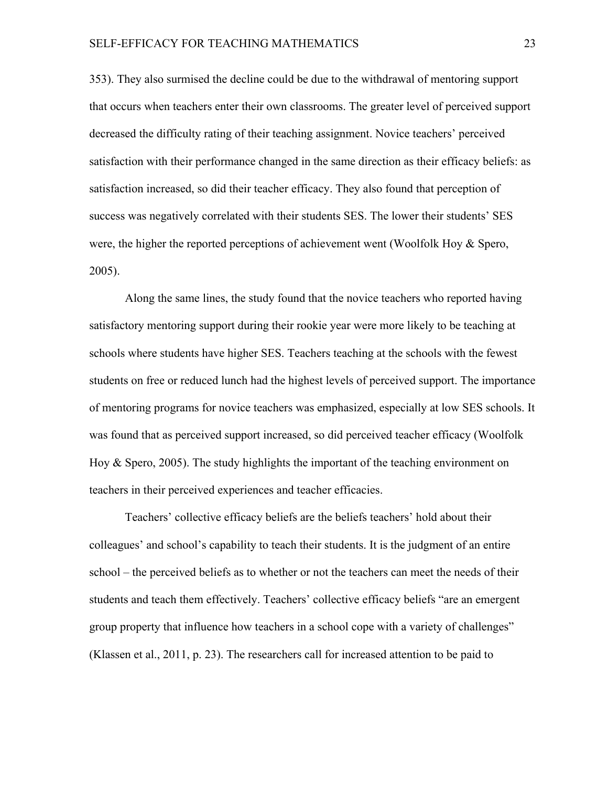353). They also surmised the decline could be due to the withdrawal of mentoring support that occurs when teachers enter their own classrooms. The greater level of perceived support decreased the difficulty rating of their teaching assignment. Novice teachers' perceived satisfaction with their performance changed in the same direction as their efficacy beliefs: as satisfaction increased, so did their teacher efficacy. They also found that perception of success was negatively correlated with their students SES. The lower their students' SES were, the higher the reported perceptions of achievement went (Woolfolk Hoy & Spero, 2005).

Along the same lines, the study found that the novice teachers who reported having satisfactory mentoring support during their rookie year were more likely to be teaching at schools where students have higher SES. Teachers teaching at the schools with the fewest students on free or reduced lunch had the highest levels of perceived support. The importance of mentoring programs for novice teachers was emphasized, especially at low SES schools. It was found that as perceived support increased, so did perceived teacher efficacy (Woolfolk Hoy  $\&$  Spero, 2005). The study highlights the important of the teaching environment on teachers in their perceived experiences and teacher efficacies.

Teachers' collective efficacy beliefs are the beliefs teachers' hold about their colleagues' and school's capability to teach their students. It is the judgment of an entire school – the perceived beliefs as to whether or not the teachers can meet the needs of their students and teach them effectively. Teachers' collective efficacy beliefs "are an emergent group property that influence how teachers in a school cope with a variety of challenges" (Klassen et al., 2011, p. 23). The researchers call for increased attention to be paid to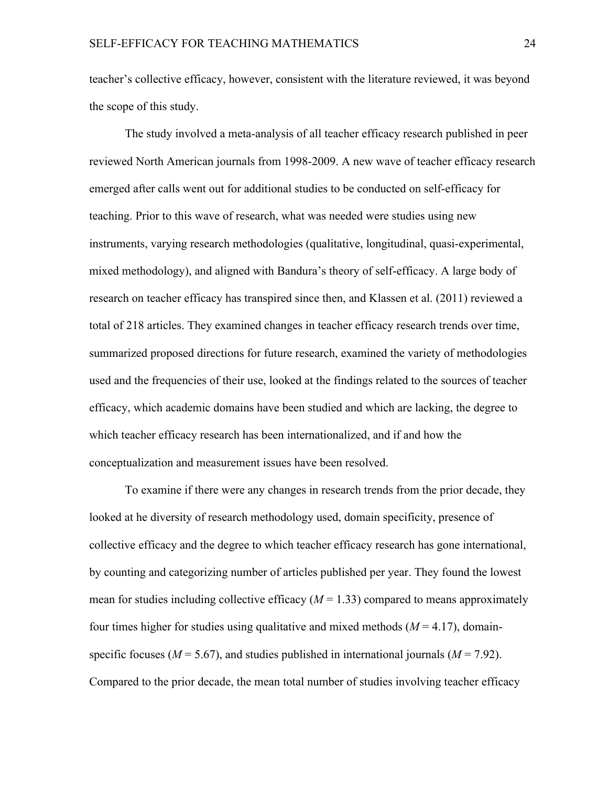teacher's collective efficacy, however, consistent with the literature reviewed, it was beyond the scope of this study.

The study involved a meta-analysis of all teacher efficacy research published in peer reviewed North American journals from 1998-2009. A new wave of teacher efficacy research emerged after calls went out for additional studies to be conducted on self-efficacy for teaching. Prior to this wave of research, what was needed were studies using new instruments, varying research methodologies (qualitative, longitudinal, quasi-experimental, mixed methodology), and aligned with Bandura's theory of self-efficacy. A large body of research on teacher efficacy has transpired since then, and Klassen et al. (2011) reviewed a total of 218 articles. They examined changes in teacher efficacy research trends over time, summarized proposed directions for future research, examined the variety of methodologies used and the frequencies of their use, looked at the findings related to the sources of teacher efficacy, which academic domains have been studied and which are lacking, the degree to which teacher efficacy research has been internationalized, and if and how the conceptualization and measurement issues have been resolved.

To examine if there were any changes in research trends from the prior decade, they looked at he diversity of research methodology used, domain specificity, presence of collective efficacy and the degree to which teacher efficacy research has gone international, by counting and categorizing number of articles published per year. They found the lowest mean for studies including collective efficacy  $(M = 1.33)$  compared to means approximately four times higher for studies using qualitative and mixed methods  $(M = 4.17)$ , domainspecific focuses ( $M = 5.67$ ), and studies published in international journals ( $M = 7.92$ ). Compared to the prior decade, the mean total number of studies involving teacher efficacy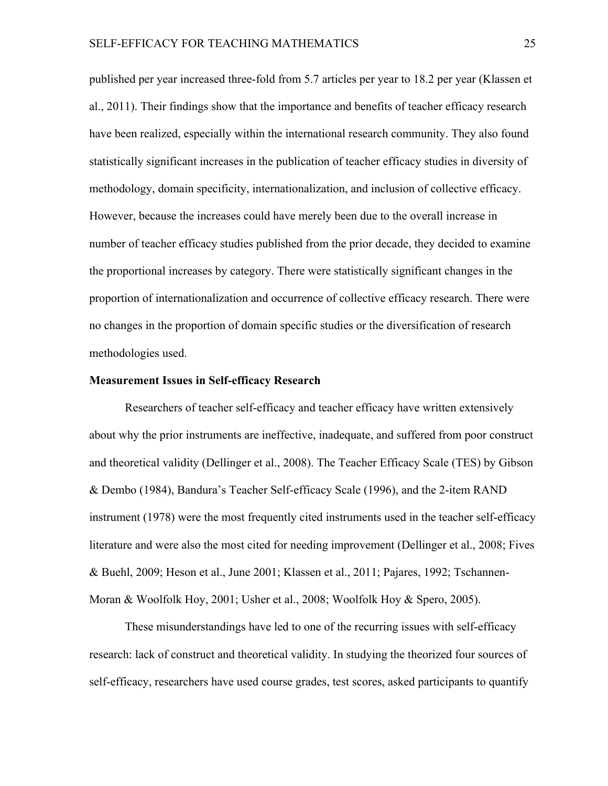published per year increased three-fold from 5.7 articles per year to 18.2 per year (Klassen et al., 2011). Their findings show that the importance and benefits of teacher efficacy research have been realized, especially within the international research community. They also found statistically significant increases in the publication of teacher efficacy studies in diversity of methodology, domain specificity, internationalization, and inclusion of collective efficacy. However, because the increases could have merely been due to the overall increase in number of teacher efficacy studies published from the prior decade, they decided to examine the proportional increases by category. There were statistically significant changes in the proportion of internationalization and occurrence of collective efficacy research. There were no changes in the proportion of domain specific studies or the diversification of research methodologies used.

#### **Measurement Issues in Self-efficacy Research**

Researchers of teacher self-efficacy and teacher efficacy have written extensively about why the prior instruments are ineffective, inadequate, and suffered from poor construct and theoretical validity (Dellinger et al., 2008). The Teacher Efficacy Scale (TES) by Gibson & Dembo (1984), Bandura's Teacher Self-efficacy Scale (1996), and the 2-item RAND instrument (1978) were the most frequently cited instruments used in the teacher self-efficacy literature and were also the most cited for needing improvement (Dellinger et al., 2008; Fives & Buehl, 2009; Heson et al., June 2001; Klassen et al., 2011; Pajares, 1992; Tschannen-Moran & Woolfolk Hoy, 2001; Usher et al., 2008; Woolfolk Hoy & Spero, 2005).

These misunderstandings have led to one of the recurring issues with self-efficacy research: lack of construct and theoretical validity. In studying the theorized four sources of self-efficacy, researchers have used course grades, test scores, asked participants to quantify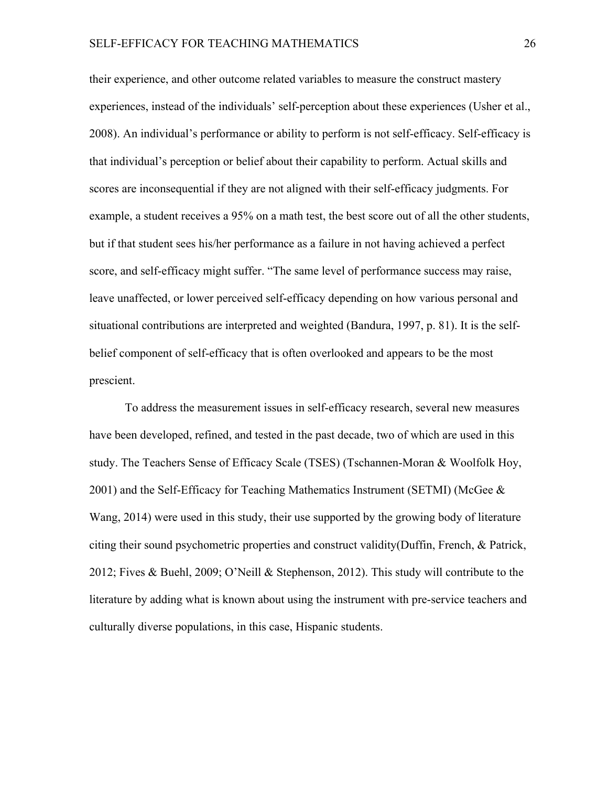their experience, and other outcome related variables to measure the construct mastery experiences, instead of the individuals' self-perception about these experiences (Usher et al., 2008). An individual's performance or ability to perform is not self-efficacy. Self-efficacy is that individual's perception or belief about their capability to perform. Actual skills and scores are inconsequential if they are not aligned with their self-efficacy judgments. For example, a student receives a 95% on a math test, the best score out of all the other students, but if that student sees his/her performance as a failure in not having achieved a perfect score, and self-efficacy might suffer. "The same level of performance success may raise, leave unaffected, or lower perceived self-efficacy depending on how various personal and situational contributions are interpreted and weighted (Bandura, 1997, p. 81). It is the selfbelief component of self-efficacy that is often overlooked and appears to be the most prescient.

To address the measurement issues in self-efficacy research, several new measures have been developed, refined, and tested in the past decade, two of which are used in this study. The Teachers Sense of Efficacy Scale (TSES) (Tschannen-Moran & Woolfolk Hoy, 2001) and the Self-Efficacy for Teaching Mathematics Instrument (SETMI) (McGee & Wang, 2014) were used in this study, their use supported by the growing body of literature citing their sound psychometric properties and construct validity(Duffin, French, & Patrick, 2012; Fives & Buehl, 2009; O'Neill & Stephenson, 2012). This study will contribute to the literature by adding what is known about using the instrument with pre-service teachers and culturally diverse populations, in this case, Hispanic students.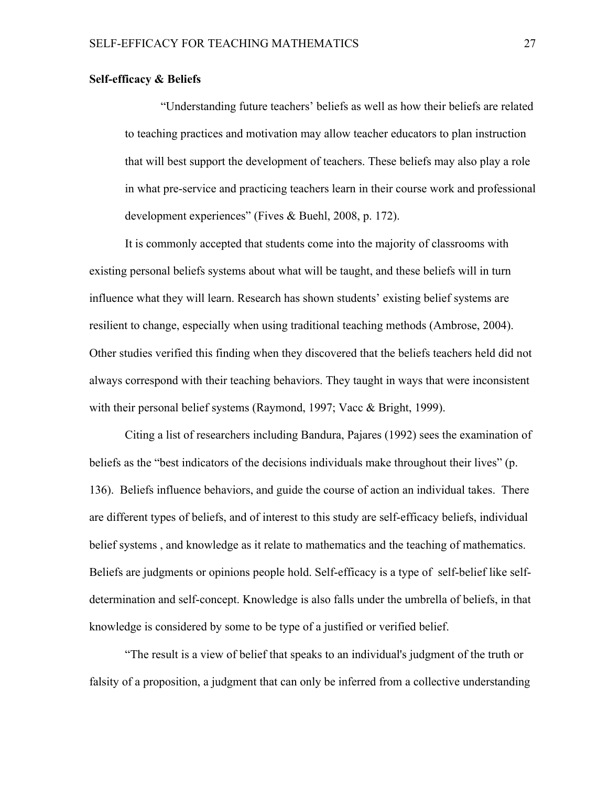## **Self-efficacy & Beliefs**

"Understanding future teachers' beliefs as well as how their beliefs are related to teaching practices and motivation may allow teacher educators to plan instruction that will best support the development of teachers. These beliefs may also play a role in what pre-service and practicing teachers learn in their course work and professional development experiences" (Fives & Buehl, 2008, p. 172).

It is commonly accepted that students come into the majority of classrooms with existing personal beliefs systems about what will be taught, and these beliefs will in turn influence what they will learn. Research has shown students' existing belief systems are resilient to change, especially when using traditional teaching methods (Ambrose, 2004). Other studies verified this finding when they discovered that the beliefs teachers held did not always correspond with their teaching behaviors. They taught in ways that were inconsistent with their personal belief systems (Raymond, 1997; Vacc & Bright, 1999).

Citing a list of researchers including Bandura, Pajares (1992) sees the examination of beliefs as the "best indicators of the decisions individuals make throughout their lives" (p. 136). Beliefs influence behaviors, and guide the course of action an individual takes. There are different types of beliefs, and of interest to this study are self-efficacy beliefs, individual belief systems , and knowledge as it relate to mathematics and the teaching of mathematics. Beliefs are judgments or opinions people hold. Self-efficacy is a type of self-belief like selfdetermination and self-concept. Knowledge is also falls under the umbrella of beliefs, in that knowledge is considered by some to be type of a justified or verified belief.

"The result is a view of belief that speaks to an individual's judgment of the truth or falsity of a proposition, a judgment that can only be inferred from a collective understanding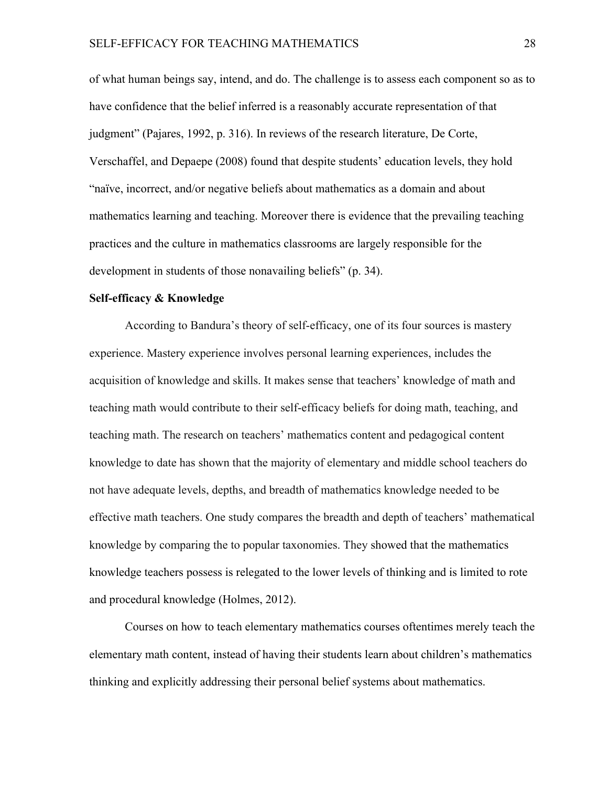of what human beings say, intend, and do. The challenge is to assess each component so as to have confidence that the belief inferred is a reasonably accurate representation of that judgment" (Pajares, 1992, p. 316). In reviews of the research literature, De Corte, Verschaffel, and Depaepe (2008) found that despite students' education levels, they hold "naïve, incorrect, and/or negative beliefs about mathematics as a domain and about mathematics learning and teaching. Moreover there is evidence that the prevailing teaching practices and the culture in mathematics classrooms are largely responsible for the development in students of those nonavailing beliefs" (p. 34).

## **Self-efficacy & Knowledge**

According to Bandura's theory of self-efficacy, one of its four sources is mastery experience. Mastery experience involves personal learning experiences, includes the acquisition of knowledge and skills. It makes sense that teachers' knowledge of math and teaching math would contribute to their self-efficacy beliefs for doing math, teaching, and teaching math. The research on teachers' mathematics content and pedagogical content knowledge to date has shown that the majority of elementary and middle school teachers do not have adequate levels, depths, and breadth of mathematics knowledge needed to be effective math teachers. One study compares the breadth and depth of teachers' mathematical knowledge by comparing the to popular taxonomies. They showed that the mathematics knowledge teachers possess is relegated to the lower levels of thinking and is limited to rote and procedural knowledge (Holmes, 2012).

Courses on how to teach elementary mathematics courses oftentimes merely teach the elementary math content, instead of having their students learn about children's mathematics thinking and explicitly addressing their personal belief systems about mathematics.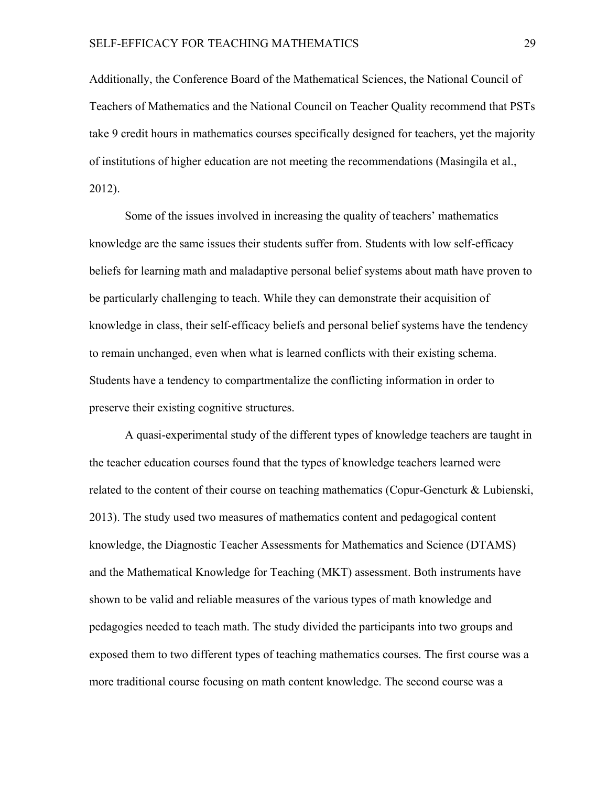Additionally, the Conference Board of the Mathematical Sciences, the National Council of Teachers of Mathematics and the National Council on Teacher Quality recommend that PSTs take 9 credit hours in mathematics courses specifically designed for teachers, yet the majority of institutions of higher education are not meeting the recommendations (Masingila et al., 2012).

Some of the issues involved in increasing the quality of teachers' mathematics knowledge are the same issues their students suffer from. Students with low self-efficacy beliefs for learning math and maladaptive personal belief systems about math have proven to be particularly challenging to teach. While they can demonstrate their acquisition of knowledge in class, their self-efficacy beliefs and personal belief systems have the tendency to remain unchanged, even when what is learned conflicts with their existing schema. Students have a tendency to compartmentalize the conflicting information in order to preserve their existing cognitive structures.

A quasi-experimental study of the different types of knowledge teachers are taught in the teacher education courses found that the types of knowledge teachers learned were related to the content of their course on teaching mathematics (Copur-Gencturk & Lubienski, 2013). The study used two measures of mathematics content and pedagogical content knowledge, the Diagnostic Teacher Assessments for Mathematics and Science (DTAMS) and the Mathematical Knowledge for Teaching (MKT) assessment. Both instruments have shown to be valid and reliable measures of the various types of math knowledge and pedagogies needed to teach math. The study divided the participants into two groups and exposed them to two different types of teaching mathematics courses. The first course was a more traditional course focusing on math content knowledge. The second course was a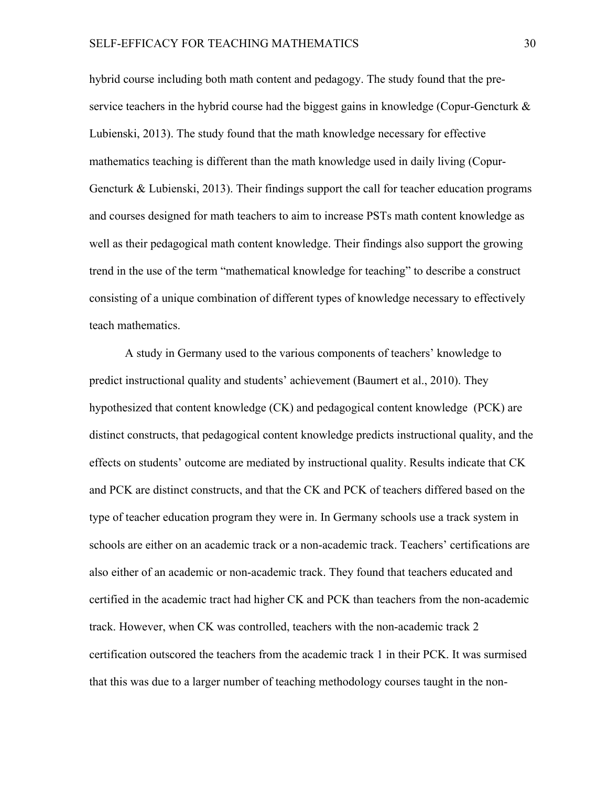hybrid course including both math content and pedagogy. The study found that the preservice teachers in the hybrid course had the biggest gains in knowledge (Copur-Gencturk  $\&$ Lubienski, 2013). The study found that the math knowledge necessary for effective mathematics teaching is different than the math knowledge used in daily living (Copur-Gencturk & Lubienski, 2013). Their findings support the call for teacher education programs and courses designed for math teachers to aim to increase PSTs math content knowledge as well as their pedagogical math content knowledge. Their findings also support the growing trend in the use of the term "mathematical knowledge for teaching" to describe a construct consisting of a unique combination of different types of knowledge necessary to effectively teach mathematics.

A study in Germany used to the various components of teachers' knowledge to predict instructional quality and students' achievement (Baumert et al., 2010). They hypothesized that content knowledge (CK) and pedagogical content knowledge (PCK) are distinct constructs, that pedagogical content knowledge predicts instructional quality, and the effects on students' outcome are mediated by instructional quality. Results indicate that CK and PCK are distinct constructs, and that the CK and PCK of teachers differed based on the type of teacher education program they were in. In Germany schools use a track system in schools are either on an academic track or a non-academic track. Teachers' certifications are also either of an academic or non-academic track. They found that teachers educated and certified in the academic tract had higher CK and PCK than teachers from the non-academic track. However, when CK was controlled, teachers with the non-academic track 2 certification outscored the teachers from the academic track 1 in their PCK. It was surmised that this was due to a larger number of teaching methodology courses taught in the non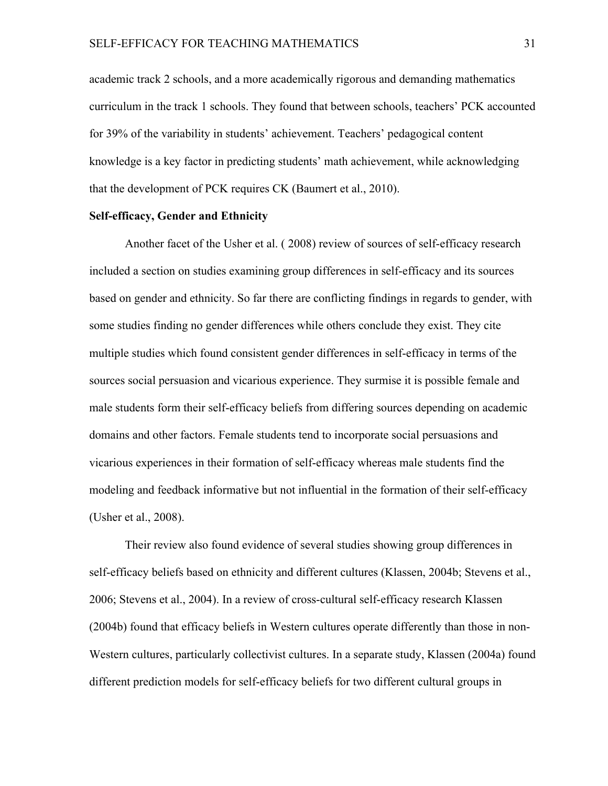academic track 2 schools, and a more academically rigorous and demanding mathematics curriculum in the track 1 schools. They found that between schools, teachers' PCK accounted for 39% of the variability in students' achievement. Teachers' pedagogical content knowledge is a key factor in predicting students' math achievement, while acknowledging that the development of PCK requires CK (Baumert et al., 2010).

## **Self-efficacy, Gender and Ethnicity**

Another facet of the Usher et al. ( 2008) review of sources of self-efficacy research included a section on studies examining group differences in self-efficacy and its sources based on gender and ethnicity. So far there are conflicting findings in regards to gender, with some studies finding no gender differences while others conclude they exist. They cite multiple studies which found consistent gender differences in self-efficacy in terms of the sources social persuasion and vicarious experience. They surmise it is possible female and male students form their self-efficacy beliefs from differing sources depending on academic domains and other factors. Female students tend to incorporate social persuasions and vicarious experiences in their formation of self-efficacy whereas male students find the modeling and feedback informative but not influential in the formation of their self-efficacy (Usher et al., 2008).

Their review also found evidence of several studies showing group differences in self-efficacy beliefs based on ethnicity and different cultures (Klassen, 2004b; Stevens et al., 2006; Stevens et al., 2004). In a review of cross-cultural self-efficacy research Klassen (2004b) found that efficacy beliefs in Western cultures operate differently than those in non-Western cultures, particularly collectivist cultures. In a separate study, Klassen (2004a) found different prediction models for self-efficacy beliefs for two different cultural groups in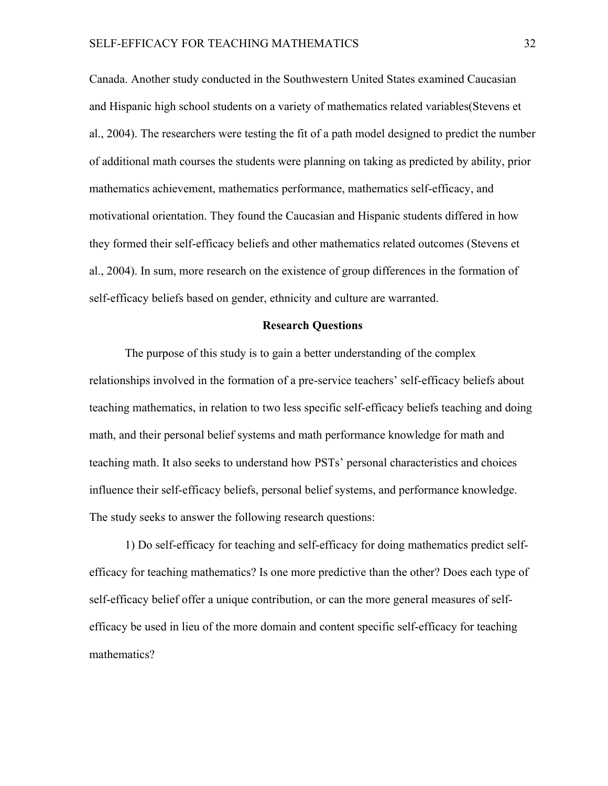Canada. Another study conducted in the Southwestern United States examined Caucasian and Hispanic high school students on a variety of mathematics related variables(Stevens et al., 2004). The researchers were testing the fit of a path model designed to predict the number of additional math courses the students were planning on taking as predicted by ability, prior mathematics achievement, mathematics performance, mathematics self-efficacy, and motivational orientation. They found the Caucasian and Hispanic students differed in how they formed their self-efficacy beliefs and other mathematics related outcomes (Stevens et al., 2004). In sum, more research on the existence of group differences in the formation of self-efficacy beliefs based on gender, ethnicity and culture are warranted.

## **Research Questions**

The purpose of this study is to gain a better understanding of the complex relationships involved in the formation of a pre-service teachers' self-efficacy beliefs about teaching mathematics, in relation to two less specific self-efficacy beliefs teaching and doing math, and their personal belief systems and math performance knowledge for math and teaching math. It also seeks to understand how PSTs' personal characteristics and choices influence their self-efficacy beliefs, personal belief systems, and performance knowledge. The study seeks to answer the following research questions:

1) Do self-efficacy for teaching and self-efficacy for doing mathematics predict selfefficacy for teaching mathematics? Is one more predictive than the other? Does each type of self-efficacy belief offer a unique contribution, or can the more general measures of selfefficacy be used in lieu of the more domain and content specific self-efficacy for teaching mathematics?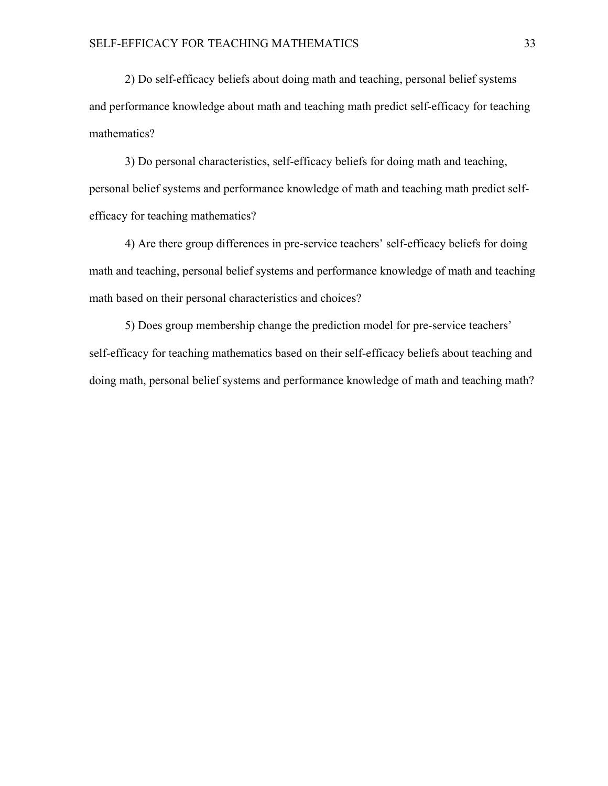2) Do self-efficacy beliefs about doing math and teaching, personal belief systems and performance knowledge about math and teaching math predict self-efficacy for teaching mathematics?

3) Do personal characteristics, self-efficacy beliefs for doing math and teaching, personal belief systems and performance knowledge of math and teaching math predict selfefficacy for teaching mathematics?

4) Are there group differences in pre-service teachers' self-efficacy beliefs for doing math and teaching, personal belief systems and performance knowledge of math and teaching math based on their personal characteristics and choices?

5) Does group membership change the prediction model for pre-service teachers' self-efficacy for teaching mathematics based on their self-efficacy beliefs about teaching and doing math, personal belief systems and performance knowledge of math and teaching math?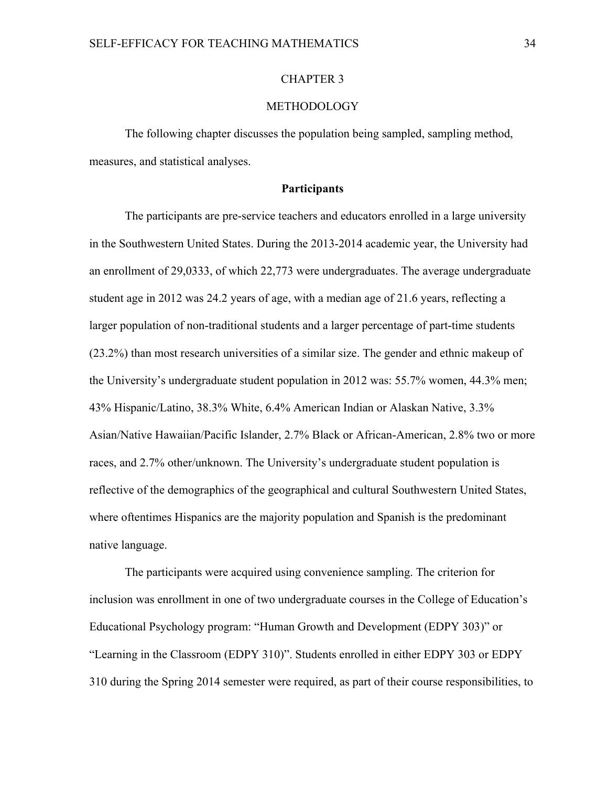## CHAPTER 3

## METHODOLOGY

The following chapter discusses the population being sampled, sampling method, measures, and statistical analyses.

## **Participants**

The participants are pre-service teachers and educators enrolled in a large university in the Southwestern United States. During the 2013-2014 academic year, the University had an enrollment of 29,0333, of which 22,773 were undergraduates. The average undergraduate student age in 2012 was 24.2 years of age, with a median age of 21.6 years, reflecting a larger population of non-traditional students and a larger percentage of part-time students (23.2%) than most research universities of a similar size. The gender and ethnic makeup of the University's undergraduate student population in 2012 was: 55.7% women, 44.3% men; 43% Hispanic/Latino, 38.3% White, 6.4% American Indian or Alaskan Native, 3.3% Asian/Native Hawaiian/Pacific Islander, 2.7% Black or African-American, 2.8% two or more races, and 2.7% other/unknown. The University's undergraduate student population is reflective of the demographics of the geographical and cultural Southwestern United States, where oftentimes Hispanics are the majority population and Spanish is the predominant native language.

The participants were acquired using convenience sampling. The criterion for inclusion was enrollment in one of two undergraduate courses in the College of Education's Educational Psychology program: "Human Growth and Development (EDPY 303)" or "Learning in the Classroom (EDPY 310)". Students enrolled in either EDPY 303 or EDPY 310 during the Spring 2014 semester were required, as part of their course responsibilities, to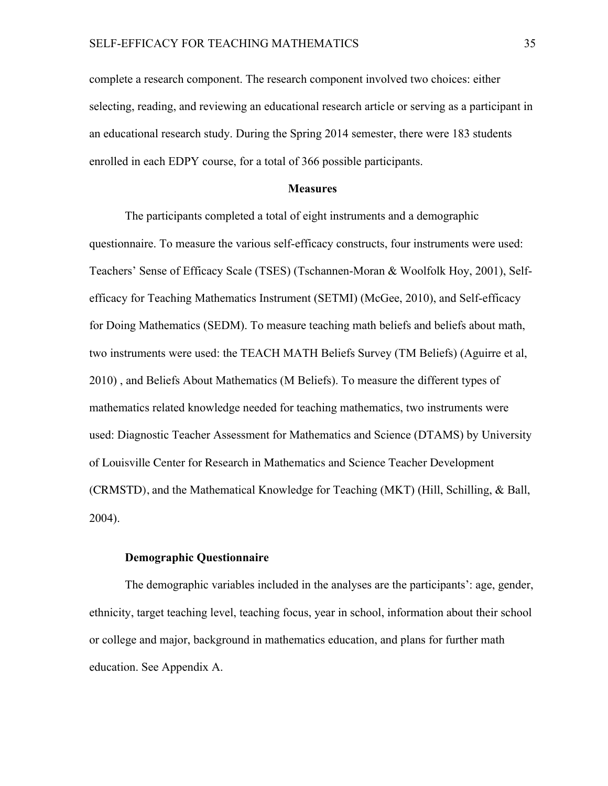complete a research component. The research component involved two choices: either selecting, reading, and reviewing an educational research article or serving as a participant in an educational research study. During the Spring 2014 semester, there were 183 students enrolled in each EDPY course, for a total of 366 possible participants.

## **Measures**

The participants completed a total of eight instruments and a demographic questionnaire. To measure the various self-efficacy constructs, four instruments were used: Teachers' Sense of Efficacy Scale (TSES) (Tschannen-Moran & Woolfolk Hoy, 2001), Selfefficacy for Teaching Mathematics Instrument (SETMI) (McGee, 2010), and Self-efficacy for Doing Mathematics (SEDM). To measure teaching math beliefs and beliefs about math, two instruments were used: the TEACH MATH Beliefs Survey (TM Beliefs) (Aguirre et al, 2010) , and Beliefs About Mathematics (M Beliefs). To measure the different types of mathematics related knowledge needed for teaching mathematics, two instruments were used: Diagnostic Teacher Assessment for Mathematics and Science (DTAMS) by University of Louisville Center for Research in Mathematics and Science Teacher Development (CRMSTD), and the Mathematical Knowledge for Teaching (MKT) (Hill, Schilling, & Ball, 2004).

## **Demographic Questionnaire**

The demographic variables included in the analyses are the participants': age, gender, ethnicity, target teaching level, teaching focus, year in school, information about their school or college and major, background in mathematics education, and plans for further math education. See Appendix A.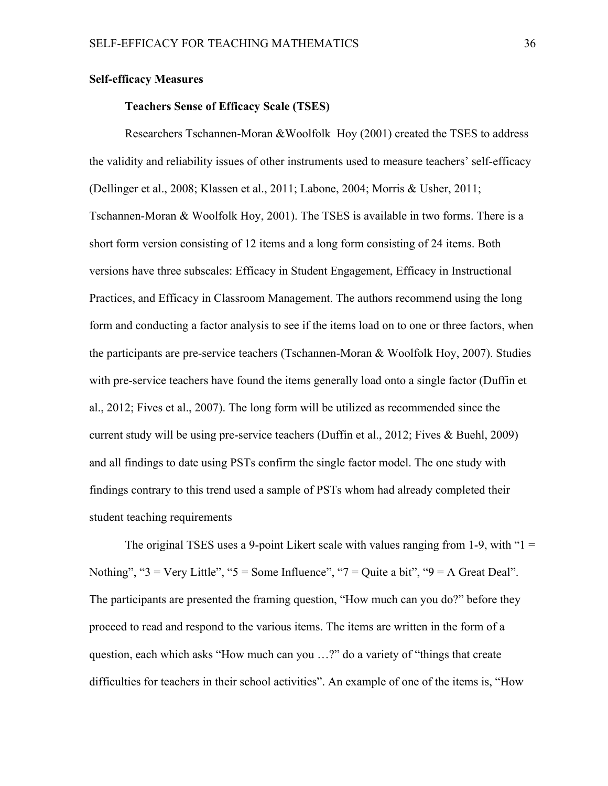## **Self-efficacy Measures**

## **Teachers Sense of Efficacy Scale (TSES)**

Researchers Tschannen-Moran &Woolfolk Hoy (2001) created the TSES to address the validity and reliability issues of other instruments used to measure teachers' self-efficacy (Dellinger et al., 2008; Klassen et al., 2011; Labone, 2004; Morris & Usher, 2011; Tschannen-Moran & Woolfolk Hoy, 2001). The TSES is available in two forms. There is a short form version consisting of 12 items and a long form consisting of 24 items. Both versions have three subscales: Efficacy in Student Engagement, Efficacy in Instructional Practices, and Efficacy in Classroom Management. The authors recommend using the long form and conducting a factor analysis to see if the items load on to one or three factors, when the participants are pre-service teachers (Tschannen-Moran & Woolfolk Hoy, 2007). Studies with pre-service teachers have found the items generally load onto a single factor (Duffin et al., 2012; Fives et al., 2007). The long form will be utilized as recommended since the current study will be using pre-service teachers (Duffin et al., 2012; Fives & Buehl, 2009) and all findings to date using PSTs confirm the single factor model. The one study with findings contrary to this trend used a sample of PSTs whom had already completed their student teaching requirements

The original TSES uses a 9-point Likert scale with values ranging from 1-9, with " $1 =$ Nothing", " $3 = \text{Very Little}$ ", " $5 = \text{Some Influence}$ ", " $7 = \text{Quite a bit}$ ", " $9 = \text{A Great Deal}$ ". The participants are presented the framing question, "How much can you do?" before they proceed to read and respond to the various items. The items are written in the form of a question, each which asks "How much can you …?" do a variety of "things that create difficulties for teachers in their school activities". An example of one of the items is, "How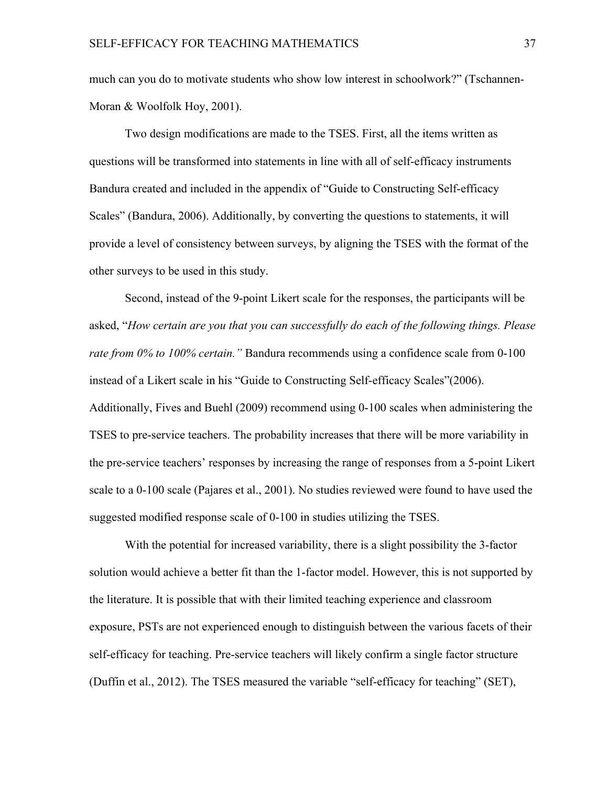much can you do to motivate students who show low interest in schoolwork?" (Tschannen-Moran & Woolfolk Hoy, 2001).

Two design modifications are made to the TSES. First, all the items written as questions will be transformed into statements in line with all of self-efficacy instruments Bandura created and included in the appendix of "Guide to Constructing Self-efficacy Scales" (Bandura, 2006). Additionally, by converting the questions to statements, it will provide a level of consistency between surveys, by aligning the TSES with the format of the other surveys to be used in this study.

Second, instead of the 9-point Likert scale for the responses, the participants will be asked, "*How certain are you that you can successfully do each of the following things. Please rate from 0% to 100% certain."* Bandura recommends using a confidence scale from 0-100 instead of a Likert scale in his "Guide to Constructing Self-efficacy Scales"(2006). Additionally, Fives and Buehl (2009) recommend using 0-100 scales when administering the TSES to pre-service teachers. The probability increases that there will be more variability in the pre-service teachers' responses by increasing the range of responses from a 5-point Likert scale to a 0-100 scale (Pajares et al., 2001). No studies reviewed were found to have used the suggested modified response scale of 0-100 in studies utilizing the TSES.

With the potential for increased variability, there is a slight possibility the 3-factor solution would achieve a better fit than the 1-factor model. However, this is not supported by the literature. It is possible that with their limited teaching experience and classroom exposure, PSTs are not experienced enough to distinguish between the various facets of their self-efficacy for teaching. Pre-service teachers will likely confirm a single factor structure (Duffin et al., 2012). The TSES measured the variable "self-efficacy for teaching" (SET),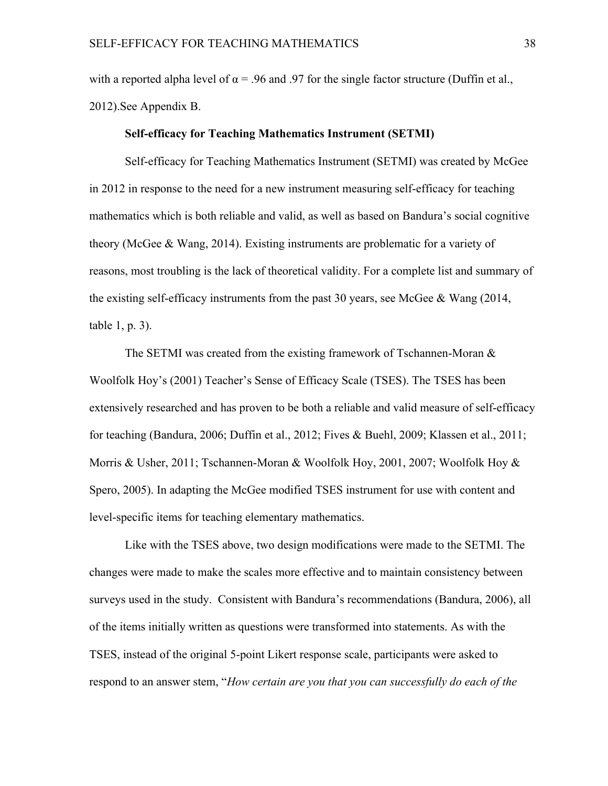with a reported alpha level of  $\alpha$  = .96 and .97 for the single factor structure (Duffin et al., 2012).See Appendix B.

#### **Self-efficacy for Teaching Mathematics Instrument (SETMI)**

Self-efficacy for Teaching Mathematics Instrument (SETMI) was created by McGee in 2012 in response to the need for a new instrument measuring self-efficacy for teaching mathematics which is both reliable and valid, as well as based on Bandura's social cognitive theory (McGee & Wang, 2014). Existing instruments are problematic for a variety of reasons, most troubling is the lack of theoretical validity. For a complete list and summary of the existing self-efficacy instruments from the past 30 years, see McGee  $\&$  Wang (2014, table 1, p. 3).

The SETMI was created from the existing framework of Tschannen-Moran & Woolfolk Hoy's (2001) Teacher's Sense of Efficacy Scale (TSES). The TSES has been extensively researched and has proven to be both a reliable and valid measure of self-efficacy for teaching (Bandura, 2006; Duffin et al., 2012; Fives & Buehl, 2009; Klassen et al., 2011; Morris & Usher, 2011; Tschannen-Moran & Woolfolk Hoy, 2001, 2007; Woolfolk Hoy & Spero, 2005). In adapting the McGee modified TSES instrument for use with content and level-specific items for teaching elementary mathematics.

Like with the TSES above, two design modifications were made to the SETMI. The changes were made to make the scales more effective and to maintain consistency between surveys used in the study. Consistent with Bandura's recommendations (Bandura, 2006), all of the items initially written as questions were transformed into statements. As with the TSES, instead of the original 5-point Likert response scale, participants were asked to respond to an answer stem, "*How certain are you that you can successfully do each of the*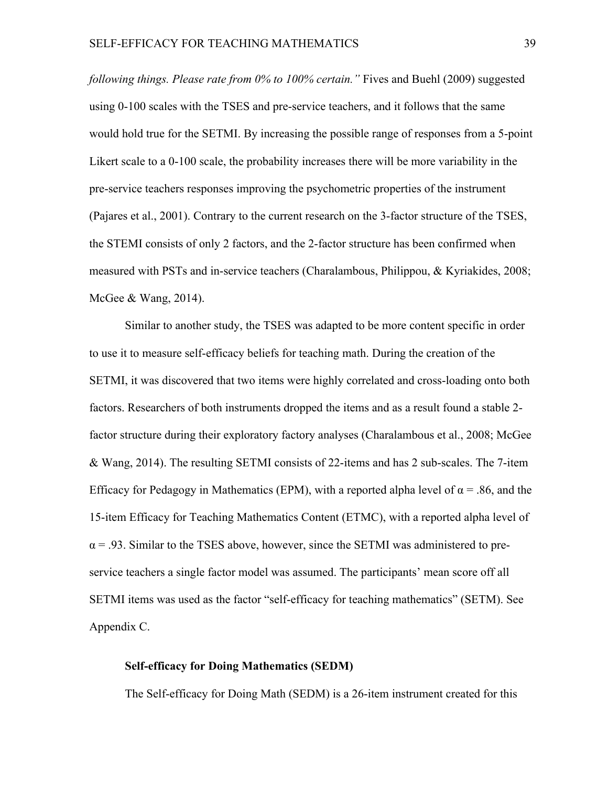*following things. Please rate from 0% to 100% certain."* Fives and Buehl (2009) suggested using 0-100 scales with the TSES and pre-service teachers, and it follows that the same would hold true for the SETMI. By increasing the possible range of responses from a 5-point Likert scale to a 0-100 scale, the probability increases there will be more variability in the pre-service teachers responses improving the psychometric properties of the instrument (Pajares et al., 2001). Contrary to the current research on the 3-factor structure of the TSES, the STEMI consists of only 2 factors, and the 2-factor structure has been confirmed when measured with PSTs and in-service teachers (Charalambous, Philippou, & Kyriakides, 2008; McGee & Wang, 2014).

Similar to another study, the TSES was adapted to be more content specific in order to use it to measure self-efficacy beliefs for teaching math. During the creation of the SETMI, it was discovered that two items were highly correlated and cross-loading onto both factors. Researchers of both instruments dropped the items and as a result found a stable 2 factor structure during their exploratory factory analyses (Charalambous et al., 2008; McGee & Wang, 2014). The resulting SETMI consists of 22-items and has 2 sub-scales. The 7-item Efficacy for Pedagogy in Mathematics (EPM), with a reported alpha level of  $\alpha$  = .86, and the 15-item Efficacy for Teaching Mathematics Content (ETMC), with a reported alpha level of  $\alpha$  = .93. Similar to the TSES above, however, since the SETMI was administered to preservice teachers a single factor model was assumed. The participants' mean score off all SETMI items was used as the factor "self-efficacy for teaching mathematics" (SETM). See Appendix C.

## **Self-efficacy for Doing Mathematics (SEDM)**

The Self-efficacy for Doing Math (SEDM) is a 26-item instrument created for this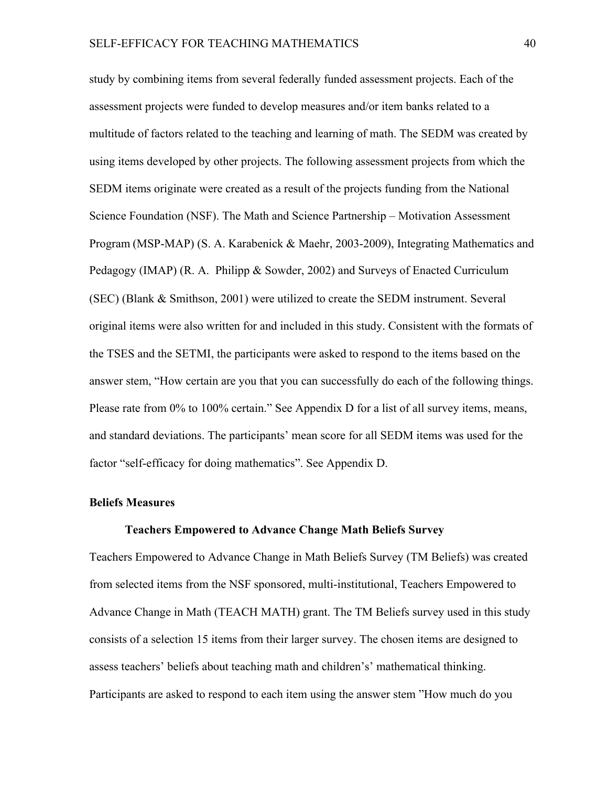study by combining items from several federally funded assessment projects. Each of the assessment projects were funded to develop measures and/or item banks related to a multitude of factors related to the teaching and learning of math. The SEDM was created by using items developed by other projects. The following assessment projects from which the SEDM items originate were created as a result of the projects funding from the National Science Foundation (NSF). The Math and Science Partnership – Motivation Assessment Program (MSP-MAP) (S. A. Karabenick & Maehr, 2003-2009), Integrating Mathematics and Pedagogy (IMAP) (R. A. Philipp & Sowder, 2002) and Surveys of Enacted Curriculum (SEC) (Blank & Smithson, 2001) were utilized to create the SEDM instrument. Several original items were also written for and included in this study. Consistent with the formats of the TSES and the SETMI, the participants were asked to respond to the items based on the answer stem, "How certain are you that you can successfully do each of the following things. Please rate from 0% to 100% certain." See Appendix D for a list of all survey items, means, and standard deviations. The participants' mean score for all SEDM items was used for the factor "self-efficacy for doing mathematics". See Appendix D.

## **Beliefs Measures**

## **Teachers Empowered to Advance Change Math Beliefs Survey**

Teachers Empowered to Advance Change in Math Beliefs Survey (TM Beliefs) was created from selected items from the NSF sponsored, multi-institutional, Teachers Empowered to Advance Change in Math (TEACH MATH) grant. The TM Beliefs survey used in this study consists of a selection 15 items from their larger survey. The chosen items are designed to assess teachers' beliefs about teaching math and children's' mathematical thinking. Participants are asked to respond to each item using the answer stem "How much do you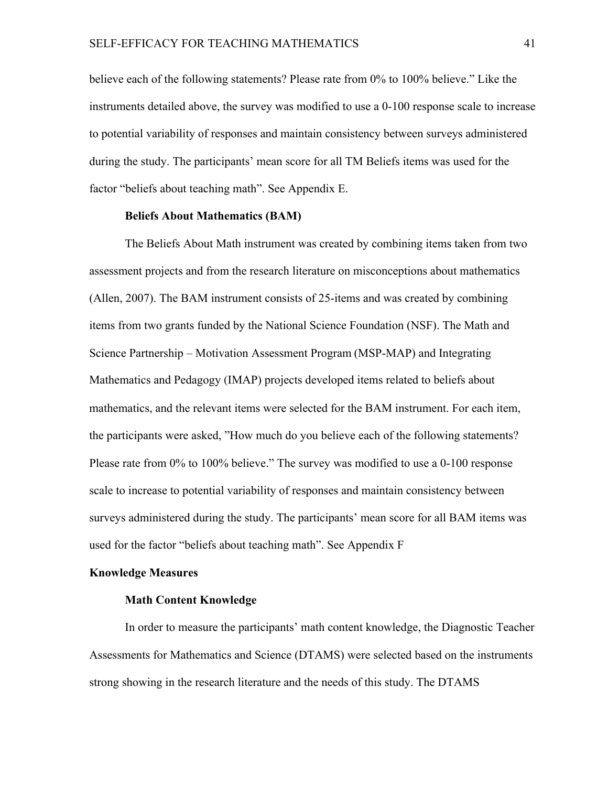believe each of the following statements? Please rate from 0% to 100% believe." Like the instruments detailed above, the survey was modified to use a 0-100 response scale to increase to potential variability of responses and maintain consistency between surveys administered during the study. The participants' mean score for all TM Beliefs items was used for the factor "beliefs about teaching math". See Appendix E.

## **Beliefs About Mathematics (BAM)**

The Beliefs About Math instrument was created by combining items taken from two assessment projects and from the research literature on misconceptions about mathematics (Allen, 2007). The BAM instrument consists of 25-items and was created by combining items from two grants funded by the National Science Foundation (NSF). The Math and Science Partnership – Motivation Assessment Program (MSP-MAP) and Integrating Mathematics and Pedagogy (IMAP) projects developed items related to beliefs about mathematics, and the relevant items were selected for the BAM instrument. For each item, the participants were asked, "How much do you believe each of the following statements? Please rate from 0% to 100% believe." The survey was modified to use a 0-100 response scale to increase to potential variability of responses and maintain consistency between surveys administered during the study. The participants' mean score for all BAM items was used for the factor "beliefs about teaching math". See Appendix F

## **Knowledge Measures**

## **Math Content Knowledge**

In order to measure the participants' math content knowledge, the Diagnostic Teacher Assessments for Mathematics and Science (DTAMS) were selected based on the instruments strong showing in the research literature and the needs of this study. The DTAMS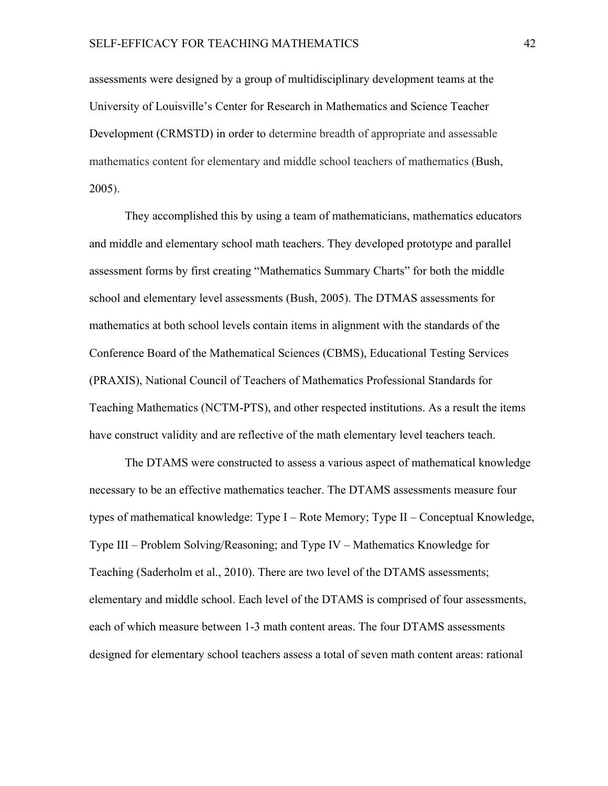assessments were designed by a group of multidisciplinary development teams at the University of Louisville's Center for Research in Mathematics and Science Teacher Development (CRMSTD) in order to determine breadth of appropriate and assessable mathematics content for elementary and middle school teachers of mathematics (Bush, 2005).

They accomplished this by using a team of mathematicians, mathematics educators and middle and elementary school math teachers. They developed prototype and parallel assessment forms by first creating "Mathematics Summary Charts" for both the middle school and elementary level assessments (Bush, 2005). The DTMAS assessments for mathematics at both school levels contain items in alignment with the standards of the Conference Board of the Mathematical Sciences (CBMS), Educational Testing Services (PRAXIS), National Council of Teachers of Mathematics Professional Standards for Teaching Mathematics (NCTM-PTS), and other respected institutions. As a result the items have construct validity and are reflective of the math elementary level teachers teach.

The DTAMS were constructed to assess a various aspect of mathematical knowledge necessary to be an effective mathematics teacher. The DTAMS assessments measure four types of mathematical knowledge: Type I – Rote Memory; Type II – Conceptual Knowledge, Type III – Problem Solving/Reasoning; and Type IV – Mathematics Knowledge for Teaching (Saderholm et al., 2010). There are two level of the DTAMS assessments; elementary and middle school. Each level of the DTAMS is comprised of four assessments, each of which measure between 1-3 math content areas. The four DTAMS assessments designed for elementary school teachers assess a total of seven math content areas: rational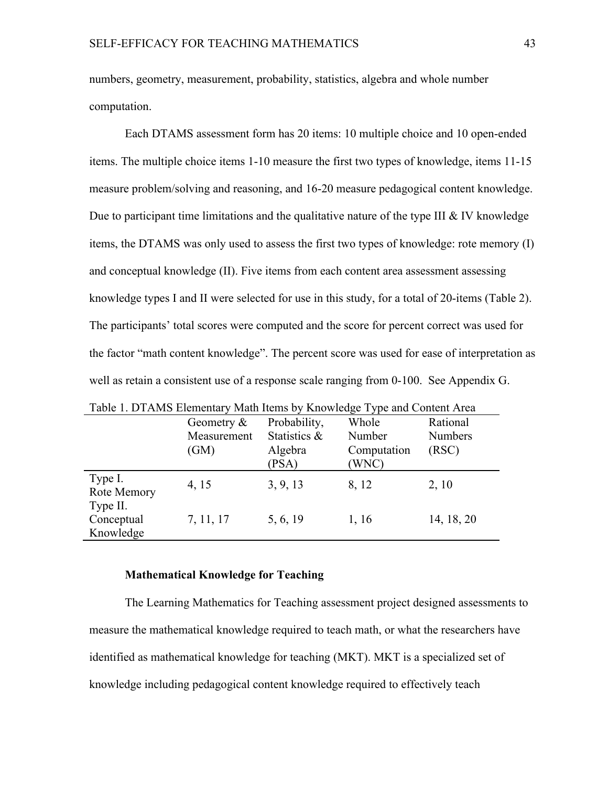numbers, geometry, measurement, probability, statistics, algebra and whole number computation.

Each DTAMS assessment form has 20 items: 10 multiple choice and 10 open-ended items. The multiple choice items 1-10 measure the first two types of knowledge, items 11-15 measure problem/solving and reasoning, and 16-20 measure pedagogical content knowledge. Due to participant time limitations and the qualitative nature of the type III  $&$  IV knowledge items, the DTAMS was only used to assess the first two types of knowledge: rote memory (I) and conceptual knowledge (II). Five items from each content area assessment assessing knowledge types I and II were selected for use in this study, for a total of 20-items (Table 2). The participants' total scores were computed and the score for percent correct was used for the factor "math content knowledge". The percent score was used for ease of interpretation as well as retain a consistent use of a response scale ranging from 0-100. See Appendix G.

| Table 1. DTAMS Elementary Math Items by Knowledge Type and Content Area |               |              |             |                |  |  |  |  |
|-------------------------------------------------------------------------|---------------|--------------|-------------|----------------|--|--|--|--|
|                                                                         | Geometry $\&$ | Probability, | Whole       | Rational       |  |  |  |  |
|                                                                         | Measurement   | Statistics & | Number      | <b>Numbers</b> |  |  |  |  |
|                                                                         | (GM)          | Algebra      | Computation | (RSC)          |  |  |  |  |
|                                                                         |               | (PSA)        | (WNC)       |                |  |  |  |  |
| Type I.<br>Rote Memory                                                  | 4, 15         | 3, 9, 13     | 8, 12       | 2, 10          |  |  |  |  |
| Type II.<br>Conceptual                                                  | 7, 11, 17     | 5, 6, 19     | 1, 16       | 14, 18, 20     |  |  |  |  |
| Knowledge                                                               |               |              |             |                |  |  |  |  |

#### **Mathematical Knowledge for Teaching**

The Learning Mathematics for Teaching assessment project designed assessments to measure the mathematical knowledge required to teach math, or what the researchers have identified as mathematical knowledge for teaching (MKT). MKT is a specialized set of knowledge including pedagogical content knowledge required to effectively teach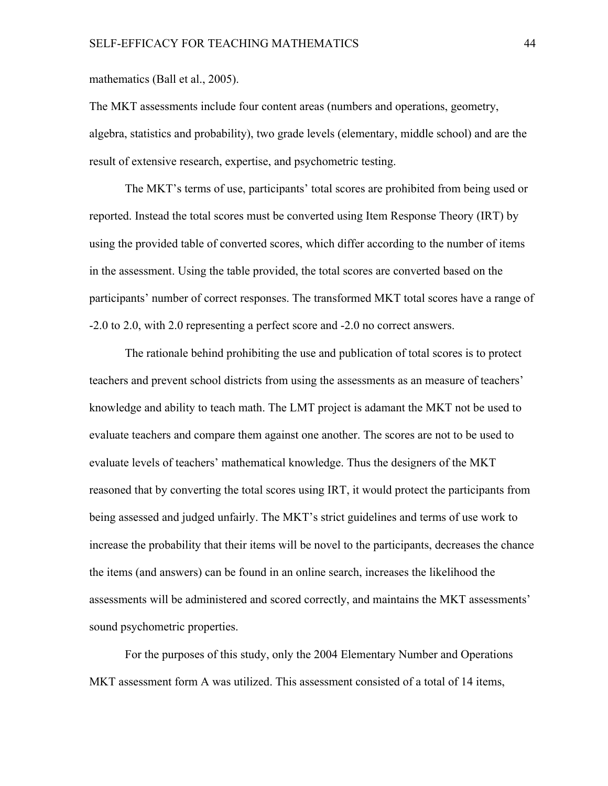mathematics (Ball et al., 2005).

The MKT assessments include four content areas (numbers and operations, geometry, algebra, statistics and probability), two grade levels (elementary, middle school) and are the result of extensive research, expertise, and psychometric testing.

The MKT's terms of use, participants' total scores are prohibited from being used or reported. Instead the total scores must be converted using Item Response Theory (IRT) by using the provided table of converted scores, which differ according to the number of items in the assessment. Using the table provided, the total scores are converted based on the participants' number of correct responses. The transformed MKT total scores have a range of -2.0 to 2.0, with 2.0 representing a perfect score and -2.0 no correct answers.

The rationale behind prohibiting the use and publication of total scores is to protect teachers and prevent school districts from using the assessments as an measure of teachers' knowledge and ability to teach math. The LMT project is adamant the MKT not be used to evaluate teachers and compare them against one another. The scores are not to be used to evaluate levels of teachers' mathematical knowledge. Thus the designers of the MKT reasoned that by converting the total scores using IRT, it would protect the participants from being assessed and judged unfairly. The MKT's strict guidelines and terms of use work to increase the probability that their items will be novel to the participants, decreases the chance the items (and answers) can be found in an online search, increases the likelihood the assessments will be administered and scored correctly, and maintains the MKT assessments' sound psychometric properties.

For the purposes of this study, only the 2004 Elementary Number and Operations MKT assessment form A was utilized. This assessment consisted of a total of 14 items,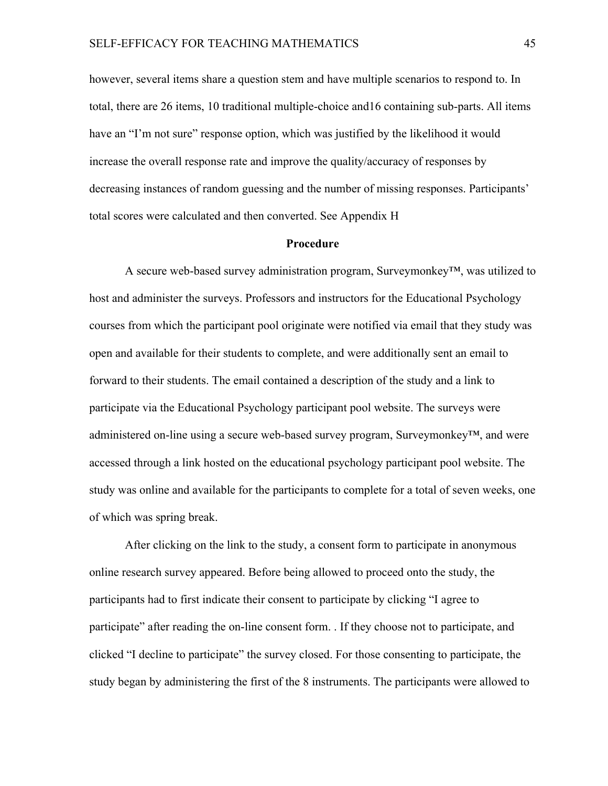however, several items share a question stem and have multiple scenarios to respond to. In total, there are 26 items, 10 traditional multiple-choice and16 containing sub-parts. All items have an "I'm not sure" response option, which was justified by the likelihood it would increase the overall response rate and improve the quality/accuracy of responses by decreasing instances of random guessing and the number of missing responses. Participants' total scores were calculated and then converted. See Appendix H

#### **Procedure**

A secure web-based survey administration program, Surveymonkey™, was utilized to host and administer the surveys. Professors and instructors for the Educational Psychology courses from which the participant pool originate were notified via email that they study was open and available for their students to complete, and were additionally sent an email to forward to their students. The email contained a description of the study and a link to participate via the Educational Psychology participant pool website. The surveys were administered on-line using a secure web-based survey program, Surveymonkey<sup>TM</sup>, and were accessed through a link hosted on the educational psychology participant pool website. The study was online and available for the participants to complete for a total of seven weeks, one of which was spring break.

After clicking on the link to the study, a consent form to participate in anonymous online research survey appeared. Before being allowed to proceed onto the study, the participants had to first indicate their consent to participate by clicking "I agree to participate" after reading the on-line consent form. . If they choose not to participate, and clicked "I decline to participate" the survey closed. For those consenting to participate, the study began by administering the first of the 8 instruments. The participants were allowed to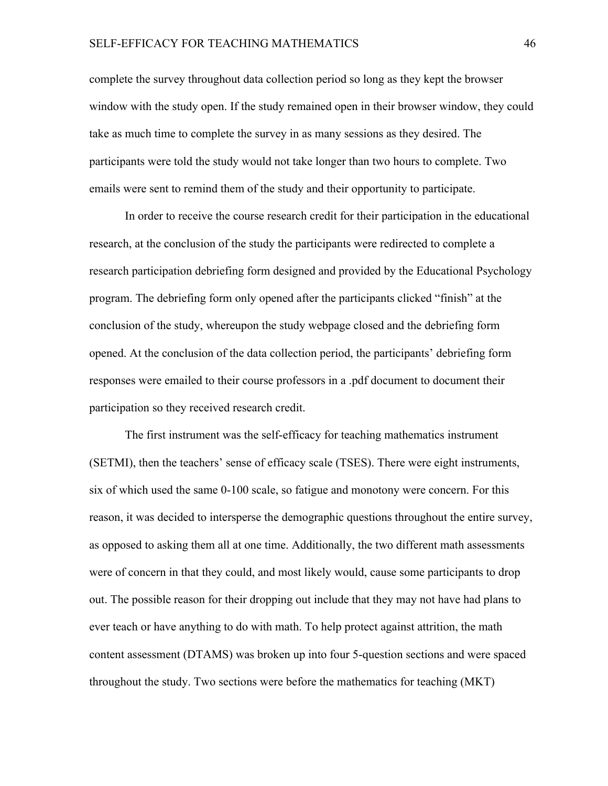## SELF-EFFICACY FOR TEACHING MATHEMATICS 46

complete the survey throughout data collection period so long as they kept the browser window with the study open. If the study remained open in their browser window, they could take as much time to complete the survey in as many sessions as they desired. The participants were told the study would not take longer than two hours to complete. Two emails were sent to remind them of the study and their opportunity to participate.

In order to receive the course research credit for their participation in the educational research, at the conclusion of the study the participants were redirected to complete a research participation debriefing form designed and provided by the Educational Psychology program. The debriefing form only opened after the participants clicked "finish" at the conclusion of the study, whereupon the study webpage closed and the debriefing form opened. At the conclusion of the data collection period, the participants' debriefing form responses were emailed to their course professors in a .pdf document to document their participation so they received research credit.

The first instrument was the self-efficacy for teaching mathematics instrument (SETMI), then the teachers' sense of efficacy scale (TSES). There were eight instruments, six of which used the same 0-100 scale, so fatigue and monotony were concern. For this reason, it was decided to intersperse the demographic questions throughout the entire survey, as opposed to asking them all at one time. Additionally, the two different math assessments were of concern in that they could, and most likely would, cause some participants to drop out. The possible reason for their dropping out include that they may not have had plans to ever teach or have anything to do with math. To help protect against attrition, the math content assessment (DTAMS) was broken up into four 5-question sections and were spaced throughout the study. Two sections were before the mathematics for teaching (MKT)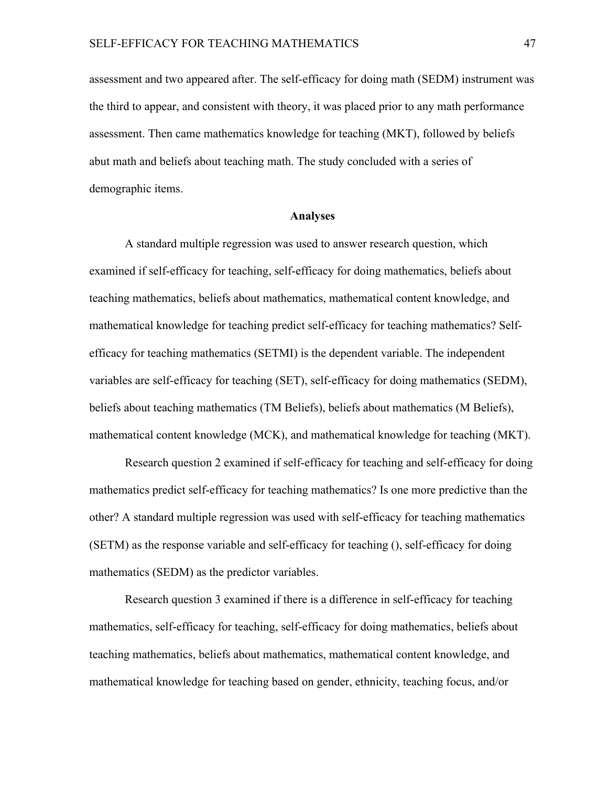assessment and two appeared after. The self-efficacy for doing math (SEDM) instrument was the third to appear, and consistent with theory, it was placed prior to any math performance assessment. Then came mathematics knowledge for teaching (MKT), followed by beliefs abut math and beliefs about teaching math. The study concluded with a series of demographic items.

## **Analyses**

A standard multiple regression was used to answer research question, which examined if self-efficacy for teaching, self-efficacy for doing mathematics, beliefs about teaching mathematics, beliefs about mathematics, mathematical content knowledge, and mathematical knowledge for teaching predict self-efficacy for teaching mathematics? Selfefficacy for teaching mathematics (SETMI) is the dependent variable. The independent variables are self-efficacy for teaching (SET), self-efficacy for doing mathematics (SEDM), beliefs about teaching mathematics (TM Beliefs), beliefs about mathematics (M Beliefs), mathematical content knowledge (MCK), and mathematical knowledge for teaching (MKT).

Research question 2 examined if self-efficacy for teaching and self-efficacy for doing mathematics predict self-efficacy for teaching mathematics? Is one more predictive than the other? A standard multiple regression was used with self-efficacy for teaching mathematics (SETM) as the response variable and self-efficacy for teaching (), self-efficacy for doing mathematics (SEDM) as the predictor variables.

Research question 3 examined if there is a difference in self-efficacy for teaching mathematics, self-efficacy for teaching, self-efficacy for doing mathematics, beliefs about teaching mathematics, beliefs about mathematics, mathematical content knowledge, and mathematical knowledge for teaching based on gender, ethnicity, teaching focus, and/or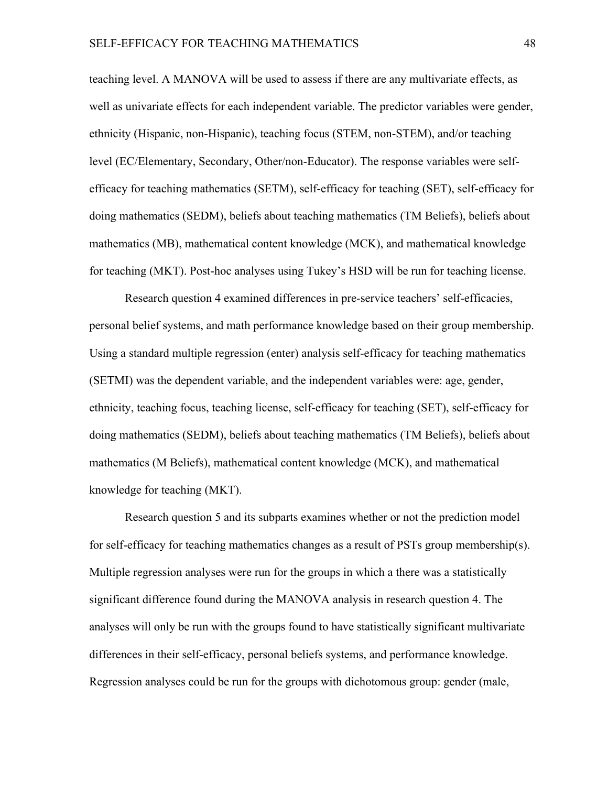teaching level. A MANOVA will be used to assess if there are any multivariate effects, as well as univariate effects for each independent variable. The predictor variables were gender, ethnicity (Hispanic, non-Hispanic), teaching focus (STEM, non-STEM), and/or teaching level (EC/Elementary, Secondary, Other/non-Educator). The response variables were selfefficacy for teaching mathematics (SETM), self-efficacy for teaching (SET), self-efficacy for doing mathematics (SEDM), beliefs about teaching mathematics (TM Beliefs), beliefs about mathematics (MB), mathematical content knowledge (MCK), and mathematical knowledge for teaching (MKT). Post-hoc analyses using Tukey's HSD will be run for teaching license.

Research question 4 examined differences in pre-service teachers' self-efficacies, personal belief systems, and math performance knowledge based on their group membership. Using a standard multiple regression (enter) analysis self-efficacy for teaching mathematics (SETMI) was the dependent variable, and the independent variables were: age, gender, ethnicity, teaching focus, teaching license, self-efficacy for teaching (SET), self-efficacy for doing mathematics (SEDM), beliefs about teaching mathematics (TM Beliefs), beliefs about mathematics (M Beliefs), mathematical content knowledge (MCK), and mathematical knowledge for teaching (MKT).

Research question 5 and its subparts examines whether or not the prediction model for self-efficacy for teaching mathematics changes as a result of PSTs group membership(s). Multiple regression analyses were run for the groups in which a there was a statistically significant difference found during the MANOVA analysis in research question 4. The analyses will only be run with the groups found to have statistically significant multivariate differences in their self-efficacy, personal beliefs systems, and performance knowledge. Regression analyses could be run for the groups with dichotomous group: gender (male,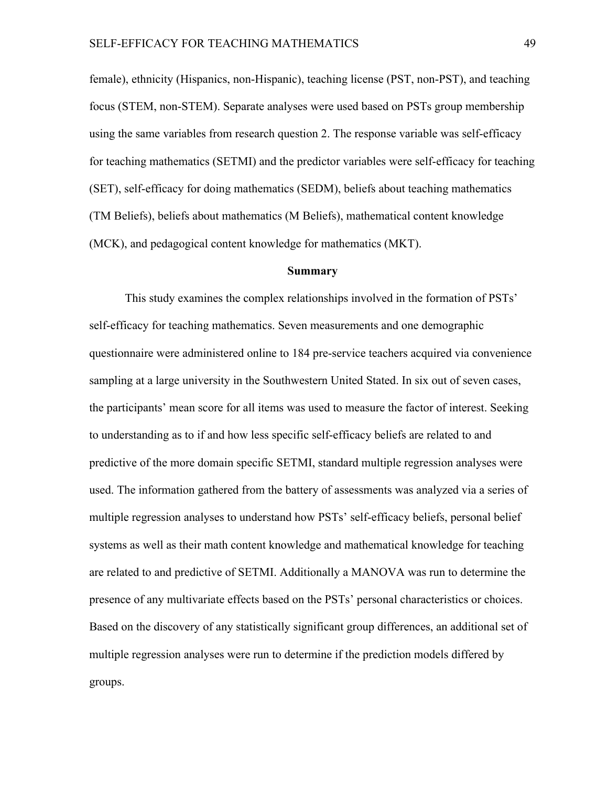female), ethnicity (Hispanics, non-Hispanic), teaching license (PST, non-PST), and teaching focus (STEM, non-STEM). Separate analyses were used based on PSTs group membership using the same variables from research question 2. The response variable was self-efficacy for teaching mathematics (SETMI) and the predictor variables were self-efficacy for teaching (SET), self-efficacy for doing mathematics (SEDM), beliefs about teaching mathematics (TM Beliefs), beliefs about mathematics (M Beliefs), mathematical content knowledge (MCK), and pedagogical content knowledge for mathematics (MKT).

### **Summary**

This study examines the complex relationships involved in the formation of PSTs' self-efficacy for teaching mathematics. Seven measurements and one demographic questionnaire were administered online to 184 pre-service teachers acquired via convenience sampling at a large university in the Southwestern United Stated. In six out of seven cases, the participants' mean score for all items was used to measure the factor of interest. Seeking to understanding as to if and how less specific self-efficacy beliefs are related to and predictive of the more domain specific SETMI, standard multiple regression analyses were used. The information gathered from the battery of assessments was analyzed via a series of multiple regression analyses to understand how PSTs' self-efficacy beliefs, personal belief systems as well as their math content knowledge and mathematical knowledge for teaching are related to and predictive of SETMI. Additionally a MANOVA was run to determine the presence of any multivariate effects based on the PSTs' personal characteristics or choices. Based on the discovery of any statistically significant group differences, an additional set of multiple regression analyses were run to determine if the prediction models differed by groups.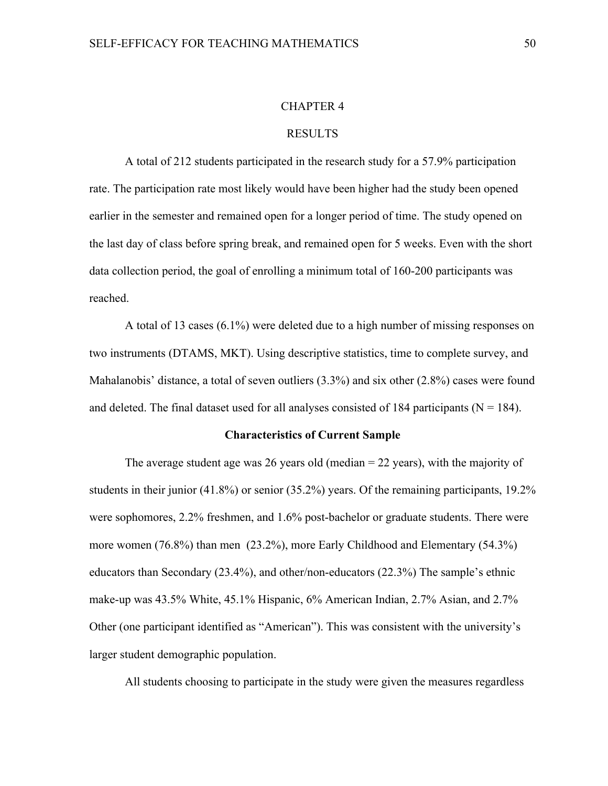## CHAPTER 4

## RESULTS

A total of 212 students participated in the research study for a 57.9% participation rate. The participation rate most likely would have been higher had the study been opened earlier in the semester and remained open for a longer period of time. The study opened on the last day of class before spring break, and remained open for 5 weeks. Even with the short data collection period, the goal of enrolling a minimum total of 160-200 participants was reached.

A total of 13 cases (6.1%) were deleted due to a high number of missing responses on two instruments (DTAMS, MKT). Using descriptive statistics, time to complete survey, and Mahalanobis' distance, a total of seven outliers (3.3%) and six other (2.8%) cases were found and deleted. The final dataset used for all analyses consisted of 184 participants ( $N = 184$ ).

## **Characteristics of Current Sample**

The average student age was 26 years old (median  $=$  22 years), with the majority of students in their junior (41.8%) or senior (35.2%) years. Of the remaining participants, 19.2% were sophomores, 2.2% freshmen, and 1.6% post-bachelor or graduate students. There were more women (76.8%) than men (23.2%), more Early Childhood and Elementary (54.3%) educators than Secondary (23.4%), and other/non-educators (22.3%) The sample's ethnic make-up was 43.5% White, 45.1% Hispanic, 6% American Indian, 2.7% Asian, and 2.7% Other (one participant identified as "American"). This was consistent with the university's larger student demographic population.

All students choosing to participate in the study were given the measures regardless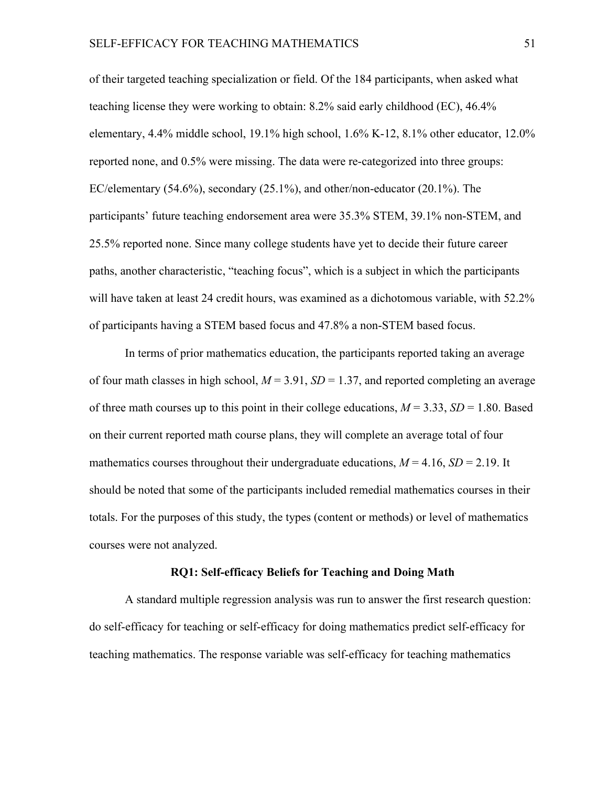of their targeted teaching specialization or field. Of the 184 participants, when asked what teaching license they were working to obtain: 8.2% said early childhood (EC), 46.4% elementary, 4.4% middle school, 19.1% high school, 1.6% K-12, 8.1% other educator, 12.0% reported none, and 0.5% were missing. The data were re-categorized into three groups: EC/elementary (54.6%), secondary (25.1%), and other/non-educator (20.1%). The participants' future teaching endorsement area were 35.3% STEM, 39.1% non-STEM, and 25.5% reported none. Since many college students have yet to decide their future career paths, another characteristic, "teaching focus", which is a subject in which the participants will have taken at least 24 credit hours, was examined as a dichotomous variable, with 52.2% of participants having a STEM based focus and 47.8% a non-STEM based focus.

In terms of prior mathematics education, the participants reported taking an average of four math classes in high school,  $M = 3.91$ ,  $SD = 1.37$ , and reported completing an average of three math courses up to this point in their college educations,  $M = 3.33$ ,  $SD = 1.80$ . Based on their current reported math course plans, they will complete an average total of four mathematics courses throughout their undergraduate educations,  $M = 4.16$ ,  $SD = 2.19$ . It should be noted that some of the participants included remedial mathematics courses in their totals. For the purposes of this study, the types (content or methods) or level of mathematics courses were not analyzed.

## **RQ1: Self-efficacy Beliefs for Teaching and Doing Math**

A standard multiple regression analysis was run to answer the first research question: do self-efficacy for teaching or self-efficacy for doing mathematics predict self-efficacy for teaching mathematics. The response variable was self-efficacy for teaching mathematics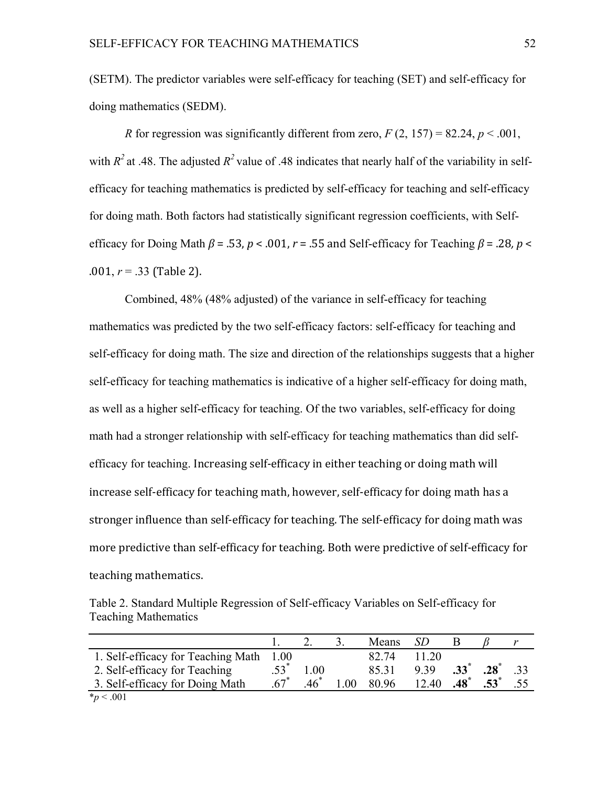(SETM). The predictor variables were self-efficacy for teaching (SET) and self-efficacy for doing mathematics (SEDM).

*R* for regression was significantly different from zero,  $F(2, 157) = 82.24$ ,  $p < .001$ , with  $R^2$  at .48. The adjusted  $R^2$  value of .48 indicates that nearly half of the variability in selfefficacy for teaching mathematics is predicted by self-efficacy for teaching and self-efficacy for doing math. Both factors had statistically significant regression coefficients, with Selfefficacy for Doing Math  $\beta$  = .53,  $p < .001$ ,  $r = .55$  and Self-efficacy for Teaching  $\beta$  = .28,  $p <$  $.001, r = .33$  (Table 2).

Combined, 48% (48% adjusted) of the variance in self-efficacy for teaching mathematics was predicted by the two self-efficacy factors: self-efficacy for teaching and self-efficacy for doing math. The size and direction of the relationships suggests that a higher self-efficacy for teaching mathematics is indicative of a higher self-efficacy for doing math, as well as a higher self-efficacy for teaching. Of the two variables, self-efficacy for doing math had a stronger relationship with self-efficacy for teaching mathematics than did selfefficacy for teaching. Increasing self-efficacy in either teaching or doing math will increase self-efficacy for teaching math, however, self-efficacy for doing math has a stronger influence than self-efficacy for teaching. The self-efficacy for doing math was more predictive than self-efficacy for teaching. Both were predictive of self-efficacy for teaching mathematics.

Table 2. Standard Multiple Regression of Self-efficacy Variables on Self-efficacy for Teaching Mathematics

|                                    |      |        |      | Means | SD    |                 |        |  |
|------------------------------------|------|--------|------|-------|-------|-----------------|--------|--|
| 1. Self-efficacy for Teaching Math | 1.00 |        |      | 82.74 | 11.20 |                 |        |  |
| 2. Self-efficacy for Teaching      |      | 1.00   |      | 85.31 | 9 3 9 | $.33^{*}$       | .28    |  |
| 3. Self-efficacy for Doing Math    |      | $.46*$ | 0.01 | 80.96 | 12.40 | $.48^{\degree}$ | $.53*$ |  |
| $*_p$ < .001                       |      |        |      |       |       |                 |        |  |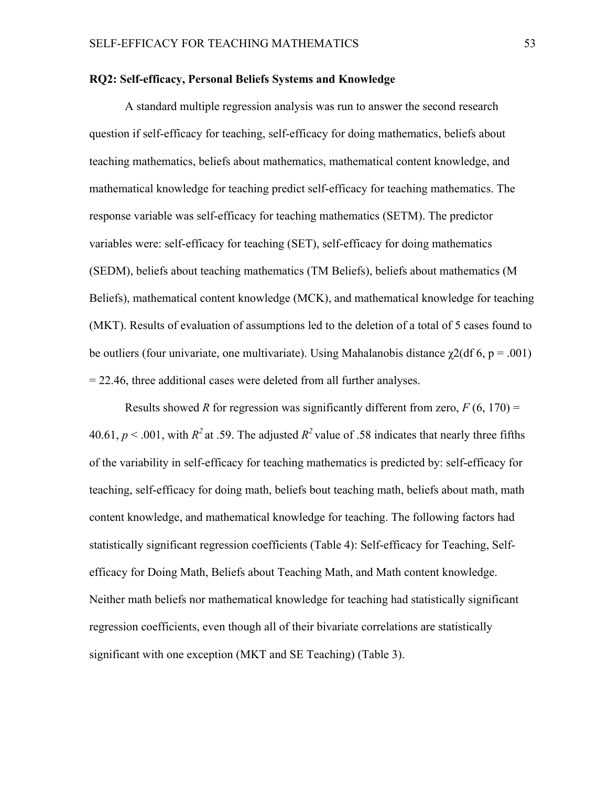## **RQ2: Self-efficacy, Personal Beliefs Systems and Knowledge**

A standard multiple regression analysis was run to answer the second research question if self-efficacy for teaching, self-efficacy for doing mathematics, beliefs about teaching mathematics, beliefs about mathematics, mathematical content knowledge, and mathematical knowledge for teaching predict self-efficacy for teaching mathematics. The response variable was self-efficacy for teaching mathematics (SETM). The predictor variables were: self-efficacy for teaching (SET), self-efficacy for doing mathematics (SEDM), beliefs about teaching mathematics (TM Beliefs), beliefs about mathematics (M Beliefs), mathematical content knowledge (MCK), and mathematical knowledge for teaching (MKT). Results of evaluation of assumptions led to the deletion of a total of 5 cases found to be outliers (four univariate, one multivariate). Using Mahalanobis distance  $\chi$ 2(df 6, p = .001) = 22.46, three additional cases were deleted from all further analyses.

Results showed *R* for regression was significantly different from zero,  $F(6, 170) =$ 40.61,  $p < .001$ , with  $R^2$  at .59. The adjusted  $R^2$  value of .58 indicates that nearly three fifths of the variability in self-efficacy for teaching mathematics is predicted by: self-efficacy for teaching, self-efficacy for doing math, beliefs bout teaching math, beliefs about math, math content knowledge, and mathematical knowledge for teaching. The following factors had statistically significant regression coefficients (Table 4): Self-efficacy for Teaching, Selfefficacy for Doing Math, Beliefs about Teaching Math, and Math content knowledge. Neither math beliefs nor mathematical knowledge for teaching had statistically significant regression coefficients, even though all of their bivariate correlations are statistically significant with one exception (MKT and SE Teaching) (Table 3).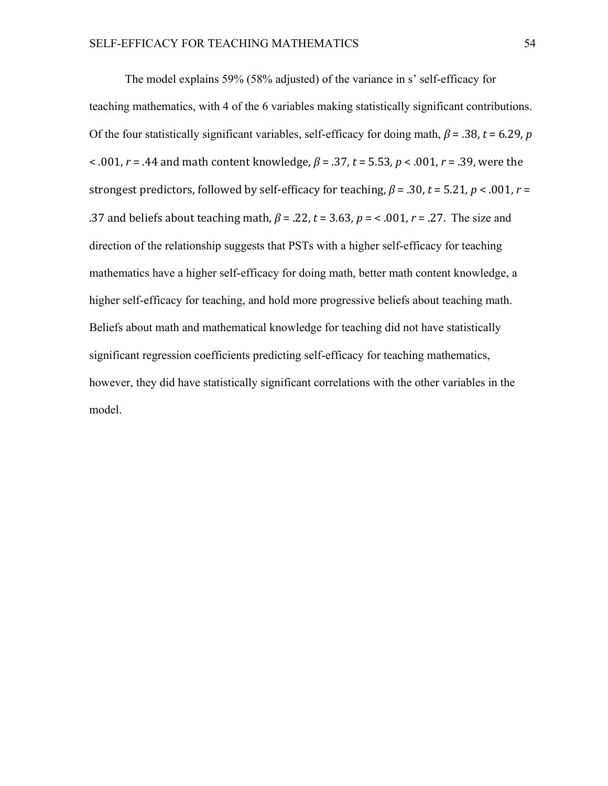The model explains 59% (58% adjusted) of the variance in s' self-efficacy for teaching mathematics, with 4 of the 6 variables making statistically significant contributions. Of the four statistically significant variables, self-efficacy for doing math,  $\beta$  = .38, *t* = 6.29, *p* < .001, *r* = .44 and math content knowledge,  $β = .37$ ,  $t = 5.53$ ,  $p < .001$ ,  $r = .39$ , were the strongest predictors, followed by self-efficacy for teaching,  $\beta$  = .30, *t* = 5.21, *p* < .001, *r* = .37 and beliefs about teaching math,  $\beta$  = .22,  $t$  = 3.63,  $p$  = < .001,  $r$  = .27. The size and direction of the relationship suggests that PSTs with a higher self-efficacy for teaching mathematics have a higher self-efficacy for doing math, better math content knowledge, a higher self-efficacy for teaching, and hold more progressive beliefs about teaching math. Beliefs about math and mathematical knowledge for teaching did not have statistically significant regression coefficients predicting self-efficacy for teaching mathematics, however, they did have statistically significant correlations with the other variables in the model.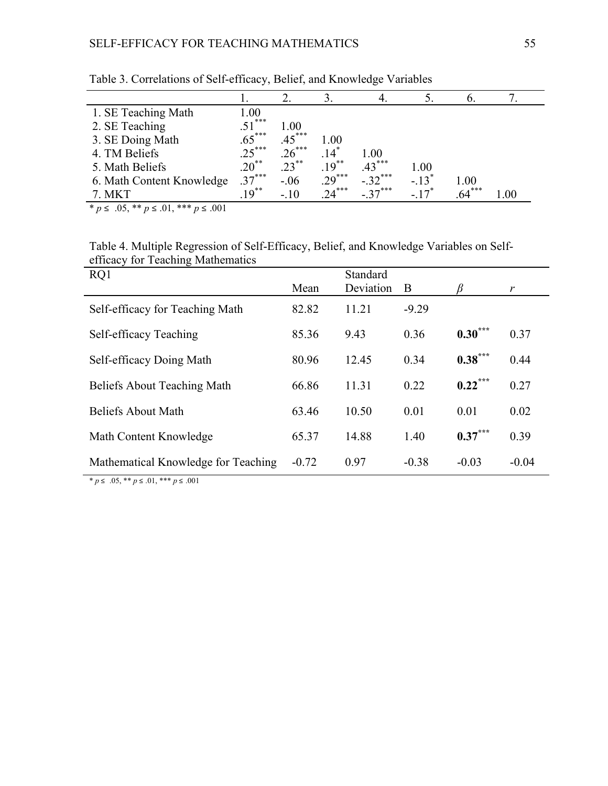| 1. SE Teaching Math       | 0.00     |          |                    |          |           |          |     |
|---------------------------|----------|----------|--------------------|----------|-----------|----------|-----|
| 2. SE Teaching            | $.51***$ | 1.00     |                    |          |           |          |     |
| 3. SE Doing Math          | $.65***$ | $.45***$ | 1.00               |          |           |          |     |
| 4. TM Beliefs             | $.25***$ | $.26***$ | $.14$ <sup>*</sup> | 1.00     |           |          |     |
| 5. Math Beliefs           | $.20***$ | $.23***$ | $19^{**}$          | $43***$  | 1.00      |          |     |
| 6. Math Content Knowledge | $37***$  | $-.06$   | $.29***$           | $-32***$ | $-13^*$   | 1.00     |     |
| 7. MKT                    | $19***$  | $-.10$   | $24***$            | $27***$  | $-17^{*}$ | $.64***$ | .00 |

Table 3. Correlations of Self-efficacy, Belief, and Knowledge Variables

 $* p ≤ .05, ** p ≤ .01, *** p ≤ .001$ 

Table 4. Multiple Regression of Self-Efficacy, Belief, and Knowledge Variables on Selfefficacy for Teaching Mathematics

| RQ1                                 | Mean    | Standard<br>Deviation | B       |            | r       |
|-------------------------------------|---------|-----------------------|---------|------------|---------|
| Self-efficacy for Teaching Math     | 82.82   | 11.21                 | $-9.29$ |            |         |
| Self-efficacy Teaching              | 85.36   | 9.43                  | 0.36    | $0.30***$  | 0.37    |
| Self-efficacy Doing Math            | 80.96   | 12.45                 | 0.34    | $0.38***$  | 0.44    |
| <b>Beliefs About Teaching Math</b>  | 66.86   | 11.31                 | 0.22    | $0.22$ *** | 0.27    |
| <b>Beliefs About Math</b>           | 63.46   | 10.50                 | 0.01    | 0.01       | 0.02    |
| Math Content Knowledge              | 65.37   | 14.88                 | 1.40    | $0.37***$  | 0.39    |
| Mathematical Knowledge for Teaching | $-0.72$ | 0.97                  | $-0.38$ | $-0.03$    | $-0.04$ |

 $* p ≤ .05, ** p ≤ .01, *** p ≤ .001$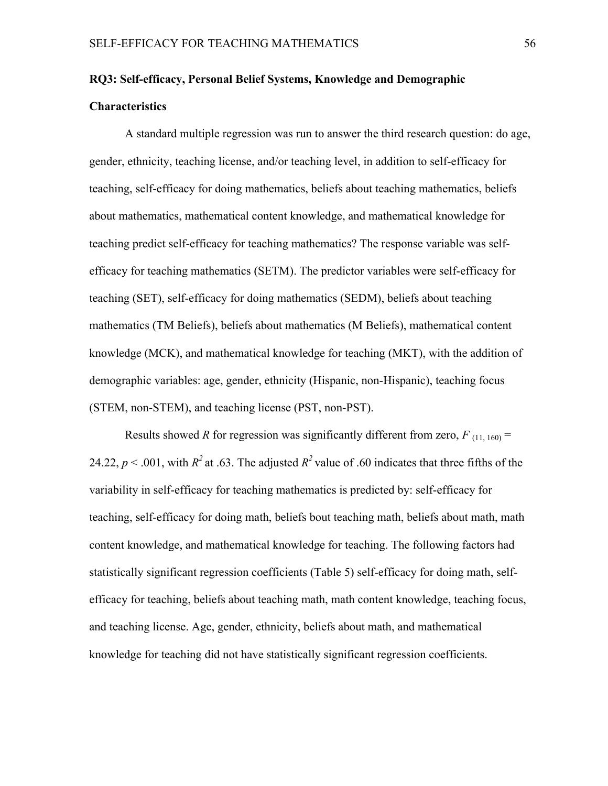# **RQ3: Self-efficacy, Personal Belief Systems, Knowledge and Demographic Characteristics**

A standard multiple regression was run to answer the third research question: do age, gender, ethnicity, teaching license, and/or teaching level, in addition to self-efficacy for teaching, self-efficacy for doing mathematics, beliefs about teaching mathematics, beliefs about mathematics, mathematical content knowledge, and mathematical knowledge for teaching predict self-efficacy for teaching mathematics? The response variable was selfefficacy for teaching mathematics (SETM). The predictor variables were self-efficacy for teaching (SET), self-efficacy for doing mathematics (SEDM), beliefs about teaching mathematics (TM Beliefs), beliefs about mathematics (M Beliefs), mathematical content knowledge (MCK), and mathematical knowledge for teaching (MKT), with the addition of demographic variables: age, gender, ethnicity (Hispanic, non-Hispanic), teaching focus (STEM, non-STEM), and teaching license (PST, non-PST).

Results showed *R* for regression was significantly different from zero,  $F_{(11, 160)} =$ 24.22,  $p < .001$ , with  $R^2$  at .63. The adjusted  $R^2$  value of .60 indicates that three fifths of the variability in self-efficacy for teaching mathematics is predicted by: self-efficacy for teaching, self-efficacy for doing math, beliefs bout teaching math, beliefs about math, math content knowledge, and mathematical knowledge for teaching. The following factors had statistically significant regression coefficients (Table 5) self-efficacy for doing math, selfefficacy for teaching, beliefs about teaching math, math content knowledge, teaching focus, and teaching license. Age, gender, ethnicity, beliefs about math, and mathematical knowledge for teaching did not have statistically significant regression coefficients.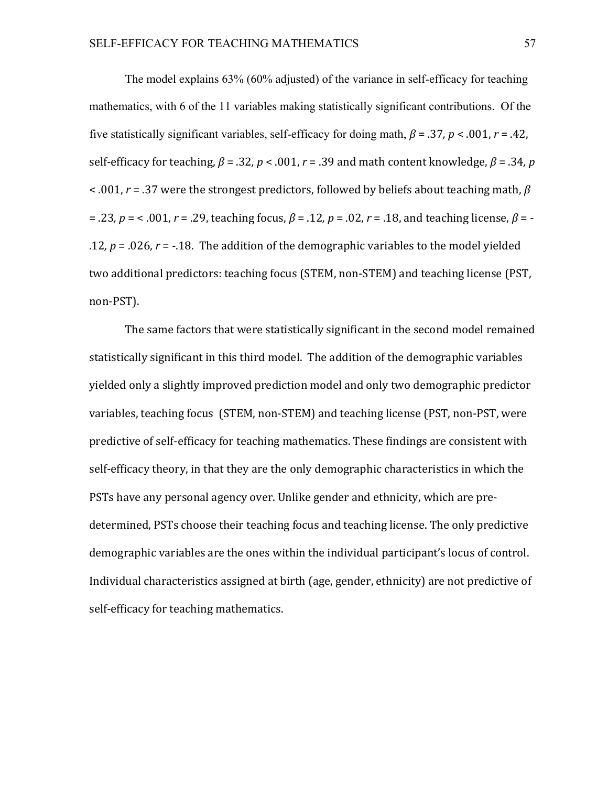The model explains 63% (60% adjusted) of the variance in self-efficacy for teaching mathematics, with 6 of the 11 variables making statistically significant contributions. Of the five statistically significant variables, self-efficacy for doing math,  $\beta$  = .37,  $p$  < .001,  $r$  = .42, self-efficacy for teaching,  $\beta = 0.32$ ,  $p < 0.001$ ,  $r = 0.39$  and math content knowledge,  $\beta = 0.34$ , p  $\leq$  .001, *r* = .37 were the strongest predictors, followed by beliefs about teaching math,  $\beta$ = .23*, p* = < .001, *r* = .29, teaching focus, *β* = .12*, p* = .02, *r* = .18, and teaching license, *β* = -.12,  $p = 0.026$ ,  $r = -0.18$ . The addition of the demographic variables to the model yielded two additional predictors: teaching focus (STEM, non-STEM) and teaching license (PST, non-PST). 

The same factors that were statistically significant in the second model remained statistically significant in this third model. The addition of the demographic variables yielded only a slightly improved prediction model and only two demographic predictor variables, teaching focus (STEM, non-STEM) and teaching license (PST, non-PST, were predictive of self-efficacy for teaching mathematics. These findings are consistent with self-efficacy theory, in that they are the only demographic characteristics in which the PSTs have any personal agency over. Unlike gender and ethnicity, which are predetermined, PSTs choose their teaching focus and teaching license. The only predictive demographic variables are the ones within the individual participant's locus of control. Individual characteristics assigned at birth (age, gender, ethnicity) are not predictive of self-efficacy for teaching mathematics.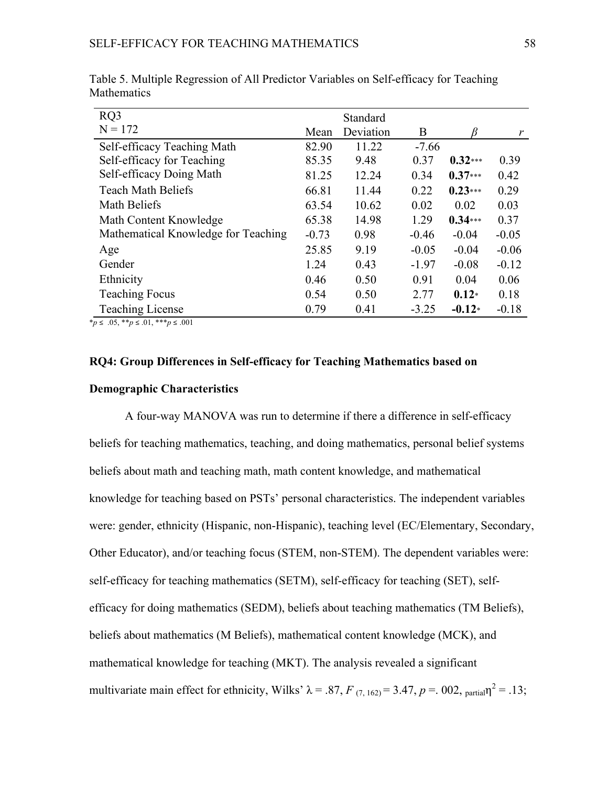| RQ3                                 |         | Standard  |         |           |         |
|-------------------------------------|---------|-----------|---------|-----------|---------|
| $N = 172$                           | Mean    | Deviation | B       | R         | r       |
| Self-efficacy Teaching Math         | 82.90   | 11.22     | $-7.66$ |           |         |
| Self-efficacy for Teaching          | 85.35   | 9.48      | 0.37    | $0.32***$ | 0.39    |
| Self-efficacy Doing Math            | 81.25   | 12.24     | 0.34    | $0.37***$ | 0.42    |
| <b>Teach Math Beliefs</b>           | 66.81   | 11.44     | 0.22    | $0.23***$ | 0.29    |
| Math Beliefs                        | 63.54   | 10.62     | 0.02    | 0.02      | 0.03    |
| Math Content Knowledge              | 65.38   | 14.98     | 1.29    | $0.34***$ | 0.37    |
| Mathematical Knowledge for Teaching | $-0.73$ | 0.98      | $-0.46$ | $-0.04$   | $-0.05$ |
| Age                                 | 25.85   | 9.19      | $-0.05$ | $-0.04$   | $-0.06$ |
| Gender                              | 1.24    | 0.43      | $-1.97$ | $-0.08$   | $-0.12$ |
| Ethnicity                           | 0.46    | 0.50      | 0.91    | 0.04      | 0.06    |
| <b>Teaching Focus</b>               | 0.54    | 0.50      | 2.77    | $0.12*$   | 0.18    |
| <b>Teaching License</b>             | 0.79    | 0.41      | $-3.25$ | $-0.12*$  | $-0.18$ |

Table 5. Multiple Regression of All Predictor Variables on Self-efficacy for Teaching Mathematics

 $**p* ≤ .05, ***p* ≤ .01, ****p* ≤ .001$ 

## **RQ4: Group Differences in Self-efficacy for Teaching Mathematics based on Demographic Characteristics**

A four-way MANOVA was run to determine if there a difference in self-efficacy beliefs for teaching mathematics, teaching, and doing mathematics, personal belief systems beliefs about math and teaching math, math content knowledge, and mathematical knowledge for teaching based on PSTs' personal characteristics. The independent variables were: gender, ethnicity (Hispanic, non-Hispanic), teaching level (EC/Elementary, Secondary, Other Educator), and/or teaching focus (STEM, non-STEM). The dependent variables were: self-efficacy for teaching mathematics (SETM), self-efficacy for teaching (SET), selfefficacy for doing mathematics (SEDM), beliefs about teaching mathematics (TM Beliefs), beliefs about mathematics (M Beliefs), mathematical content knowledge (MCK), and mathematical knowledge for teaching (MKT). The analysis revealed a significant multivariate main effect for ethnicity, Wilks'  $\lambda = .87$ ,  $F_{(7, 162)} = 3.47$ ,  $p = .002$ , partial $\eta^2 = .13$ ;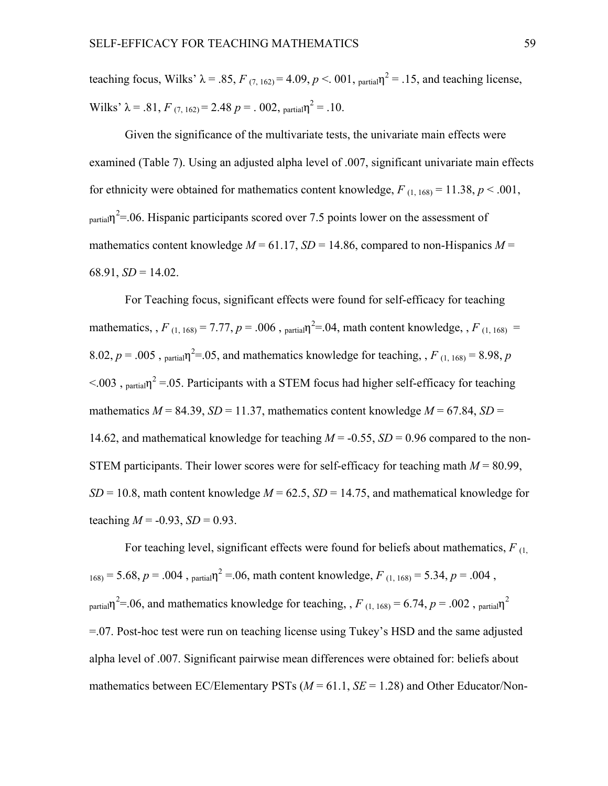teaching focus, Wilks'  $\lambda = .85$ ,  $F_{(7, 162)} = 4.09$ ,  $p < .001$ ,  $_{\text{partial}} \eta^2 = .15$ , and teaching license, Wilks'  $\lambda = .81$ ,  $F_{(7, 162)} = 2.48$   $p = .002$ , partial $n^2 = .10$ .

Given the significance of the multivariate tests, the univariate main effects were examined (Table 7). Using an adjusted alpha level of .007, significant univariate main effects for ethnicity were obtained for mathematics content knowledge,  $F_{(1, 168)} = 11.38$ ,  $p < .001$ ,  $_{\text{partial}}$ <sup>2</sup>=.06. Hispanic participants scored over 7.5 points lower on the assessment of mathematics content knowledge  $M = 61.17$ ,  $SD = 14.86$ , compared to non-Hispanics  $M =$  $68.91, SD = 14.02.$ 

For Teaching focus, significant effects were found for self-efficacy for teaching mathematics, ,  $F_{(1, 168)} = 7.77$ ,  $p = .006$ ,  $p_{\text{actual}}^2 = .04$ , math content knowledge, ,  $F_{(1, 168)} =$ 8.02,  $p = 0.005$ ,  $p_{\text{partial}}\eta^{2} = 0.05$ , and mathematics knowledge for teaching,  $F_{(1, 168)} = 8.98$ ,  $p$  $< 0.003$ , <sub>partial</sub>  $n^2 = 0.05$ . Participants with a STEM focus had higher self-efficacy for teaching mathematics  $M = 84.39$ ,  $SD = 11.37$ , mathematics content knowledge  $M = 67.84$ ,  $SD =$ 14.62, and mathematical knowledge for teaching  $M = -0.55$ ,  $SD = 0.96$  compared to the non-STEM participants. Their lower scores were for self-efficacy for teaching math  $M = 80.99$ ,  $SD = 10.8$ , math content knowledge  $M = 62.5$ ,  $SD = 14.75$ , and mathematical knowledge for teaching  $M = -0.93$ ,  $SD = 0.93$ .

For teaching level, significant effects were found for beliefs about mathematics, *F* (1,  $168$ ) = 5.68, *p* = .004,  $p$ <sub>partial</sub> $n^2$  = .06, math content knowledge, *F* (1, 168) = 5.34, *p* = .004,  $_{\text{partial}}$ <sup>2</sup>=.06, and mathematics knowledge for teaching, , *F*<sub>(1, 168)</sub> = 6.74, *p* = .002, <sub>partial</sub>η<sup>2</sup> =.07. Post-hoc test were run on teaching license using Tukey's HSD and the same adjusted alpha level of .007. Significant pairwise mean differences were obtained for: beliefs about mathematics between EC/Elementary PSTs  $(M = 61.1, SE = 1.28)$  and Other Educator/Non-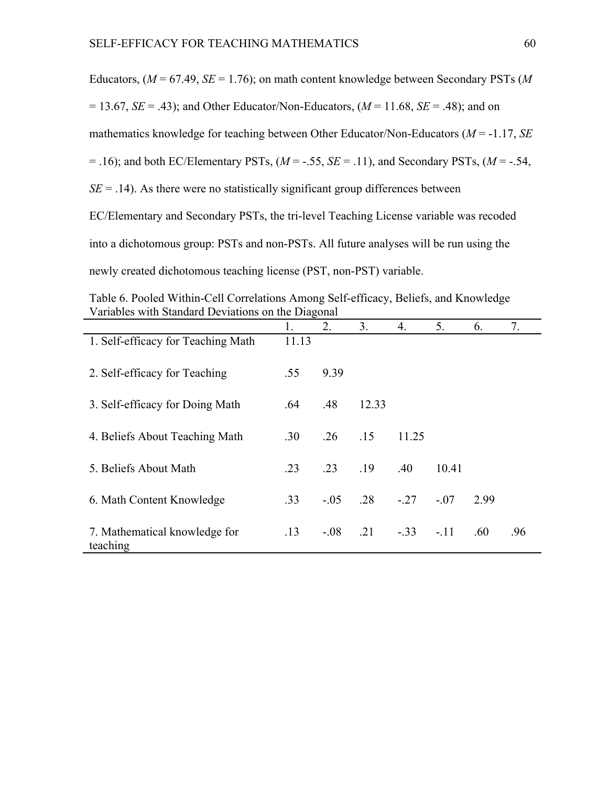| Educators, ( $M = 67.49$ , $SE = 1.76$ ); on math content knowledge between Secondary PSTs (M)   |
|--------------------------------------------------------------------------------------------------|
| $= 13.67$ , $SE = .43$ ); and Other Educator/Non-Educators, ( $M = 11.68$ , $SE = .48$ ); and on |
| mathematics knowledge for teaching between Other Educator/Non-Educators ( $M = -1.17$ , SE       |
| = .16); and both EC/Elementary PSTs, $(M = -.55, SE = .11)$ , and Secondary PSTs, $(M = -.54,$   |
| $SE = .14$ ). As there were no statistically significant group differences between               |
| EC/Elementary and Secondary PSTs, the tri-level Teaching License variable was recoded            |
| into a dichotomous group: PSTs and non-PSTs. All future analyses will be run using the           |
| newly created dichotomous teaching license (PST, non-PST) variable.                              |

Table 6. Pooled Within-Cell Correlations Among Self-efficacy, Beliefs, and Knowledge Variables with Standard Deviations on the Diagonal

|                                           | 1.    | 2.     | 3 <sub>1</sub> | 4.     | 5.     | 6.   | 7.  |
|-------------------------------------------|-------|--------|----------------|--------|--------|------|-----|
| 1. Self-efficacy for Teaching Math        | 11.13 |        |                |        |        |      |     |
| 2. Self-efficacy for Teaching             | .55   | 9.39   |                |        |        |      |     |
| 3. Self-efficacy for Doing Math           | .64   | .48    | 12.33          |        |        |      |     |
| 4. Beliefs About Teaching Math            | .30   | .26    | .15            | 11.25  |        |      |     |
| 5. Beliefs About Math                     | .23   | .23    | .19            | .40    | 10.41  |      |     |
| 6. Math Content Knowledge                 | .33   | $-.05$ | .28            | $-.27$ | $-.07$ | 2.99 |     |
| 7. Mathematical knowledge for<br>teaching | .13   | $-.08$ | .21            | $-.33$ | $-.11$ | .60  | .96 |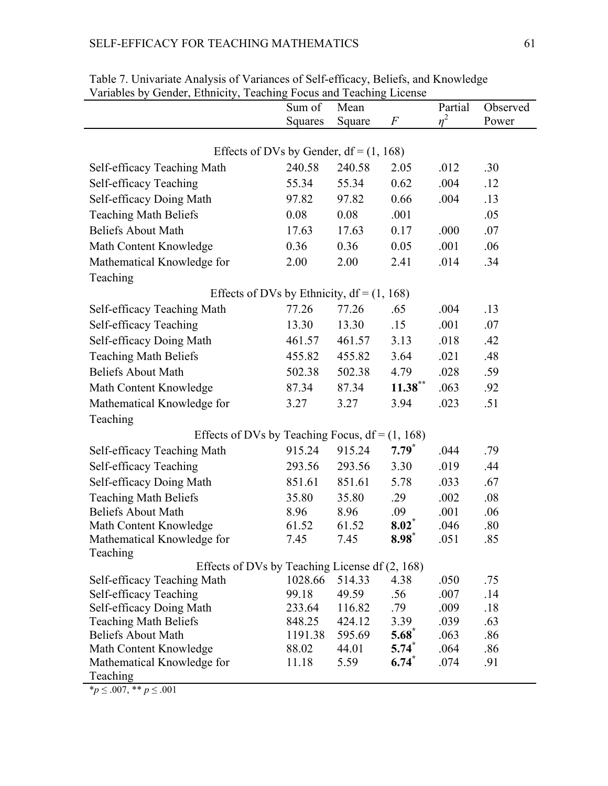## SELF-EFFICACY FOR TEACHING MATHEMATICS 61

| Ochaci, Ethnicity, Teaching I ocus and Teaching Electioc | Sum of  | Mean            |                     | Partial      | Observed   |
|----------------------------------------------------------|---------|-----------------|---------------------|--------------|------------|
|                                                          | Squares | Square          | F                   | $n^2$        | Power      |
|                                                          |         |                 |                     |              |            |
| Effects of DVs by Gender, $df = (1, 168)$                |         |                 |                     |              |            |
| Self-efficacy Teaching Math                              | 240.58  | 240.58          | 2.05                | .012         | .30        |
| Self-efficacy Teaching                                   | 55.34   | 55.34           | 0.62                | .004         | .12        |
| Self-efficacy Doing Math                                 | 97.82   | 97.82           | 0.66                | .004         | .13        |
| <b>Teaching Math Beliefs</b>                             | 0.08    | 0.08            | .001                |              | .05        |
| <b>Beliefs About Math</b>                                | 17.63   | 17.63           | 0.17                | .000         | .07        |
| Math Content Knowledge                                   | 0.36    | 0.36            | 0.05                | .001         | .06        |
| Mathematical Knowledge for                               | 2.00    | 2.00            | 2.41                | .014         | .34        |
| Teaching                                                 |         |                 |                     |              |            |
| Effects of DVs by Ethnicity, $df = (1, 168)$             |         |                 |                     |              |            |
| Self-efficacy Teaching Math                              | 77.26   | 77.26           | .65                 | .004         | .13        |
| Self-efficacy Teaching                                   | 13.30   | 13.30           | .15                 | .001         | .07        |
| Self-efficacy Doing Math                                 | 461.57  | 461.57          | 3.13                | .018         | .42        |
| <b>Teaching Math Beliefs</b>                             | 455.82  | 455.82          | 3.64                | .021         | .48        |
| <b>Beliefs About Math</b>                                | 502.38  | 502.38          | 4.79                | .028         | .59        |
| Math Content Knowledge                                   | 87.34   | 87.34           | $11.38***$          | .063         | .92        |
| Mathematical Knowledge for                               | 3.27    | 3.27            | 3.94                | .023         | .51        |
| Teaching                                                 |         |                 |                     |              |            |
| Effects of DVs by Teaching Focus, $df = (1, 168)$        |         |                 |                     |              |            |
| Self-efficacy Teaching Math                              | 915.24  | 915.24          | $7.79$ <sup>*</sup> | .044         | .79        |
| Self-efficacy Teaching                                   | 293.56  | 293.56          | 3.30                | .019         | .44        |
| Self-efficacy Doing Math                                 | 851.61  | 851.61          | 5.78                | .033         | .67        |
| <b>Teaching Math Beliefs</b>                             | 35.80   | 35.80           | .29                 | .002         | .08        |
| <b>Beliefs About Math</b>                                | 8.96    | 8.96            | .09                 | .001         | .06        |
| Math Content Knowledge                                   | 61.52   | 61.52           | $8.02^*$            | .046         | .80        |
| Mathematical Knowledge for                               | 7.45    | 7.45            | $8.98*$             | .051         | 85         |
| Teaching                                                 |         |                 |                     |              |            |
| Effects of DVs by Teaching License df (2, 168)           | 1028.66 |                 |                     |              |            |
| Self-efficacy Teaching Math<br>Self-efficacy Teaching    | 99.18   | 514.33<br>49.59 | 4.38<br>.56         | .050<br>.007 | .75<br>.14 |
| Self-efficacy Doing Math                                 | 233.64  | 116.82          | .79                 | .009         | .18        |
| <b>Teaching Math Beliefs</b>                             | 848.25  | 424.12          | 3.39                | .039         | .63        |
| <b>Beliefs About Math</b>                                | 1191.38 | 595.69          | 5.68                | .063         | .86        |
| Math Content Knowledge                                   | 88.02   | 44.01           | $5.74^*$            | .064         | .86        |
| Mathematical Knowledge for                               | 11.18   | 5.59            | $6.74^*$            | .074         | .91        |
| Teaching                                                 |         |                 |                     |              |            |

Table 7. Univariate Analysis of Variances of Self-efficacy, Beliefs, and Knowledge Variables by Gender, Ethnicity, Teaching Focus and Teaching License

\**p* ≤ .007, \*\* *p* ≤ .001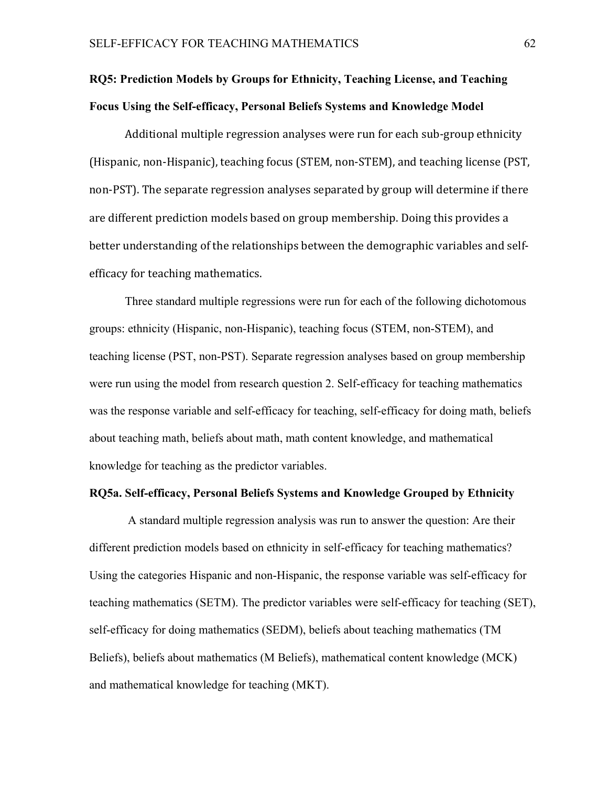# **RQ5: Prediction Models by Groups for Ethnicity, Teaching License, and Teaching Focus Using the Self-efficacy, Personal Beliefs Systems and Knowledge Model**

Additional multiple regression analyses were run for each sub-group ethnicity (Hispanic, non-Hispanic), teaching focus (STEM, non-STEM), and teaching license (PST, non-PST). The separate regression analyses separated by group will determine if there are different prediction models based on group membership. Doing this provides a better understanding of the relationships between the demographic variables and selfefficacy for teaching mathematics.

Three standard multiple regressions were run for each of the following dichotomous groups: ethnicity (Hispanic, non-Hispanic), teaching focus (STEM, non-STEM), and teaching license (PST, non-PST). Separate regression analyses based on group membership were run using the model from research question 2. Self-efficacy for teaching mathematics was the response variable and self-efficacy for teaching, self-efficacy for doing math, beliefs about teaching math, beliefs about math, math content knowledge, and mathematical knowledge for teaching as the predictor variables.

### **RQ5a. Self-efficacy, Personal Beliefs Systems and Knowledge Grouped by Ethnicity**

A standard multiple regression analysis was run to answer the question: Are their different prediction models based on ethnicity in self-efficacy for teaching mathematics? Using the categories Hispanic and non-Hispanic, the response variable was self-efficacy for teaching mathematics (SETM). The predictor variables were self-efficacy for teaching (SET), self-efficacy for doing mathematics (SEDM), beliefs about teaching mathematics (TM Beliefs), beliefs about mathematics (M Beliefs), mathematical content knowledge (MCK) and mathematical knowledge for teaching (MKT).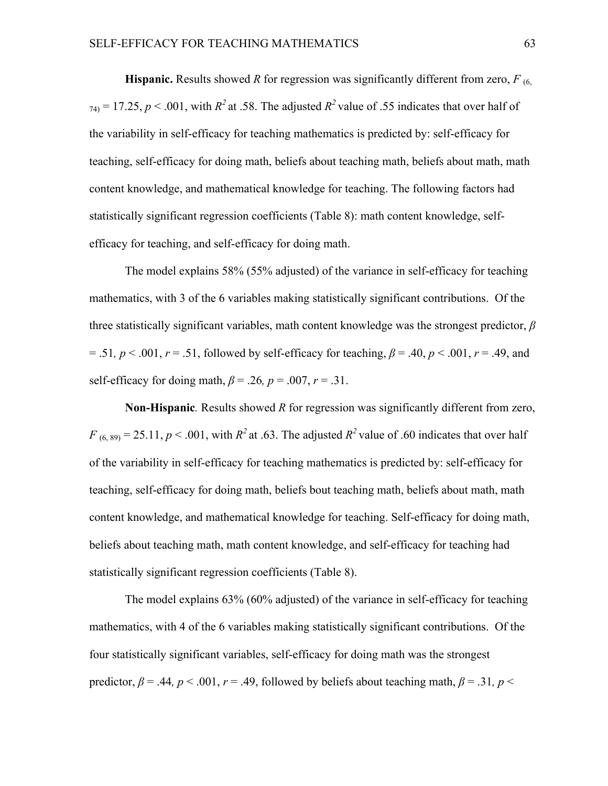**Hispanic.** Results showed *R* for regression was significantly different from zero,  $F_{(6)}$  $74$ <sup>1</sup> = 17.25, *p* < .001, with *R*<sup>2</sup> at .58. The adjusted *R*<sup>2</sup> value of .55 indicates that over half of the variability in self-efficacy for teaching mathematics is predicted by: self-efficacy for teaching, self-efficacy for doing math, beliefs about teaching math, beliefs about math, math content knowledge, and mathematical knowledge for teaching. The following factors had statistically significant regression coefficients (Table 8): math content knowledge, selfefficacy for teaching, and self-efficacy for doing math.

The model explains 58% (55% adjusted) of the variance in self-efficacy for teaching mathematics, with 3 of the 6 variables making statistically significant contributions. Of the three statistically significant variables, math content knowledge was the strongest predictor, *β*  $= .51, p < .001, r = .51,$  followed by self-efficacy for teaching,  $\beta = .40, p < .001, r = .49,$  and self-efficacy for doing math,  $\beta$  = .26,  $p$  = .007,  $r$  = .31.

**Non-Hispanic***.* Results showed *R* for regression was significantly different from zero,  $F_{(6, 89)} = 25.11$ ,  $p < .001$ , with  $R^2$  at .63. The adjusted  $R^2$  value of .60 indicates that over half of the variability in self-efficacy for teaching mathematics is predicted by: self-efficacy for teaching, self-efficacy for doing math, beliefs bout teaching math, beliefs about math, math content knowledge, and mathematical knowledge for teaching. Self-efficacy for doing math, beliefs about teaching math, math content knowledge, and self-efficacy for teaching had statistically significant regression coefficients (Table 8).

The model explains 63% (60% adjusted) of the variance in self-efficacy for teaching mathematics, with 4 of the 6 variables making statistically significant contributions. Of the four statistically significant variables, self-efficacy for doing math was the strongest predictor,  $\beta$  = .44,  $p < .001$ ,  $r = .49$ , followed by beliefs about teaching math,  $\beta$  = .31,  $p$  <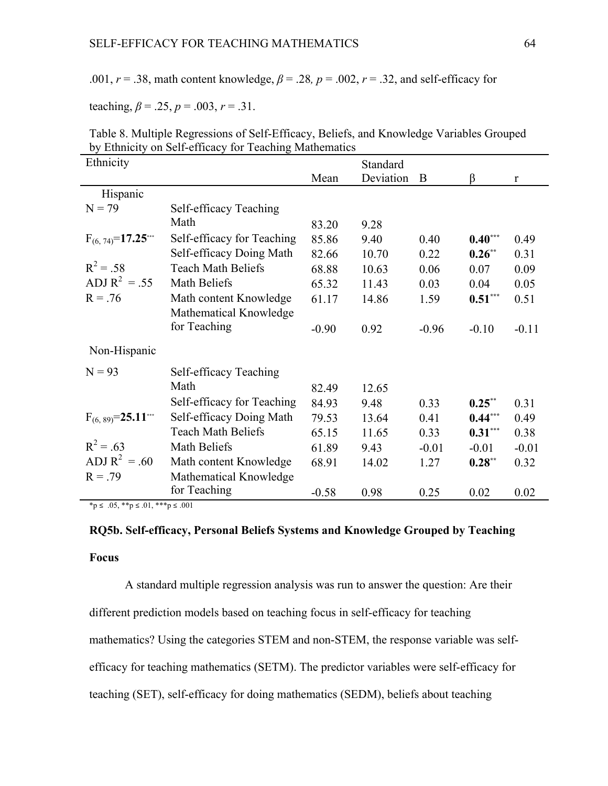.001,  $r = .38$ , math content knowledge,  $\beta = .28$ ,  $p = .002$ ,  $r = .32$ , and self-efficacy for

teaching,  $\beta = .25$ ,  $p = .003$ ,  $r = .31$ .

| Ethnicity                 | by Ethnicity on Ben embacy for Teaching Mathematics |         | Standard  |         |           |              |
|---------------------------|-----------------------------------------------------|---------|-----------|---------|-----------|--------------|
|                           |                                                     | Mean    | Deviation | B       | $\beta$   | $\mathbf{r}$ |
|                           |                                                     |         |           |         |           |              |
| Hispanic                  |                                                     |         |           |         |           |              |
| $N = 79$                  | Self-efficacy Teaching                              |         |           |         |           |              |
|                           | Math                                                | 83.20   | 9.28      |         |           |              |
| $F_{(6, 74)} = 17.25$     | Self-efficacy for Teaching                          | 85.86   | 9.40      | 0.40    | $0.40***$ | 0.49         |
|                           | Self-efficacy Doing Math                            | 82.66   | 10.70     | 0.22    | $0.26**$  | 0.31         |
| $R^2 = .58$               | <b>Teach Math Beliefs</b>                           | 68.88   | 10.63     | 0.06    | 0.07      | 0.09         |
| ADJ $R^2 = .55$           | Math Beliefs                                        | 65.32   | 11.43     | 0.03    | 0.04      | 0.05         |
| $R = .76$                 | Math content Knowledge                              | 61.17   | 14.86     | 1.59    | $0.51***$ | 0.51         |
|                           | Mathematical Knowledge                              |         |           |         |           |              |
|                           | for Teaching                                        | $-0.90$ | 0.92      | $-0.96$ | $-0.10$   | $-0.11$      |
| Non-Hispanic              |                                                     |         |           |         |           |              |
| $N = 93$                  | Self-efficacy Teaching                              |         |           |         |           |              |
|                           | Math                                                | 82.49   | 12.65     |         |           |              |
|                           | Self-efficacy for Teaching                          | 84.93   | 9.48      | 0.33    | $0.25***$ | 0.31         |
| $F_{(6, 89)} = 25.11$ *** | Self-efficacy Doing Math                            | 79.53   | 13.64     | 0.41    | $0.44***$ | 0.49         |
|                           | <b>Teach Math Beliefs</b>                           | 65.15   | 11.65     | 0.33    | $0.31***$ | 0.38         |
| $R^2 = .63$               | Math Beliefs                                        | 61.89   | 9.43      | $-0.01$ | $-0.01$   | $-0.01$      |
| ADJ $R^2 = .60$           | Math content Knowledge                              | 68.91   | 14.02     | 1.27    | $0.28***$ | 0.32         |
| $R = .79$                 | Mathematical Knowledge                              |         |           |         |           |              |
|                           | for Teaching                                        | $-0.58$ | 0.98      | 0.25    | 0.02      | 0.02         |

Table 8. Multiple Regressions of Self-Efficacy, Beliefs, and Knowledge Variables Grouped by Ethnicity on Self-efficacy for Teaching Mathematics

 $*_p$  ≤ .05,  $*_p$  ≤ .01,  $**_p$  ≤ .001

# **RQ5b. Self-efficacy, Personal Beliefs Systems and Knowledge Grouped by Teaching Focus**

A standard multiple regression analysis was run to answer the question: Are their different prediction models based on teaching focus in self-efficacy for teaching mathematics? Using the categories STEM and non-STEM, the response variable was selfefficacy for teaching mathematics (SETM). The predictor variables were self-efficacy for teaching (SET), self-efficacy for doing mathematics (SEDM), beliefs about teaching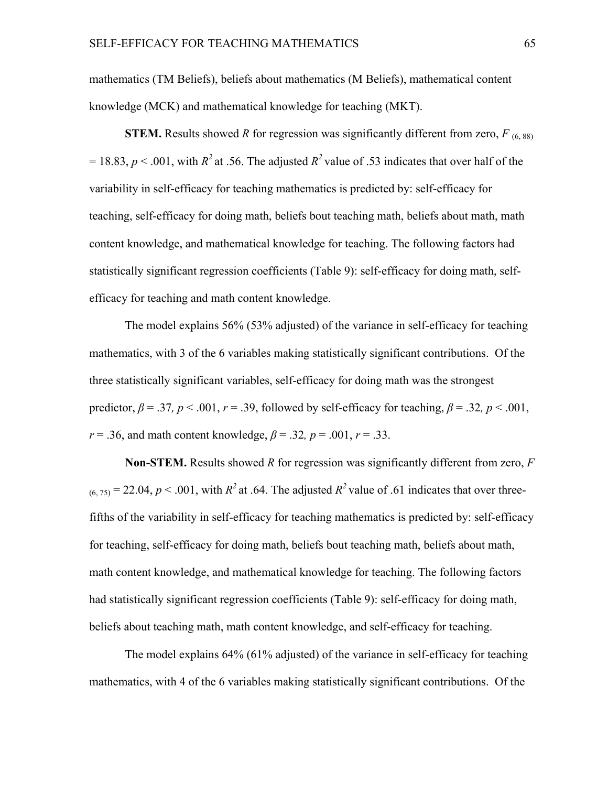mathematics (TM Beliefs), beliefs about mathematics (M Beliefs), mathematical content knowledge (MCK) and mathematical knowledge for teaching (MKT).

**STEM.** Results showed *R* for regression was significantly different from zero,  $F_{(6, 88)}$  $= 18.83$ ,  $p < .001$ , with  $R^2$  at .56. The adjusted  $R^2$  value of .53 indicates that over half of the variability in self-efficacy for teaching mathematics is predicted by: self-efficacy for teaching, self-efficacy for doing math, beliefs bout teaching math, beliefs about math, math content knowledge, and mathematical knowledge for teaching. The following factors had statistically significant regression coefficients (Table 9): self-efficacy for doing math, selfefficacy for teaching and math content knowledge.

The model explains 56% (53% adjusted) of the variance in self-efficacy for teaching mathematics, with 3 of the 6 variables making statistically significant contributions. Of the three statistically significant variables, self-efficacy for doing math was the strongest predictor,  $\beta = .37$ ,  $p < .001$ ,  $r = .39$ , followed by self-efficacy for teaching,  $\beta = .32$ ,  $p < .001$ , *r* = .36, and math content knowledge,  $\beta$  = .32, *p* = .001, *r* = .33.

**Non-STEM.** Results showed *R* for regression was significantly different from zero, *F*  $(6, 75)$  = 22.04, *p* < .001, with *R*<sup>2</sup> at .64. The adjusted *R*<sup>2</sup> value of .61 indicates that over threefifths of the variability in self-efficacy for teaching mathematics is predicted by: self-efficacy for teaching, self-efficacy for doing math, beliefs bout teaching math, beliefs about math, math content knowledge, and mathematical knowledge for teaching. The following factors had statistically significant regression coefficients (Table 9): self-efficacy for doing math, beliefs about teaching math, math content knowledge, and self-efficacy for teaching.

The model explains 64% (61% adjusted) of the variance in self-efficacy for teaching mathematics, with 4 of the 6 variables making statistically significant contributions. Of the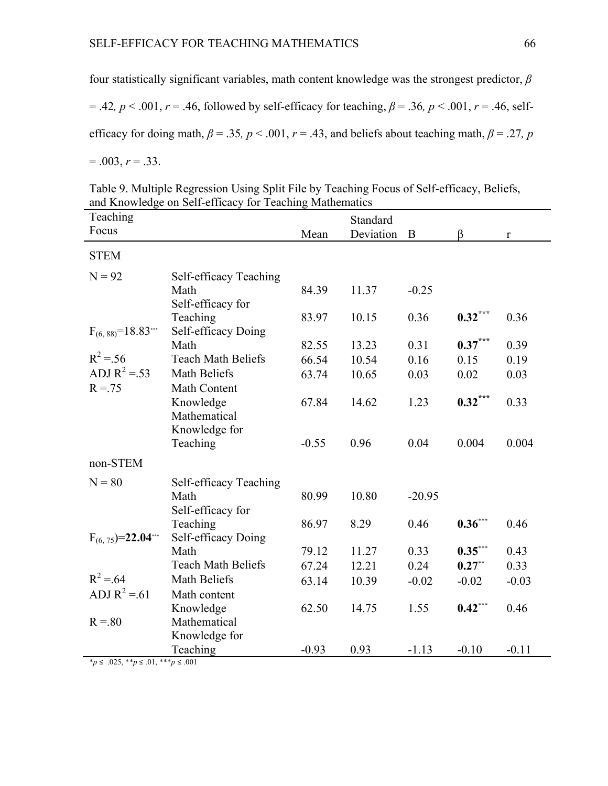four statistically significant variables, math content knowledge was the strongest predictor, *β*

 $= .42, p < .001, r = .46,$  followed by self-efficacy for teaching,  $\beta = .36, p < .001, r = .46$ , selfefficacy for doing math,  $\beta$  = .35,  $p$  < .001,  $r$  = .43, and beliefs about teaching math,  $\beta$  = .27,  $p$ 

 $= .003, r = .33.$ 

| Table 9. Multiple Regression Using Split File by Teaching Focus of Self-efficacy, Beliefs, |  |
|--------------------------------------------------------------------------------------------|--|
| and Knowledge on Self-efficacy for Teaching Mathematics                                    |  |

| Teaching<br>Focus         |                                                       |         | Standard  |          |           |              |
|---------------------------|-------------------------------------------------------|---------|-----------|----------|-----------|--------------|
|                           |                                                       | Mean    | Deviation | B        | $\beta$   | $\mathbf{r}$ |
| <b>STEM</b>               |                                                       |         |           |          |           |              |
| $N = 92$                  | Self-efficacy Teaching                                |         |           |          |           |              |
|                           | Math                                                  | 84.39   | 11.37     | $-0.25$  |           |              |
|                           | Self-efficacy for                                     |         |           |          |           |              |
|                           | Teaching                                              | 83.97   | 10.15     | 0.36     | $0.32***$ | 0.36         |
| $F_{(6, 88)} = 18.83***$  | Self-efficacy Doing                                   |         |           |          |           |              |
|                           | Math                                                  | 82.55   | 13.23     | 0.31     | $0.37***$ | 0.39         |
| $R^2 = 56$                | <b>Teach Math Beliefs</b>                             | 66.54   | 10.54     | 0.16     | 0.15      | 0.19         |
| ADJ $R^2 = .53$           | Math Beliefs                                          | 63.74   | 10.65     | 0.03     | 0.02      | 0.03         |
| $R = 75$                  | Math Content                                          |         |           |          |           |              |
|                           | Knowledge                                             | 67.84   | 14.62     | 1.23     | $0.32***$ | 0.33         |
|                           | Mathematical                                          |         |           |          |           |              |
|                           | Knowledge for                                         |         |           |          |           |              |
|                           | Teaching                                              | $-0.55$ | 0.96      | 0.04     | 0.004     | 0.004        |
| non-STEM                  |                                                       |         |           |          |           |              |
| $N = 80$                  | Self-efficacy Teaching                                |         |           |          |           |              |
|                           | Math                                                  | 80.99   | 10.80     | $-20.95$ |           |              |
|                           | Self-efficacy for                                     |         |           |          |           |              |
|                           | Teaching                                              | 86.97   | 8.29      | 0.46     | $0.36***$ | 0.46         |
| $F_{(6, 75)} = 22.04$ *** | Self-efficacy Doing                                   |         |           |          |           |              |
|                           | Math                                                  | 79.12   | 11.27     | 0.33     | $0.35***$ | 0.43         |
|                           | <b>Teach Math Beliefs</b>                             | 67.24   | 12.21     | 0.24     | $0.27**$  | 0.33         |
| $R^2 = 64$                | Math Beliefs                                          | 63.14   | 10.39     | $-0.02$  | $-0.02$   | $-0.03$      |
| ADJ $R^2 = 61$            | Math content                                          |         |           |          |           |              |
|                           | Knowledge                                             | 62.50   | 14.75     | 1.55     | $0.42***$ | 0.46         |
| $R = 80$                  | Mathematical                                          |         |           |          |           |              |
|                           | Knowledge for                                         |         |           |          |           |              |
|                           | Teaching                                              | $-0.93$ | 0.93      | $-1.13$  | $-0.10$   | $-0.11$      |
|                           | <sup>*</sup> $p$ ≤ .025, ** $p$ ≤ .01, *** $p$ ≤ .001 |         |           |          |           |              |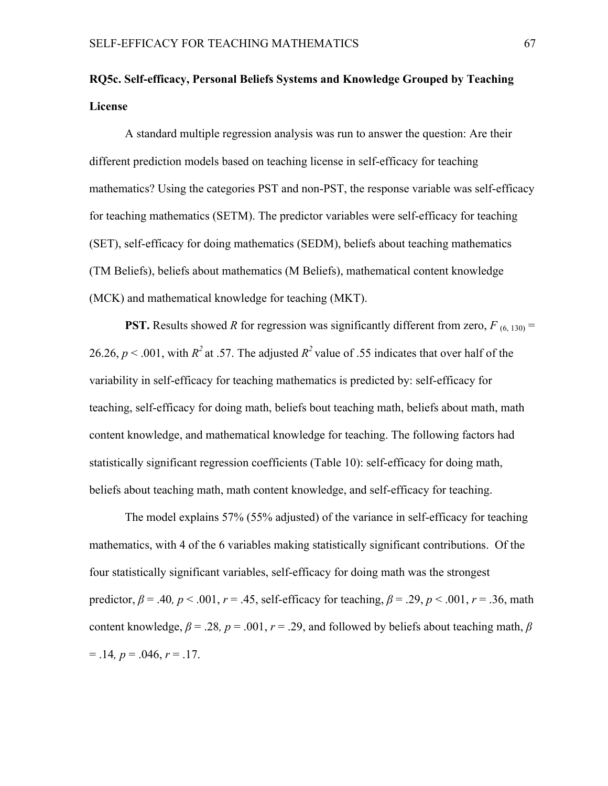# **RQ5c. Self-efficacy, Personal Beliefs Systems and Knowledge Grouped by Teaching License**

A standard multiple regression analysis was run to answer the question: Are their different prediction models based on teaching license in self-efficacy for teaching mathematics? Using the categories PST and non-PST, the response variable was self-efficacy for teaching mathematics (SETM). The predictor variables were self-efficacy for teaching (SET), self-efficacy for doing mathematics (SEDM), beliefs about teaching mathematics (TM Beliefs), beliefs about mathematics (M Beliefs), mathematical content knowledge (MCK) and mathematical knowledge for teaching (MKT).

**PST.** Results showed *R* for regression was significantly different from zero,  $F_{(6, 130)} =$ 26.26,  $p < .001$ , with  $R^2$  at .57. The adjusted  $R^2$  value of .55 indicates that over half of the variability in self-efficacy for teaching mathematics is predicted by: self-efficacy for teaching, self-efficacy for doing math, beliefs bout teaching math, beliefs about math, math content knowledge, and mathematical knowledge for teaching. The following factors had statistically significant regression coefficients (Table 10): self-efficacy for doing math, beliefs about teaching math, math content knowledge, and self-efficacy for teaching.

The model explains 57% (55% adjusted) of the variance in self-efficacy for teaching mathematics, with 4 of the 6 variables making statistically significant contributions. Of the four statistically significant variables, self-efficacy for doing math was the strongest predictor,  $\beta$  = .40,  $p < .001$ ,  $r = .45$ , self-efficacy for teaching,  $\beta$  = .29,  $p < .001$ ,  $r = .36$ , math content knowledge,  $\beta$  = .28,  $p$  = .001,  $r$  = .29, and followed by beliefs about teaching math,  $\beta$  $= .14, p = .046, r = .17.$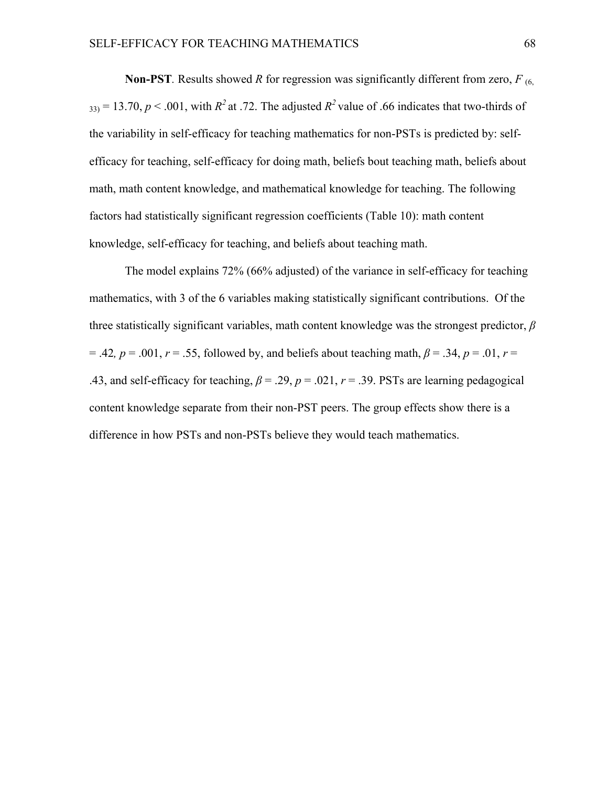**Non-PST***.* Results showed *R* for regression was significantly different from zero, *F* (6,  $333 = 13.70$ ,  $p < .001$ , with  $R^2$  at .72. The adjusted  $R^2$  value of .66 indicates that two-thirds of the variability in self-efficacy for teaching mathematics for non-PSTs is predicted by: selfefficacy for teaching, self-efficacy for doing math, beliefs bout teaching math, beliefs about math, math content knowledge, and mathematical knowledge for teaching. The following factors had statistically significant regression coefficients (Table 10): math content knowledge, self-efficacy for teaching, and beliefs about teaching math.

The model explains 72% (66% adjusted) of the variance in self-efficacy for teaching mathematics, with 3 of the 6 variables making statistically significant contributions. Of the three statistically significant variables, math content knowledge was the strongest predictor, *β*  $= .42, p = .001, r = .55,$  followed by, and beliefs about teaching math,  $\beta = .34, p = .01, r = .01$ .43, and self-efficacy for teaching,  $\beta = .29$ ,  $p = .021$ ,  $r = .39$ . PSTs are learning pedagogical content knowledge separate from their non-PST peers. The group effects show there is a difference in how PSTs and non-PSTs believe they would teach mathematics.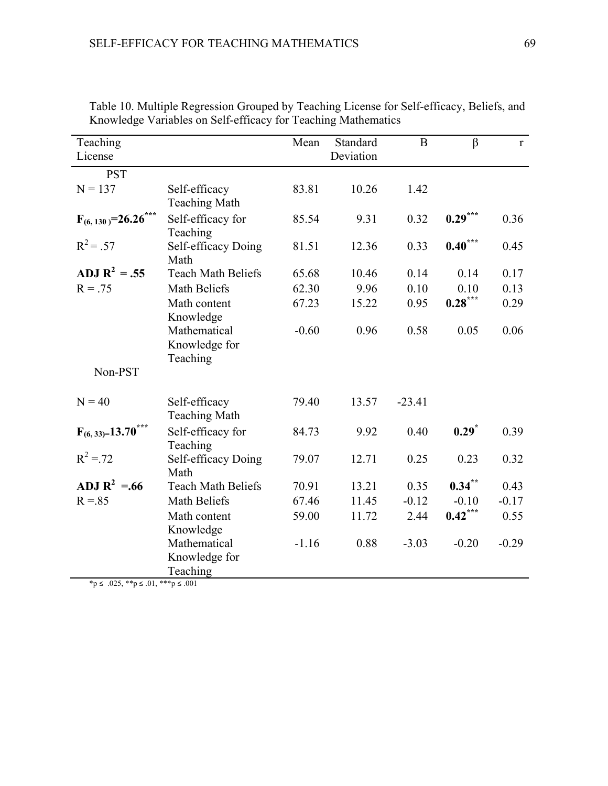| Teaching<br>License       |                           | Mean    | Standard<br>Deviation | $\bf{B}$ | $\beta$             | $r_{\rm}$ |
|---------------------------|---------------------------|---------|-----------------------|----------|---------------------|-----------|
|                           |                           |         |                       |          |                     |           |
| <b>PST</b>                |                           |         |                       |          |                     |           |
| $N = 137$                 | Self-efficacy             | 83.81   | 10.26                 | 1.42     |                     |           |
|                           | <b>Teaching Math</b>      |         |                       |          |                     |           |
| $F_{(6, 130)} = 26.26***$ | Self-efficacy for         | 85.54   | 9.31                  | 0.32     | $0.29***$           | 0.36      |
|                           | Teaching                  |         |                       |          |                     |           |
| $R^2 = .57$               | Self-efficacy Doing       | 81.51   | 12.36                 | 0.33     | $0.40***$           | 0.45      |
|                           | Math                      |         |                       |          |                     |           |
| ADJ $R^2 = .55$           | <b>Teach Math Beliefs</b> | 65.68   | 10.46                 | 0.14     | 0.14                | 0.17      |
| $R = .75$                 | Math Beliefs              | 62.30   | 9.96                  | 0.10     | 0.10                | 0.13      |
|                           | Math content              | 67.23   | 15.22                 | 0.95     | $0.28***$           | 0.29      |
|                           | Knowledge                 |         |                       |          |                     |           |
|                           | Mathematical              | $-0.60$ | 0.96                  | 0.58     | 0.05                | 0.06      |
|                           | Knowledge for             |         |                       |          |                     |           |
|                           | Teaching                  |         |                       |          |                     |           |
| Non-PST                   |                           |         |                       |          |                     |           |
|                           |                           |         |                       |          |                     |           |
| $N = 40$                  | Self-efficacy             | 79.40   | 13.57                 | $-23.41$ |                     |           |
|                           | <b>Teaching Math</b>      |         |                       |          |                     |           |
|                           |                           |         |                       |          |                     |           |
| $F_{(6, 33)=}13.70***$    | Self-efficacy for         | 84.73   | 9.92                  | 0.40     | $0.29$ <sup>*</sup> | 0.39      |
|                           | Teaching                  |         |                       |          |                     |           |
| $R^2 = 72$                | Self-efficacy Doing       | 79.07   | 12.71                 | 0.25     | 0.23                | 0.32      |
|                           | Math                      |         |                       |          |                     |           |
| ADJ $R^2 = .66$           | <b>Teach Math Beliefs</b> | 70.91   | 13.21                 | 0.35     | $0.34***$           | 0.43      |
| $R = 85$                  | <b>Math Beliefs</b>       | 67.46   | 11.45                 | $-0.12$  | $-0.10$             | $-0.17$   |
|                           | Math content              | 59.00   | 11.72                 | 2.44     | $0.42***$           | 0.55      |
|                           | Knowledge                 |         |                       |          |                     |           |
|                           | Mathematical              | $-1.16$ | 0.88                  | $-3.03$  | $-0.20$             | $-0.29$   |
|                           | Knowledge for             |         |                       |          |                     |           |
|                           | Teaching                  |         |                       |          |                     |           |

Table 10. Multiple Regression Grouped by Teaching License for Self-efficacy, Beliefs, and Knowledge Variables on Self-efficacy for Teaching Mathematics

 $***p** ≤ .025, ****p** ≤ .01, *****p** ≤ .001$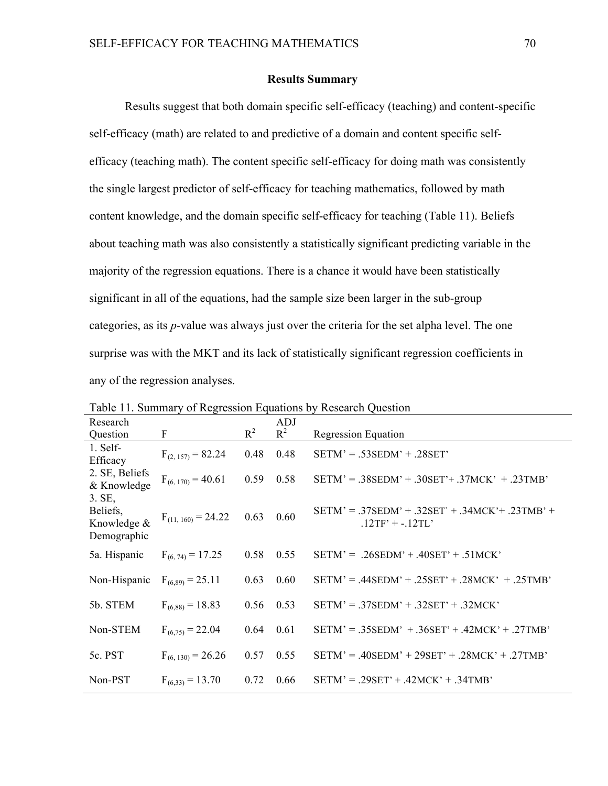#### **Results Summary**

Results suggest that both domain specific self-efficacy (teaching) and content-specific self-efficacy (math) are related to and predictive of a domain and content specific selfefficacy (teaching math). The content specific self-efficacy for doing math was consistently the single largest predictor of self-efficacy for teaching mathematics, followed by math content knowledge, and the domain specific self-efficacy for teaching (Table 11). Beliefs about teaching math was also consistently a statistically significant predicting variable in the majority of the regression equations. There is a chance it would have been statistically significant in all of the equations, had the sample size been larger in the sub-group categories, as its *p-*value was always just over the criteria for the set alpha level. The one surprise was with the MKT and its lack of statistically significant regression coefficients in any of the regression analyses.

| Research                                         |                         |       | ADJ   |                                                                         |
|--------------------------------------------------|-------------------------|-------|-------|-------------------------------------------------------------------------|
| Question                                         | F                       | $R^2$ | $R^2$ | <b>Regression Equation</b>                                              |
| 1. Self-<br>Efficacy                             | $F_{(2, 157)} = 82.24$  | 0.48  | 0.48  | $SETM' = .53SEDM' + .28SET'$                                            |
| 2. SE, Beliefs<br>& Knowledge                    | $F_{(6, 170)} = 40.61$  | 0.59  | 0.58  | $SETM' = .38SEDM' + .30SET' + .37MCK' + .23TMB'$                        |
| 3. SE,<br>Beliefs,<br>Knowledge &<br>Demographic | $F_{(11, 160)} = 24.22$ | 0.63  | 0.60  | $SETM' = .37SEDM' + .32SET' + .34MCK' + .23TMB' +$<br>$.12TF' + .12TL'$ |
| 5a. Hispanic                                     | $F_{(6,74)} = 17.25$    | 0.58  | 0.55  | $SETM' = .26SEDM' + .40SET' + .51MCK'$                                  |
| Non-Hispanic                                     | $F_{(6,89)} = 25.11$    | 0.63  | 0.60  | $SETM' = .44$ SEDM' + .25SET' + .28MCK' + .25TMB'                       |
| 5b. STEM                                         | $F_{(6,88)} = 18.83$    | 0.56  | 0.53  | $SETM' = .37SEDM' + .32SET' + .32MCK'$                                  |
| Non-STEM                                         | $F_{(6.75)} = 22.04$    | 0.64  | 0.61  | $SETM' = .35$ SEDM' + .36SET' + .42MCK' + .27TMB'                       |
| 5c. PST                                          | $F_{(6, 130)} = 26.26$  | 0.57  | 0.55  | $SETM' = .40$ SEDM' + 29SET' + .28MCK' + .27TMB'                        |
| Non-PST                                          | $F_{(6,33)} = 13.70$    | 0.72  | 0.66  | $SETM' = .29SET' + .42MCK' + .34TMB'$                                   |

Table 11. Summary of Regression Equations by Research Question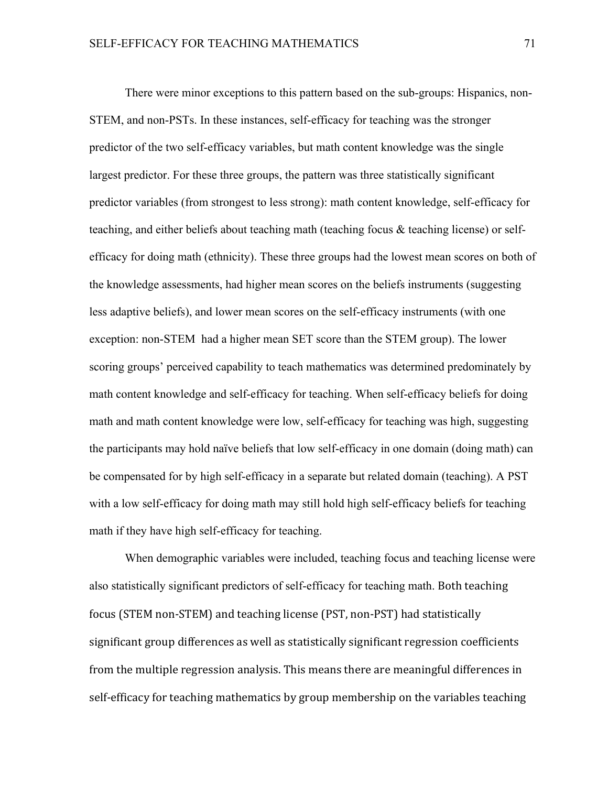There were minor exceptions to this pattern based on the sub-groups: Hispanics, non-STEM, and non-PSTs. In these instances, self-efficacy for teaching was the stronger predictor of the two self-efficacy variables, but math content knowledge was the single largest predictor. For these three groups, the pattern was three statistically significant predictor variables (from strongest to less strong): math content knowledge, self-efficacy for teaching, and either beliefs about teaching math (teaching focus & teaching license) or selfefficacy for doing math (ethnicity). These three groups had the lowest mean scores on both of the knowledge assessments, had higher mean scores on the beliefs instruments (suggesting less adaptive beliefs), and lower mean scores on the self-efficacy instruments (with one exception: non-STEM had a higher mean SET score than the STEM group). The lower scoring groups' perceived capability to teach mathematics was determined predominately by math content knowledge and self-efficacy for teaching. When self-efficacy beliefs for doing math and math content knowledge were low, self-efficacy for teaching was high, suggesting the participants may hold naïve beliefs that low self-efficacy in one domain (doing math) can be compensated for by high self-efficacy in a separate but related domain (teaching). A PST with a low self-efficacy for doing math may still hold high self-efficacy beliefs for teaching math if they have high self-efficacy for teaching.

When demographic variables were included, teaching focus and teaching license were also statistically significant predictors of self-efficacy for teaching math. Both teaching focus (STEM non-STEM) and teaching license (PST, non-PST) had statistically significant group differences as well as statistically significant regression coefficients from the multiple regression analysis. This means there are meaningful differences in self-efficacy for teaching mathematics by group membership on the variables teaching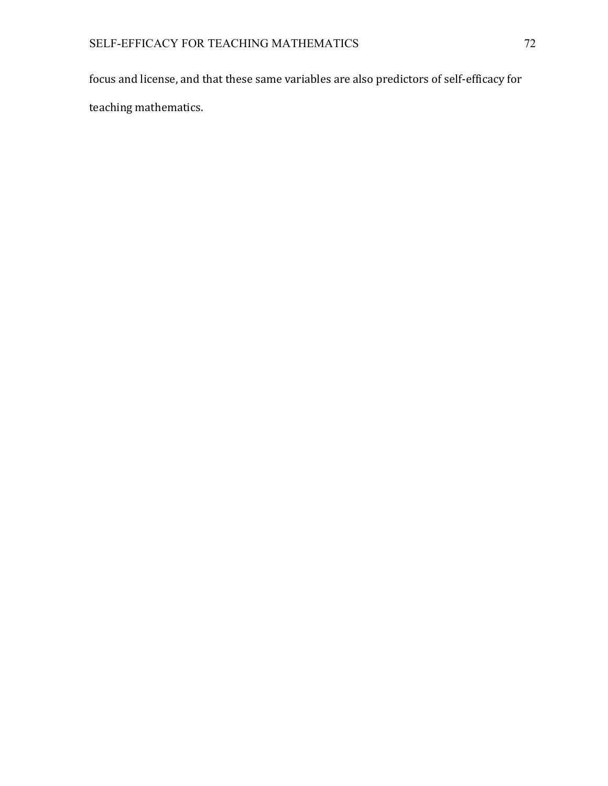focus and license, and that these same variables are also predictors of self-efficacy for teaching mathematics.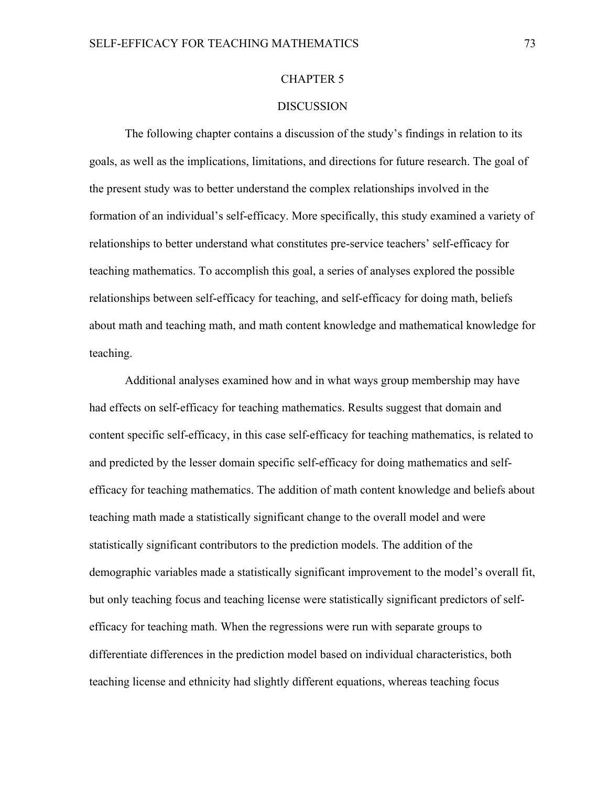#### CHAPTER 5

### **DISCUSSION**

The following chapter contains a discussion of the study's findings in relation to its goals, as well as the implications, limitations, and directions for future research. The goal of the present study was to better understand the complex relationships involved in the formation of an individual's self-efficacy. More specifically, this study examined a variety of relationships to better understand what constitutes pre-service teachers' self-efficacy for teaching mathematics. To accomplish this goal, a series of analyses explored the possible relationships between self-efficacy for teaching, and self-efficacy for doing math, beliefs about math and teaching math, and math content knowledge and mathematical knowledge for teaching.

Additional analyses examined how and in what ways group membership may have had effects on self-efficacy for teaching mathematics. Results suggest that domain and content specific self-efficacy, in this case self-efficacy for teaching mathematics, is related to and predicted by the lesser domain specific self-efficacy for doing mathematics and selfefficacy for teaching mathematics. The addition of math content knowledge and beliefs about teaching math made a statistically significant change to the overall model and were statistically significant contributors to the prediction models. The addition of the demographic variables made a statistically significant improvement to the model's overall fit, but only teaching focus and teaching license were statistically significant predictors of selfefficacy for teaching math. When the regressions were run with separate groups to differentiate differences in the prediction model based on individual characteristics, both teaching license and ethnicity had slightly different equations, whereas teaching focus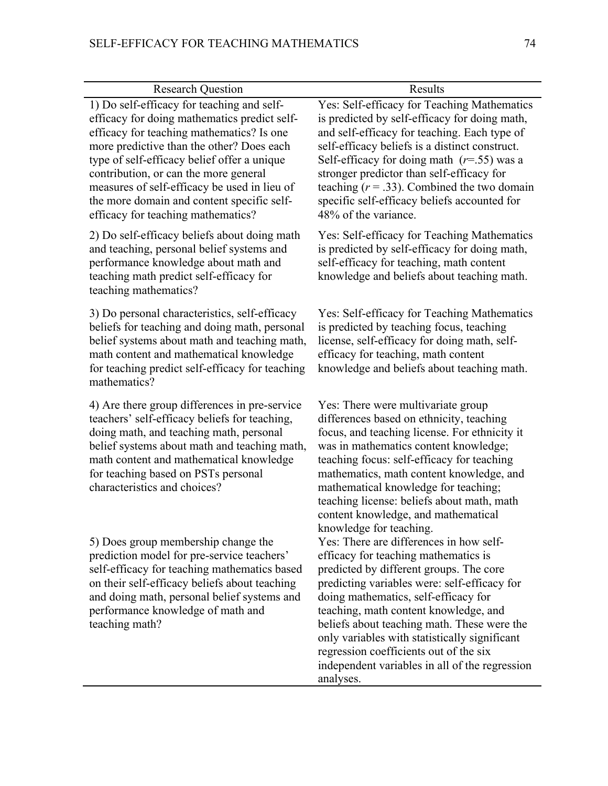| <b>Research Question</b>                                                                                                                                                                                                                                                                                                                                                                                         | Results                                                                                                                                                                                                                                                                                                                                                                                                                                                                                         |
|------------------------------------------------------------------------------------------------------------------------------------------------------------------------------------------------------------------------------------------------------------------------------------------------------------------------------------------------------------------------------------------------------------------|-------------------------------------------------------------------------------------------------------------------------------------------------------------------------------------------------------------------------------------------------------------------------------------------------------------------------------------------------------------------------------------------------------------------------------------------------------------------------------------------------|
| 1) Do self-efficacy for teaching and self-<br>efficacy for doing mathematics predict self-<br>efficacy for teaching mathematics? Is one<br>more predictive than the other? Does each<br>type of self-efficacy belief offer a unique<br>contribution, or can the more general<br>measures of self-efficacy be used in lieu of<br>the more domain and content specific self-<br>efficacy for teaching mathematics? | Yes: Self-efficacy for Teaching Mathematics<br>is predicted by self-efficacy for doing math,<br>and self-efficacy for teaching. Each type of<br>self-efficacy beliefs is a distinct construct.<br>Self-efficacy for doing math $(r=55)$ was a<br>stronger predictor than self-efficacy for<br>teaching $(r = .33)$ . Combined the two domain<br>specific self-efficacy beliefs accounted for<br>48% of the variance.                                                                            |
| 2) Do self-efficacy beliefs about doing math<br>and teaching, personal belief systems and<br>performance knowledge about math and<br>teaching math predict self-efficacy for<br>teaching mathematics?                                                                                                                                                                                                            | Yes: Self-efficacy for Teaching Mathematics<br>is predicted by self-efficacy for doing math,<br>self-efficacy for teaching, math content<br>knowledge and beliefs about teaching math.                                                                                                                                                                                                                                                                                                          |
| 3) Do personal characteristics, self-efficacy<br>beliefs for teaching and doing math, personal<br>belief systems about math and teaching math,<br>math content and mathematical knowledge<br>for teaching predict self-efficacy for teaching<br>mathematics?                                                                                                                                                     | Yes: Self-efficacy for Teaching Mathematics<br>is predicted by teaching focus, teaching<br>license, self-efficacy for doing math, self-<br>efficacy for teaching, math content<br>knowledge and beliefs about teaching math.                                                                                                                                                                                                                                                                    |
| 4) Are there group differences in pre-service<br>teachers' self-efficacy beliefs for teaching,<br>doing math, and teaching math, personal<br>belief systems about math and teaching math,<br>math content and mathematical knowledge<br>for teaching based on PSTs personal<br>characteristics and choices?                                                                                                      | Yes: There were multivariate group<br>differences based on ethnicity, teaching<br>focus, and teaching license. For ethnicity it<br>was in mathematics content knowledge;<br>teaching focus: self-efficacy for teaching<br>mathematics, math content knowledge, and<br>mathematical knowledge for teaching;<br>teaching license: beliefs about math, math<br>content knowledge, and mathematical                                                                                                 |
| 5) Does group membership change the<br>prediction model for pre-service teachers'<br>self-efficacy for teaching mathematics based<br>on their self-efficacy beliefs about teaching<br>and doing math, personal belief systems and<br>performance knowledge of math and<br>teaching math?                                                                                                                         | knowledge for teaching.<br>Yes: There are differences in how self-<br>efficacy for teaching mathematics is<br>predicted by different groups. The core<br>predicting variables were: self-efficacy for<br>doing mathematics, self-efficacy for<br>teaching, math content knowledge, and<br>beliefs about teaching math. These were the<br>only variables with statistically significant<br>regression coefficients out of the six<br>independent variables in all of the regression<br>analyses. |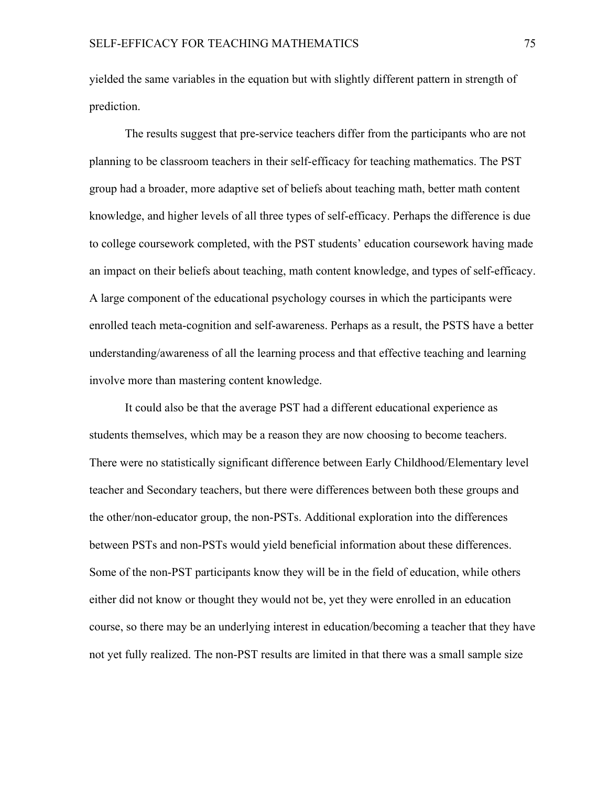yielded the same variables in the equation but with slightly different pattern in strength of prediction.

The results suggest that pre-service teachers differ from the participants who are not planning to be classroom teachers in their self-efficacy for teaching mathematics. The PST group had a broader, more adaptive set of beliefs about teaching math, better math content knowledge, and higher levels of all three types of self-efficacy. Perhaps the difference is due to college coursework completed, with the PST students' education coursework having made an impact on their beliefs about teaching, math content knowledge, and types of self-efficacy. A large component of the educational psychology courses in which the participants were enrolled teach meta-cognition and self-awareness. Perhaps as a result, the PSTS have a better understanding/awareness of all the learning process and that effective teaching and learning involve more than mastering content knowledge.

It could also be that the average PST had a different educational experience as students themselves, which may be a reason they are now choosing to become teachers. There were no statistically significant difference between Early Childhood/Elementary level teacher and Secondary teachers, but there were differences between both these groups and the other/non-educator group, the non-PSTs. Additional exploration into the differences between PSTs and non-PSTs would yield beneficial information about these differences. Some of the non-PST participants know they will be in the field of education, while others either did not know or thought they would not be, yet they were enrolled in an education course, so there may be an underlying interest in education/becoming a teacher that they have not yet fully realized. The non-PST results are limited in that there was a small sample size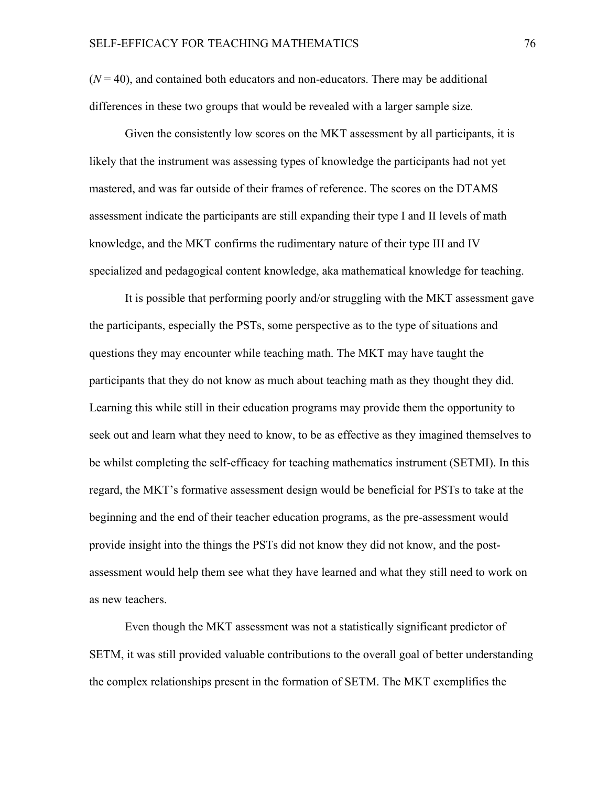$(N = 40)$ , and contained both educators and non-educators. There may be additional differences in these two groups that would be revealed with a larger sample size*.*

Given the consistently low scores on the MKT assessment by all participants, it is likely that the instrument was assessing types of knowledge the participants had not yet mastered, and was far outside of their frames of reference. The scores on the DTAMS assessment indicate the participants are still expanding their type I and II levels of math knowledge, and the MKT confirms the rudimentary nature of their type III and IV specialized and pedagogical content knowledge, aka mathematical knowledge for teaching.

It is possible that performing poorly and/or struggling with the MKT assessment gave the participants, especially the PSTs, some perspective as to the type of situations and questions they may encounter while teaching math. The MKT may have taught the participants that they do not know as much about teaching math as they thought they did. Learning this while still in their education programs may provide them the opportunity to seek out and learn what they need to know, to be as effective as they imagined themselves to be whilst completing the self-efficacy for teaching mathematics instrument (SETMI). In this regard, the MKT's formative assessment design would be beneficial for PSTs to take at the beginning and the end of their teacher education programs, as the pre-assessment would provide insight into the things the PSTs did not know they did not know, and the postassessment would help them see what they have learned and what they still need to work on as new teachers.

Even though the MKT assessment was not a statistically significant predictor of SETM, it was still provided valuable contributions to the overall goal of better understanding the complex relationships present in the formation of SETM. The MKT exemplifies the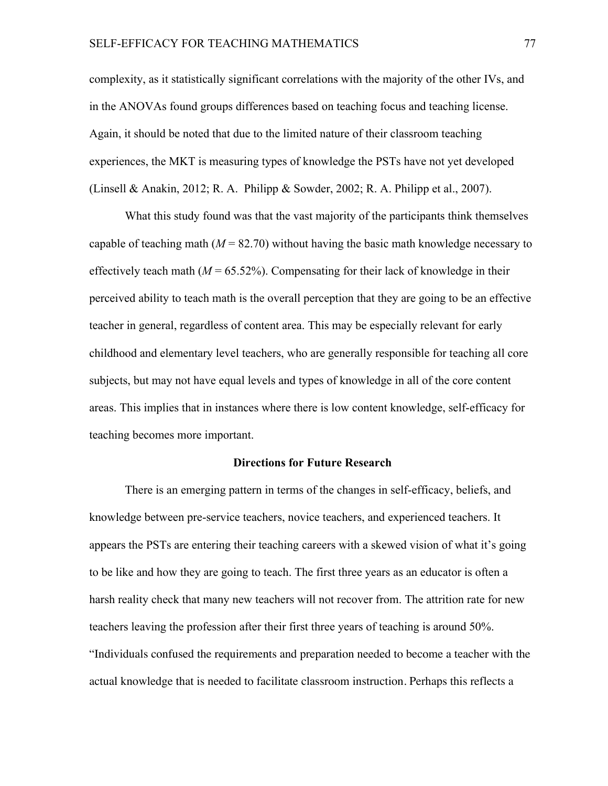complexity, as it statistically significant correlations with the majority of the other IVs, and in the ANOVAs found groups differences based on teaching focus and teaching license. Again, it should be noted that due to the limited nature of their classroom teaching experiences, the MKT is measuring types of knowledge the PSTs have not yet developed (Linsell & Anakin, 2012; R. A. Philipp & Sowder, 2002; R. A. Philipp et al., 2007).

What this study found was that the vast majority of the participants think themselves capable of teaching math  $(M = 82.70)$  without having the basic math knowledge necessary to effectively teach math  $(M = 65.52\%)$ . Compensating for their lack of knowledge in their perceived ability to teach math is the overall perception that they are going to be an effective teacher in general, regardless of content area. This may be especially relevant for early childhood and elementary level teachers, who are generally responsible for teaching all core subjects, but may not have equal levels and types of knowledge in all of the core content areas. This implies that in instances where there is low content knowledge, self-efficacy for teaching becomes more important.

#### **Directions for Future Research**

There is an emerging pattern in terms of the changes in self-efficacy, beliefs, and knowledge between pre-service teachers, novice teachers, and experienced teachers. It appears the PSTs are entering their teaching careers with a skewed vision of what it's going to be like and how they are going to teach. The first three years as an educator is often a harsh reality check that many new teachers will not recover from. The attrition rate for new teachers leaving the profession after their first three years of teaching is around 50%. "Individuals confused the requirements and preparation needed to become a teacher with the actual knowledge that is needed to facilitate classroom instruction. Perhaps this reflects a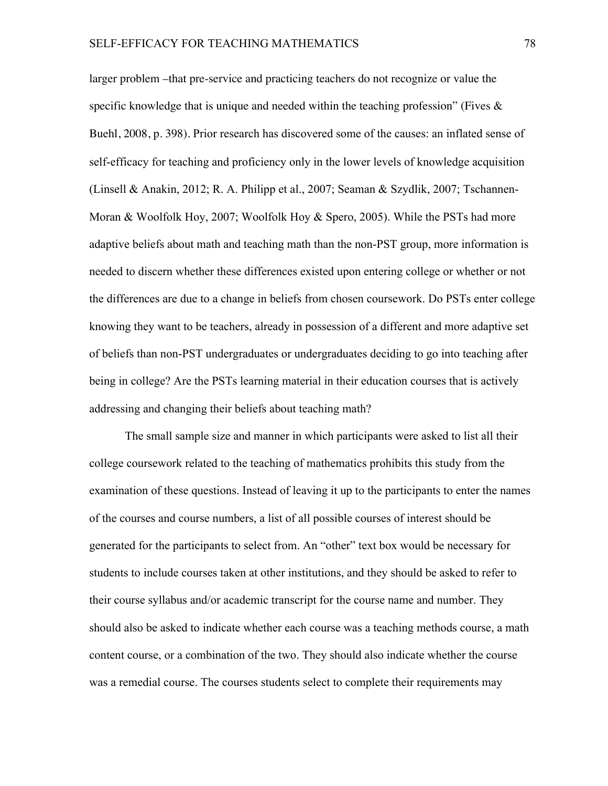larger problem –that pre-service and practicing teachers do not recognize or value the specific knowledge that is unique and needed within the teaching profession" (Fives  $\&$ Buehl, 2008, p. 398). Prior research has discovered some of the causes: an inflated sense of self-efficacy for teaching and proficiency only in the lower levels of knowledge acquisition (Linsell & Anakin, 2012; R. A. Philipp et al., 2007; Seaman & Szydlik, 2007; Tschannen-Moran & Woolfolk Hoy, 2007; Woolfolk Hoy & Spero, 2005). While the PSTs had more adaptive beliefs about math and teaching math than the non-PST group, more information is needed to discern whether these differences existed upon entering college or whether or not the differences are due to a change in beliefs from chosen coursework. Do PSTs enter college knowing they want to be teachers, already in possession of a different and more adaptive set of beliefs than non-PST undergraduates or undergraduates deciding to go into teaching after being in college? Are the PSTs learning material in their education courses that is actively addressing and changing their beliefs about teaching math?

The small sample size and manner in which participants were asked to list all their college coursework related to the teaching of mathematics prohibits this study from the examination of these questions. Instead of leaving it up to the participants to enter the names of the courses and course numbers, a list of all possible courses of interest should be generated for the participants to select from. An "other" text box would be necessary for students to include courses taken at other institutions, and they should be asked to refer to their course syllabus and/or academic transcript for the course name and number. They should also be asked to indicate whether each course was a teaching methods course, a math content course, or a combination of the two. They should also indicate whether the course was a remedial course. The courses students select to complete their requirements may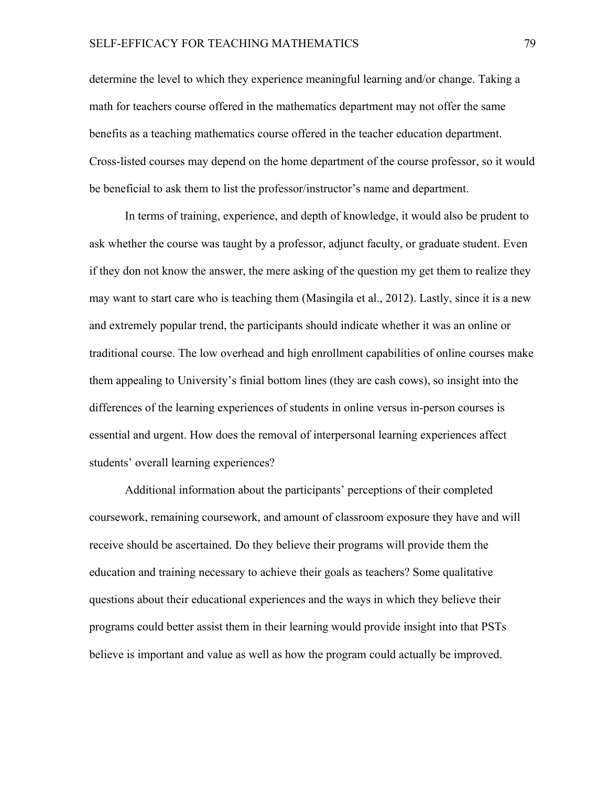determine the level to which they experience meaningful learning and/or change. Taking a math for teachers course offered in the mathematics department may not offer the same benefits as a teaching mathematics course offered in the teacher education department. Cross-listed courses may depend on the home department of the course professor, so it would be beneficial to ask them to list the professor/instructor's name and department.

In terms of training, experience, and depth of knowledge, it would also be prudent to ask whether the course was taught by a professor, adjunct faculty, or graduate student. Even if they don not know the answer, the mere asking of the question my get them to realize they may want to start care who is teaching them (Masingila et al., 2012). Lastly, since it is a new and extremely popular trend, the participants should indicate whether it was an online or traditional course. The low overhead and high enrollment capabilities of online courses make them appealing to University's finial bottom lines (they are cash cows), so insight into the differences of the learning experiences of students in online versus in-person courses is essential and urgent. How does the removal of interpersonal learning experiences affect students' overall learning experiences?

Additional information about the participants' perceptions of their completed coursework, remaining coursework, and amount of classroom exposure they have and will receive should be ascertained. Do they believe their programs will provide them the education and training necessary to achieve their goals as teachers? Some qualitative questions about their educational experiences and the ways in which they believe their programs could better assist them in their learning would provide insight into that PSTs believe is important and value as well as how the program could actually be improved.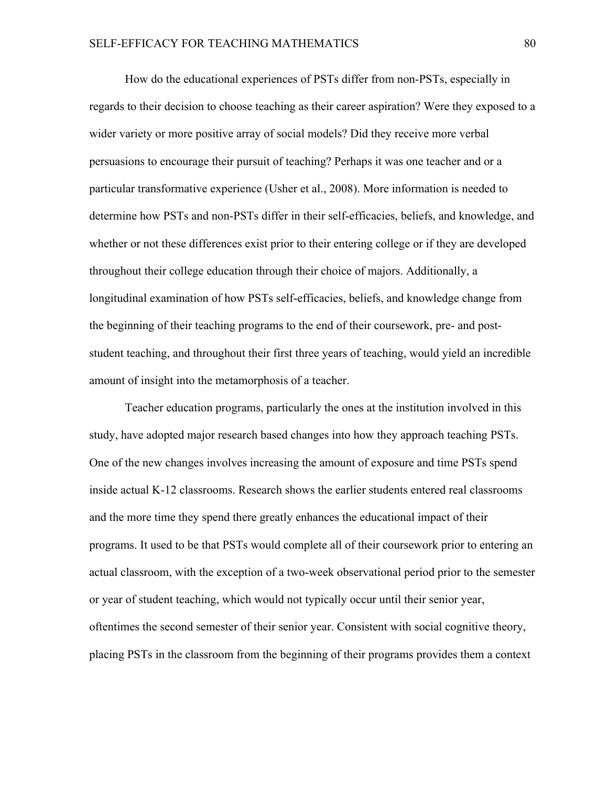How do the educational experiences of PSTs differ from non-PSTs, especially in regards to their decision to choose teaching as their career aspiration? Were they exposed to a wider variety or more positive array of social models? Did they receive more verbal persuasions to encourage their pursuit of teaching? Perhaps it was one teacher and or a particular transformative experience (Usher et al., 2008). More information is needed to determine how PSTs and non-PSTs differ in their self-efficacies, beliefs, and knowledge, and whether or not these differences exist prior to their entering college or if they are developed throughout their college education through their choice of majors. Additionally, a longitudinal examination of how PSTs self-efficacies, beliefs, and knowledge change from the beginning of their teaching programs to the end of their coursework, pre- and poststudent teaching, and throughout their first three years of teaching, would yield an incredible amount of insight into the metamorphosis of a teacher.

Teacher education programs, particularly the ones at the institution involved in this study, have adopted major research based changes into how they approach teaching PSTs. One of the new changes involves increasing the amount of exposure and time PSTs spend inside actual K-12 classrooms. Research shows the earlier students entered real classrooms and the more time they spend there greatly enhances the educational impact of their programs. It used to be that PSTs would complete all of their coursework prior to entering an actual classroom, with the exception of a two-week observational period prior to the semester or year of student teaching, which would not typically occur until their senior year, oftentimes the second semester of their senior year. Consistent with social cognitive theory, placing PSTs in the classroom from the beginning of their programs provides them a context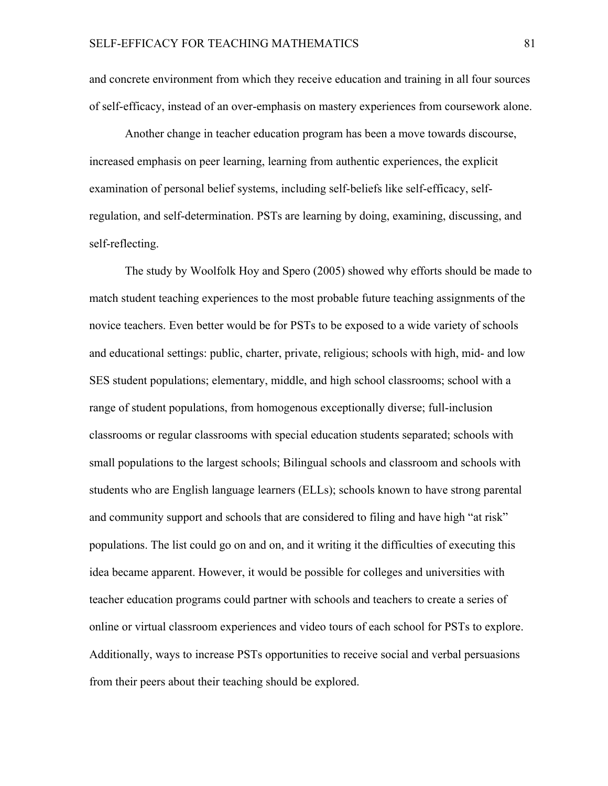and concrete environment from which they receive education and training in all four sources of self-efficacy, instead of an over-emphasis on mastery experiences from coursework alone.

Another change in teacher education program has been a move towards discourse, increased emphasis on peer learning, learning from authentic experiences, the explicit examination of personal belief systems, including self-beliefs like self-efficacy, selfregulation, and self-determination. PSTs are learning by doing, examining, discussing, and self-reflecting.

The study by Woolfolk Hoy and Spero (2005) showed why efforts should be made to match student teaching experiences to the most probable future teaching assignments of the novice teachers. Even better would be for PSTs to be exposed to a wide variety of schools and educational settings: public, charter, private, religious; schools with high, mid- and low SES student populations; elementary, middle, and high school classrooms; school with a range of student populations, from homogenous exceptionally diverse; full-inclusion classrooms or regular classrooms with special education students separated; schools with small populations to the largest schools; Bilingual schools and classroom and schools with students who are English language learners (ELLs); schools known to have strong parental and community support and schools that are considered to filing and have high "at risk" populations. The list could go on and on, and it writing it the difficulties of executing this idea became apparent. However, it would be possible for colleges and universities with teacher education programs could partner with schools and teachers to create a series of online or virtual classroom experiences and video tours of each school for PSTs to explore. Additionally, ways to increase PSTs opportunities to receive social and verbal persuasions from their peers about their teaching should be explored.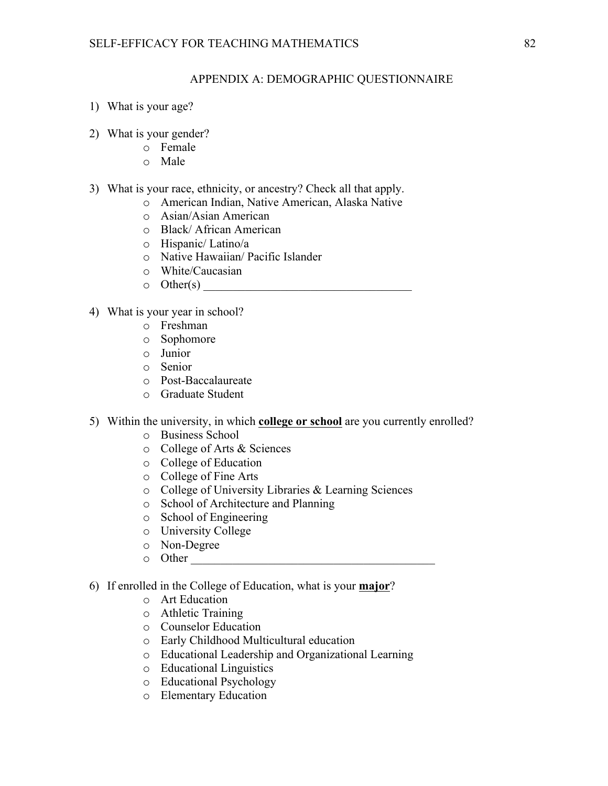### APPENDIX A: DEMOGRAPHIC QUESTIONNAIRE

- 1) What is your age?
- 2) What is your gender?
	- o Female
	- o Male
- 3) What is your race, ethnicity, or ancestry? Check all that apply.
	- o American Indian, Native American, Alaska Native
	- o Asian/Asian American
	- o Black/ African American
	- o Hispanic/ Latino/a
	- o Native Hawaiian/ Pacific Islander
	- o White/Caucasian
	- o Other(s) \_\_\_\_\_\_\_\_\_\_\_\_\_\_\_\_\_\_\_\_\_\_\_\_\_\_\_\_\_\_\_\_\_\_\_
- 4) What is your year in school?
	- o Freshman
	- o Sophomore
	- o Junior
	- o Senior
	- o Post-Baccalaureate
	- o Graduate Student
- 5) Within the university, in which **college or school** are you currently enrolled?
	- o Business School
	- o College of Arts & Sciences
	- o College of Education
	- o College of Fine Arts
	- o College of University Libraries & Learning Sciences
	- o School of Architecture and Planning
	- o School of Engineering
	- o University College
	- o Non-Degree
	- o Other \_\_\_\_\_\_\_\_\_\_\_\_\_\_\_\_\_\_\_\_\_\_\_\_\_\_\_\_\_\_\_\_\_\_\_\_\_\_\_\_\_
- 6) If enrolled in the College of Education, what is your **major**?
	- o Art Education
	- o Athletic Training
	- o Counselor Education
	- o Early Childhood Multicultural education
	- o Educational Leadership and Organizational Learning
	- o Educational Linguistics
	- o Educational Psychology
	- o Elementary Education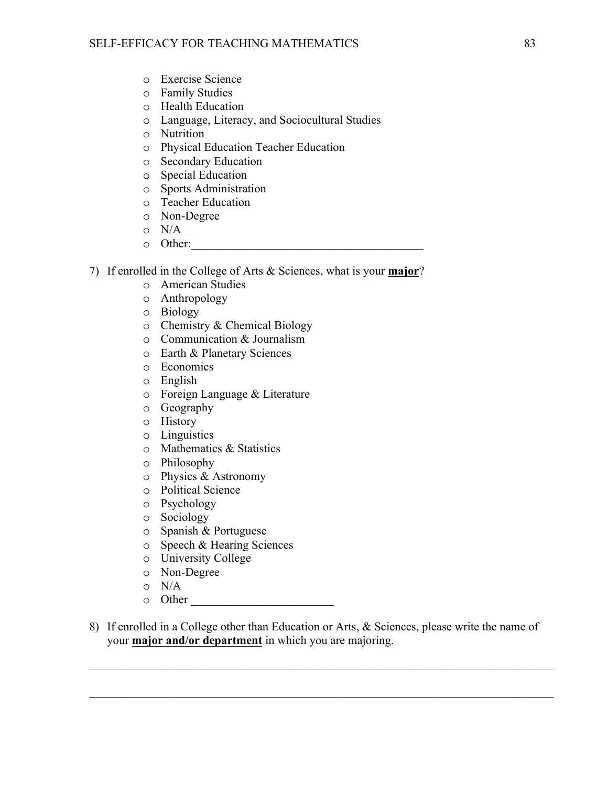- o Exercise Science
- o Family Studies
- o Health Education
- o Language, Literacy, and Sociocultural Studies
- o Nutrition
- o Physical Education Teacher Education
- o Secondary Education
- o Special Education
- o Sports Administration
- o Teacher Education
- o Non-Degree
- o N/A
- $\circ$  Other:
- 7) If enrolled in the College of Arts & Sciences, what is your **major**?
	- o American Studies
	- o Anthropology
	- o Biology
	- o Chemistry & Chemical Biology
	- o Communication & Journalism
	- o Earth & Planetary Sciences
	- o Economics
	- o English
	- o Foreign Language & Literature
	- o Geography
	- o History
	- o Linguistics
	- o Mathematics & Statistics
	- o Philosophy
	- o Physics & Astronomy
	- o Political Science
	- o Psychology
	- o Sociology
	- o Spanish & Portuguese
	- o Speech & Hearing Sciences
	- o University College
	- o Non-Degree
	- o N/A
	- o Other \_\_\_\_\_\_\_\_\_\_\_\_\_\_\_\_\_\_\_\_\_\_\_\_
- 8) If enrolled in a College other than Education or Arts, & Sciences, please write the name of your **major and/or department** in which you are majoring.

 $\_$  , and the contribution of the contribution of the contribution of the contribution of  $\mathcal{L}_\text{max}$ 

 $\_$  , and the contribution of the contribution of the contribution of the contribution of  $\mathcal{L}_\text{max}$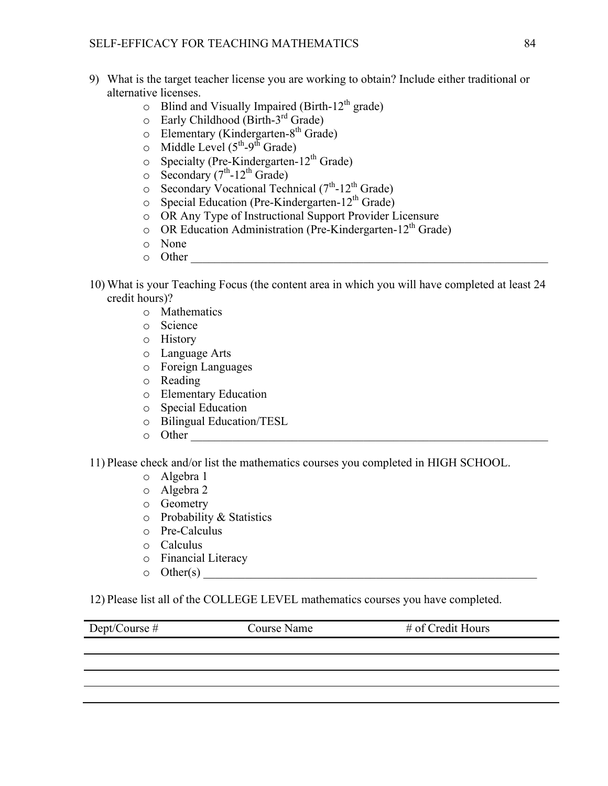- 9) What is the target teacher license you are working to obtain? Include either traditional or alternative licenses.
	- $\circ$  Blind and Visually Impaired (Birth-12<sup>th</sup> grade)
	- $\circ$  Early Childhood (Birth-3<sup>rd</sup> Grade)
	- $\circ$  Elementary (Kindergarten-8<sup>th</sup> Grade)
	- o Middle Level  $(5^{th} 9^{th})$  Grade)
	- $\circ$  Specialty (Pre-Kindergarten-12<sup>th</sup> Grade)
	- $\circ$  Secondary (7<sup>th</sup>-12<sup>th</sup> Grade)
	- $\circ$  Secondary Vocational Technical (7<sup>th</sup>-12<sup>th</sup> Grade)
	- $\circ$  Special Education (Pre-Kindergarten-12<sup>th</sup> Grade)
	- o OR Any Type of Instructional Support Provider Licensure
	- $\circ$  OR Education Administration (Pre-Kindergarten-12<sup>th</sup> Grade)
	- o None
	- $\circ$  Other
- 10) What is your Teaching Focus (the content area in which you will have completed at least 24 credit hours)?
	- o Mathematics
	- o Science
	- o History
	- o Language Arts
	- o Foreign Languages
	- o Reading
	- o Elementary Education
	- o Special Education
	- o Bilingual Education/TESL
	- $\circ$  Other

11) Please check and/or list the mathematics courses you completed in HIGH SCHOOL.

- o Algebra 1
- o Algebra 2
- o Geometry
- o Probability & Statistics
- o Pre-Calculus
- o Calculus
- o Financial Literacy
- $\circ$  Other(s)

12) Please list all of the COLLEGE LEVEL mathematics courses you have completed.

| Dept/Course $#$ | Course Name | $#$ of Credit Hours |
|-----------------|-------------|---------------------|
|                 |             |                     |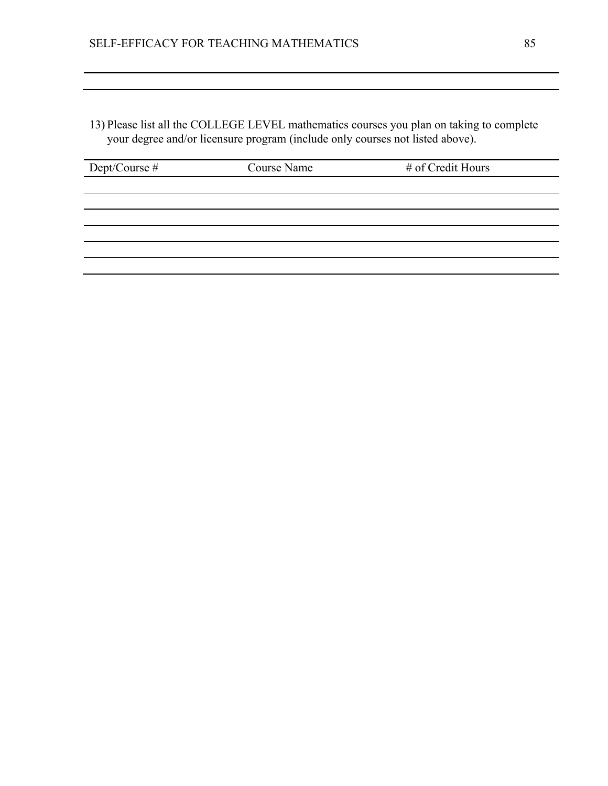13) Please list all the COLLEGE LEVEL mathematics courses you plan on taking to complete your degree and/or licensure program (include only courses not listed above).

| Dept/Course # | Course Name | # of Credit Hours |
|---------------|-------------|-------------------|
|               |             |                   |
|               |             |                   |
|               |             |                   |
|               |             |                   |
|               |             |                   |
|               |             |                   |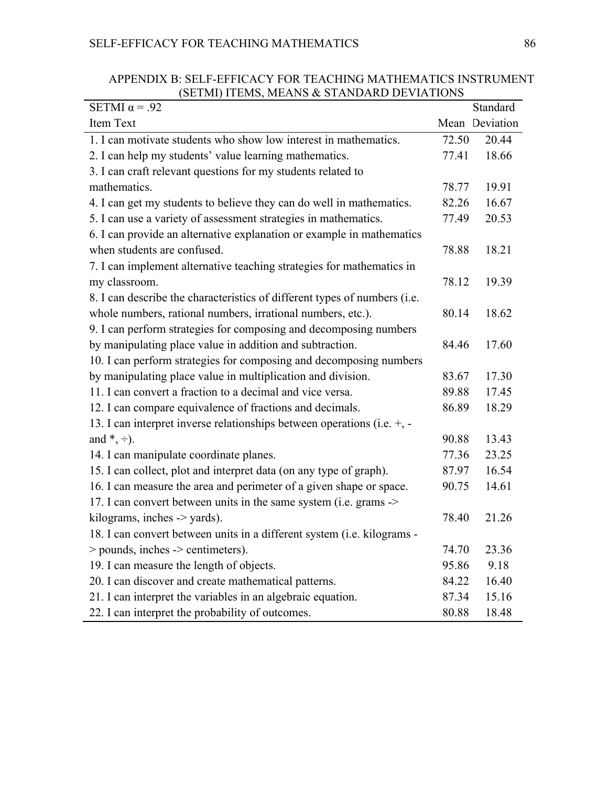| SETMI $\alpha$ = .92                                                         |       | Standard       |
|------------------------------------------------------------------------------|-------|----------------|
| Item Text                                                                    |       | Mean Deviation |
| 1. I can motivate students who show low interest in mathematics.             | 72.50 | 20.44          |
| 2. I can help my students' value learning mathematics.                       | 77.41 | 18.66          |
| 3. I can craft relevant questions for my students related to                 |       |                |
| mathematics.                                                                 | 78.77 | 19.91          |
| 4. I can get my students to believe they can do well in mathematics.         | 82.26 | 16.67          |
| 5. I can use a variety of assessment strategies in mathematics.              | 77.49 | 20.53          |
| 6. I can provide an alternative explanation or example in mathematics        |       |                |
| when students are confused.                                                  | 78.88 | 18.21          |
| 7. I can implement alternative teaching strategies for mathematics in        |       |                |
| my classroom.                                                                | 78.12 | 19.39          |
| 8. I can describe the characteristics of different types of numbers (i.e.    |       |                |
| whole numbers, rational numbers, irrational numbers, etc.).                  | 80.14 | 18.62          |
| 9. I can perform strategies for composing and decomposing numbers            |       |                |
| by manipulating place value in addition and subtraction.                     | 84.46 | 17.60          |
| 10. I can perform strategies for composing and decomposing numbers           |       |                |
| by manipulating place value in multiplication and division.                  | 83.67 | 17.30          |
| 11. I can convert a fraction to a decimal and vice versa.                    | 89.88 | 17.45          |
| 12. I can compare equivalence of fractions and decimals.                     | 86.89 | 18.29          |
| 13. I can interpret inverse relationships between operations (i.e. $+$ , $-$ |       |                |
| and $*, \div$ ).                                                             | 90.88 | 13.43          |
| 14. I can manipulate coordinate planes.                                      | 77.36 | 23.25          |
| 15. I can collect, plot and interpret data (on any type of graph).           | 87.97 | 16.54          |
| 16. I can measure the area and perimeter of a given shape or space.          | 90.75 | 14.61          |
| 17. I can convert between units in the same system (i.e. grams ->            |       |                |
| kilograms, inches $\rightarrow$ yards).                                      | 78.40 | 21.26          |
| 18. I can convert between units in a different system (i.e. kilograms -      |       |                |
| $>$ pounds, inches $\ge$ centimeters).                                       | 74.70 | 23.36          |
| 19. I can measure the length of objects.                                     | 95.86 | 9.18           |
| 20. I can discover and create mathematical patterns.                         | 84.22 | 16.40          |
| 21. I can interpret the variables in an algebraic equation.                  | 87.34 | 15.16          |
| 22. I can interpret the probability of outcomes.                             | 80.88 | 18.48          |

APPENDIX B: SELF-EFFICACY FOR TEACHING MATHEMATICS INSTRUMENT (SETMI) ITEMS, MEANS & STANDARD DEVIATIONS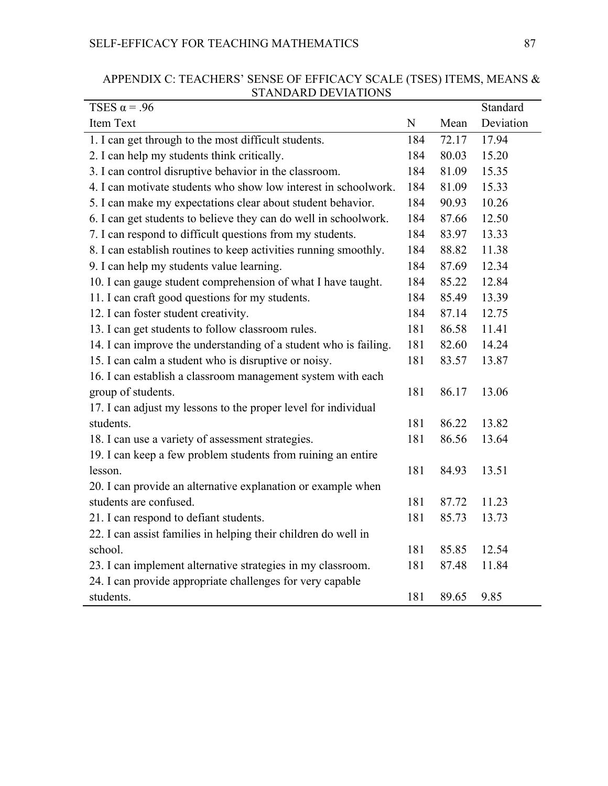| TSES $\alpha$ = .96                                              |     |       | Standard  |
|------------------------------------------------------------------|-----|-------|-----------|
| Item Text                                                        | N   | Mean  | Deviation |
| 1. I can get through to the most difficult students.             | 184 | 72.17 | 17.94     |
| 2. I can help my students think critically.                      | 184 | 80.03 | 15.20     |
| 3. I can control disruptive behavior in the classroom.           | 184 | 81.09 | 15.35     |
| 4. I can motivate students who show low interest in schoolwork.  | 184 | 81.09 | 15.33     |
| 5. I can make my expectations clear about student behavior.      | 184 | 90.93 | 10.26     |
| 6. I can get students to believe they can do well in schoolwork. | 184 | 87.66 | 12.50     |
| 7. I can respond to difficult questions from my students.        | 184 | 83.97 | 13.33     |
| 8. I can establish routines to keep activities running smoothly. | 184 | 88.82 | 11.38     |
| 9. I can help my students value learning.                        | 184 | 87.69 | 12.34     |
| 10. I can gauge student comprehension of what I have taught.     | 184 | 85.22 | 12.84     |
| 11. I can craft good questions for my students.                  | 184 | 85.49 | 13.39     |
| 12. I can foster student creativity.                             | 184 | 87.14 | 12.75     |
| 13. I can get students to follow classroom rules.                | 181 | 86.58 | 11.41     |
| 14. I can improve the understanding of a student who is failing. | 181 | 82.60 | 14.24     |
| 15. I can calm a student who is disruptive or noisy.             | 181 | 83.57 | 13.87     |
| 16. I can establish a classroom management system with each      |     |       |           |
| group of students.                                               | 181 | 86.17 | 13.06     |
| 17. I can adjust my lessons to the proper level for individual   |     |       |           |
| students.                                                        | 181 | 86.22 | 13.82     |
| 18. I can use a variety of assessment strategies.                | 181 | 86.56 | 13.64     |
| 19. I can keep a few problem students from ruining an entire     |     |       |           |
| lesson.                                                          | 181 | 84.93 | 13.51     |
| 20. I can provide an alternative explanation or example when     |     |       |           |
| students are confused.                                           | 181 | 87.72 | 11.23     |
| 21. I can respond to defiant students.                           | 181 | 85.73 | 13.73     |
| 22. I can assist families in helping their children do well in   |     |       |           |
| school.                                                          | 181 | 85.85 | 12.54     |
| 23. I can implement alternative strategies in my classroom.      | 181 | 87.48 | 11.84     |
| 24. I can provide appropriate challenges for very capable        |     |       |           |
| students.                                                        | 181 | 89.65 | 9.85      |

## APPENDIX C: TEACHERS' SENSE OF EFFICACY SCALE (TSES) ITEMS, MEANS & STANDARD DEVIATIONS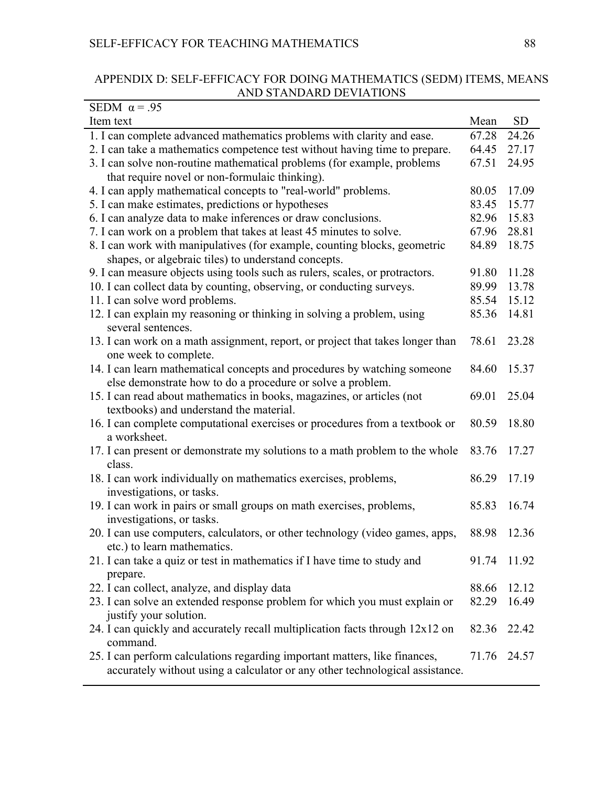# APPENDIX D: SELF-EFFICACY FOR DOING MATHEMATICS (SEDM) ITEMS, MEANS AND STANDARD DEVIATIONS

| SEDM $\alpha$ = .95                                                                          |             |           |
|----------------------------------------------------------------------------------------------|-------------|-----------|
| Item text                                                                                    | Mean        | <b>SD</b> |
| 1. I can complete advanced mathematics problems with clarity and ease.                       | 67.28       | 24.26     |
| 2. I can take a mathematics competence test without having time to prepare.                  | 64.45       | 27.17     |
| 3. I can solve non-routine mathematical problems (for example, problems                      | 67.51       | 24.95     |
| that require novel or non-formulaic thinking).                                               |             |           |
| 4. I can apply mathematical concepts to "real-world" problems.                               | 80.05       | 17.09     |
| 5. I can make estimates, predictions or hypotheses                                           | 83.45       | 15.77     |
| 6. I can analyze data to make inferences or draw conclusions.                                | 82.96       | 15.83     |
| 7. I can work on a problem that takes at least 45 minutes to solve.                          | 67.96       | 28.81     |
| 8. I can work with manipulatives (for example, counting blocks, geometric                    | 84.89       | 18.75     |
| shapes, or algebraic tiles) to understand concepts.                                          |             |           |
| 9. I can measure objects using tools such as rulers, scales, or protractors.                 | 91.80       | 11.28     |
| 10. I can collect data by counting, observing, or conducting surveys.                        | 89.99       | 13.78     |
| 11. I can solve word problems.                                                               | 85.54       | 15.12     |
| 12. I can explain my reasoning or thinking in solving a problem, using<br>several sentences. | 85.36       | 14.81     |
| 13. I can work on a math assignment, report, or project that takes longer than               | 78.61       | 23.28     |
| one week to complete.                                                                        |             |           |
| 14. I can learn mathematical concepts and procedures by watching someone                     | 84.60       | 15.37     |
| else demonstrate how to do a procedure or solve a problem.                                   |             |           |
| 15. I can read about mathematics in books, magazines, or articles (not                       | 69.01       | 25.04     |
| textbooks) and understand the material.                                                      |             |           |
| 16. I can complete computational exercises or procedures from a textbook or                  | 80.59       | 18.80     |
| a worksheet.                                                                                 |             |           |
| 17. I can present or demonstrate my solutions to a math problem to the whole                 | 83.76       | 17.27     |
| class.                                                                                       |             |           |
| 18. I can work individually on mathematics exercises, problems,                              | 86.29       | 17.19     |
| investigations, or tasks.                                                                    |             |           |
| 19. I can work in pairs or small groups on math exercises, problems,                         | 85.83       | 16.74     |
| investigations, or tasks.                                                                    |             |           |
| 20. I can use computers, calculators, or other technology (video games, apps,                | 88.98       | 12.36     |
| etc.) to learn mathematics.                                                                  |             |           |
| 21. I can take a quiz or test in mathematics if I have time to study and                     | 91.74       | 11.92     |
| prepare.                                                                                     |             |           |
| 22. I can collect, analyze, and display data                                                 | 88.66       | 12.12     |
| 23. I can solve an extended response problem for which you must explain or                   | 82.29       | 16.49     |
| justify your solution.                                                                       |             |           |
| 24. I can quickly and accurately recall multiplication facts through 12x12 on                | 82.36       | 22.42     |
| command.                                                                                     |             |           |
| 25. I can perform calculations regarding important matters, like finances,                   | 71.76 24.57 |           |
| accurately without using a calculator or any other technological assistance.                 |             |           |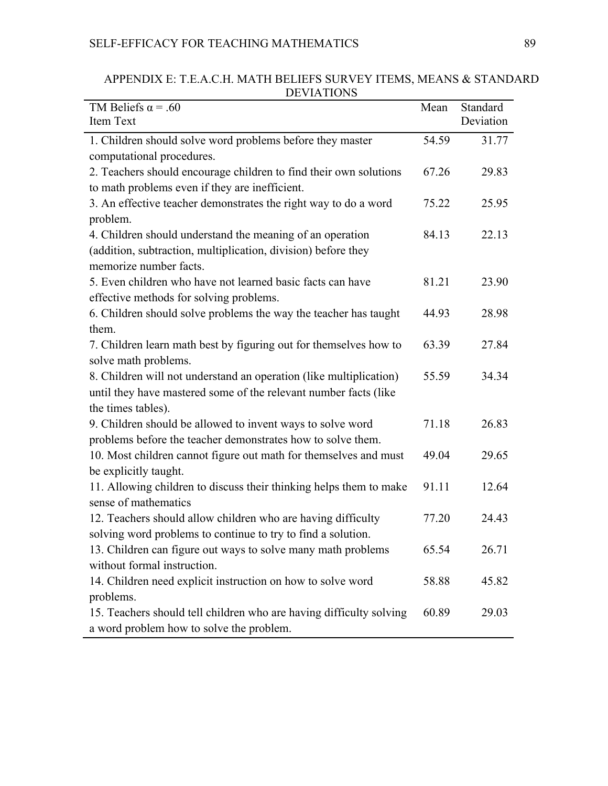# SELF-EFFICACY FOR TEACHING MATHEMATICS 89

| <b>DE LATIONS</b>                                                                                                                                            |       |                       |
|--------------------------------------------------------------------------------------------------------------------------------------------------------------|-------|-----------------------|
| TM Beliefs $\alpha$ = .60<br><b>Item Text</b>                                                                                                                | Mean  | Standard<br>Deviation |
|                                                                                                                                                              | 54.59 | 31.77                 |
| 1. Children should solve word problems before they master<br>computational procedures.                                                                       |       |                       |
| 2. Teachers should encourage children to find their own solutions<br>to math problems even if they are inefficient.                                          | 67.26 | 29.83                 |
| 3. An effective teacher demonstrates the right way to do a word<br>problem.                                                                                  | 75.22 | 25.95                 |
| 4. Children should understand the meaning of an operation<br>(addition, subtraction, multiplication, division) before they                                   | 84.13 | 22.13                 |
| memorize number facts.                                                                                                                                       |       |                       |
| 5. Even children who have not learned basic facts can have<br>effective methods for solving problems.                                                        | 81.21 | 23.90                 |
| 6. Children should solve problems the way the teacher has taught<br>them.                                                                                    | 44.93 | 28.98                 |
| 7. Children learn math best by figuring out for themselves how to<br>solve math problems.                                                                    | 63.39 | 27.84                 |
| 8. Children will not understand an operation (like multiplication)<br>until they have mastered some of the relevant number facts (like<br>the times tables). | 55.59 | 34.34                 |
| 9. Children should be allowed to invent ways to solve word<br>problems before the teacher demonstrates how to solve them.                                    | 71.18 | 26.83                 |
| 10. Most children cannot figure out math for themselves and must<br>be explicitly taught.                                                                    | 49.04 | 29.65                 |
| 11. Allowing children to discuss their thinking helps them to make<br>sense of mathematics                                                                   | 91.11 | 12.64                 |
| 12. Teachers should allow children who are having difficulty<br>solving word problems to continue to try to find a solution.                                 | 77.20 | 24.43                 |
| 13. Children can figure out ways to solve many math problems<br>without formal instruction.                                                                  | 65.54 | 26.71                 |
| 14. Children need explicit instruction on how to solve word                                                                                                  | 58.88 | 45.82                 |
| problems.<br>15. Teachers should tell children who are having difficulty solving<br>a word problem how to solve the problem.                                 | 60.89 | 29.03                 |

APPENDIX E: T.E.A.C.H. MATH BELIEFS SURVEY ITEMS, MEANS & STANDARD DEVIATIONS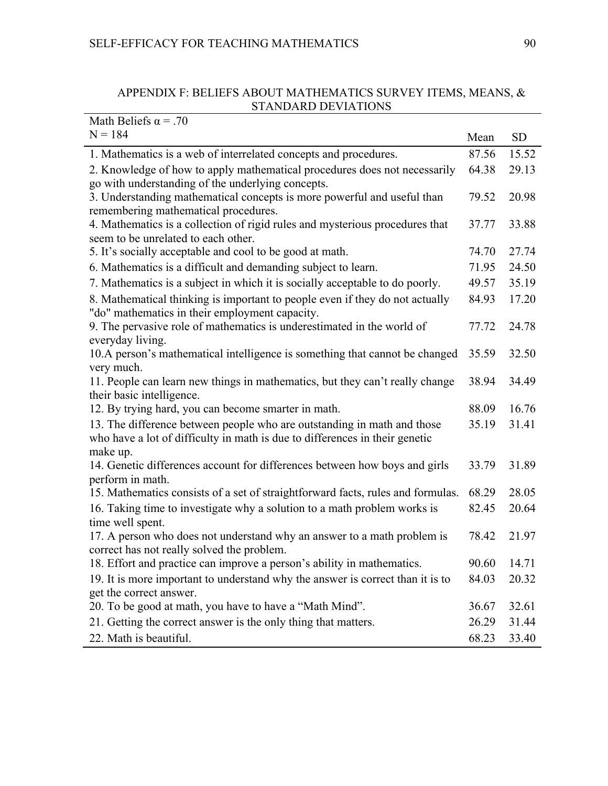## APPENDIX F: BELIEFS ABOUT MATHEMATICS SURVEY ITEMS, MEANS, & STANDARD DEVIATIONS

| Math Beliefs $\alpha$ = .70                                                               |             |           |
|-------------------------------------------------------------------------------------------|-------------|-----------|
| $N = 184$                                                                                 | Mean        | <b>SD</b> |
| 1. Mathematics is a web of interrelated concepts and procedures.                          | 87.56       | 15.52     |
| 2. Knowledge of how to apply mathematical procedures does not necessarily                 | 64.38       | 29.13     |
| go with understanding of the underlying concepts.                                         |             |           |
| 3. Understanding mathematical concepts is more powerful and useful than                   | 79.52       | 20.98     |
| remembering mathematical procedures.                                                      |             |           |
| 4. Mathematics is a collection of rigid rules and mysterious procedures that              | 37.77       | 33.88     |
| seem to be unrelated to each other.                                                       |             |           |
| 5. It's socially acceptable and cool to be good at math.                                  | 74.70       | 27.74     |
| 6. Mathematics is a difficult and demanding subject to learn.                             | 71.95       | 24.50     |
| 7. Mathematics is a subject in which it is socially acceptable to do poorly.              | 49.57       | 35.19     |
| 8. Mathematical thinking is important to people even if they do not actually              | 84.93       | 17.20     |
| "do" mathematics in their employment capacity.                                            |             |           |
| 9. The pervasive role of mathematics is underestimated in the world of                    | 77.72       | 24.78     |
| everyday living.                                                                          |             |           |
| 10.A person's mathematical intelligence is something that cannot be changed<br>very much. | 35.59       | 32.50     |
| 11. People can learn new things in mathematics, but they can't really change              | 38.94       | 34.49     |
| their basic intelligence.                                                                 |             |           |
| 12. By trying hard, you can become smarter in math.                                       | 88.09       | 16.76     |
| 13. The difference between people who are outstanding in math and those                   | 35.19       | 31.41     |
| who have a lot of difficulty in math is due to differences in their genetic               |             |           |
| make up.                                                                                  |             |           |
| 14. Genetic differences account for differences between how boys and girls                | 33.79       | 31.89     |
| perform in math.                                                                          |             |           |
| 15. Mathematics consists of a set of straightforward facts, rules and formulas.           | 68.29       | 28.05     |
| 16. Taking time to investigate why a solution to a math problem works is                  | 82.45       | 20.64     |
| time well spent.                                                                          |             |           |
| 17. A person who does not understand why an answer to a math problem is                   | 78.42       | 21.97     |
| correct has not really solved the problem.                                                |             |           |
| 18. Effort and practice can improve a person's ability in mathematics.                    | 90.60 14.71 |           |
| 19. It is more important to understand why the answer is correct than it is to            | 84.03       | 20.32     |
| get the correct answer.                                                                   |             |           |
| 20. To be good at math, you have to have a "Math Mind".                                   | 36.67       | 32.61     |
| 21. Getting the correct answer is the only thing that matters.                            | 26.29       | 31.44     |
| 22. Math is beautiful.                                                                    | 68.23       | 33.40     |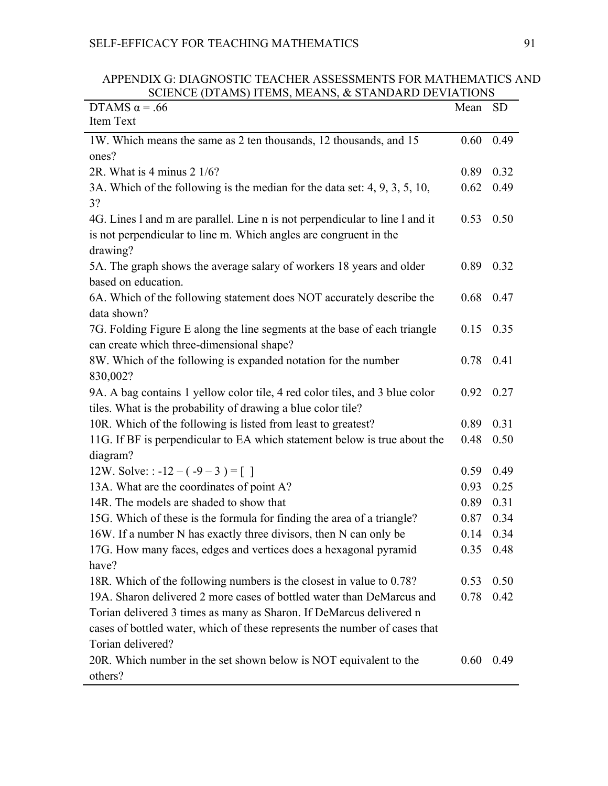| APPENDIX G: DIAGNOSTIC TEACHER ASSESSMENTS FOR MATHEMATICS AND |  |  |
|----------------------------------------------------------------|--|--|
| SCIENCE (DTAMS) ITEMS, MEANS, & STANDARD DEVIATIONS            |  |  |

| DTAMS $\alpha$ = .66                                                         | Mean      | <b>SD</b> |
|------------------------------------------------------------------------------|-----------|-----------|
| Item Text                                                                    |           |           |
| 1W. Which means the same as 2 ten thousands, 12 thousands, and 15            | 0.60      | 0.49      |
| ones?                                                                        |           |           |
| 2R. What is 4 minus $2 \frac{1}{6}$ ?                                        | 0.89      | 0.32      |
| 3A. Which of the following is the median for the data set: 4, 9, 3, 5, 10,   | 0.62      | 0.49      |
| 3?                                                                           |           |           |
| 4G. Lines 1 and m are parallel. Line n is not perpendicular to line 1 and it | 0.53      | 0.50      |
| is not perpendicular to line m. Which angles are congruent in the            |           |           |
| drawing?                                                                     |           |           |
| 5A. The graph shows the average salary of workers 18 years and older         | 0.89      | 0.32      |
| based on education.                                                          |           |           |
| 6A. Which of the following statement does NOT accurately describe the        | 0.68      | 0.47      |
| data shown?                                                                  |           |           |
| 7G. Folding Figure E along the line segments at the base of each triangle    | 0.15      | 0.35      |
| can create which three-dimensional shape?                                    |           |           |
| 8W. Which of the following is expanded notation for the number               | 0.78      | 0.41      |
| 830,002?                                                                     |           |           |
| 9A. A bag contains 1 yellow color tile, 4 red color tiles, and 3 blue color  | 0.92      | 0.27      |
| tiles. What is the probability of drawing a blue color tile?                 |           |           |
| 10R. Which of the following is listed from least to greatest?                | 0.89      | 0.31      |
| 11G. If BF is perpendicular to EA which statement below is true about the    | 0.48      | 0.50      |
| diagram?                                                                     |           |           |
| 12W. Solve: : -12 – $(-9-3)$ = []                                            | 0.59      | 0.49      |
| 13A. What are the coordinates of point A?                                    | 0.93      | 0.25      |
| 14R. The models are shaded to show that                                      | 0.89      | 0.31      |
| 15G. Which of these is the formula for finding the area of a triangle?       | 0.87      | 0.34      |
| 16W. If a number N has exactly three divisors, then N can only be            | 0.14      | 0.34      |
| 17G. How many faces, edges and vertices does a hexagonal pyramid             | 0.35 0.48 |           |
| have?                                                                        |           |           |
| 18R. Which of the following numbers is the closest in value to 0.78?         | 0.53      | 0.50      |
| 19A. Sharon delivered 2 more cases of bottled water than DeMarcus and        | 0.78      | 0.42      |
| Torian delivered 3 times as many as Sharon. If DeMarcus delivered n          |           |           |
| cases of bottled water, which of these represents the number of cases that   |           |           |
| Torian delivered?                                                            |           |           |
| 20R. Which number in the set shown below is NOT equivalent to the            | 0.60      | 0.49      |
| others?                                                                      |           |           |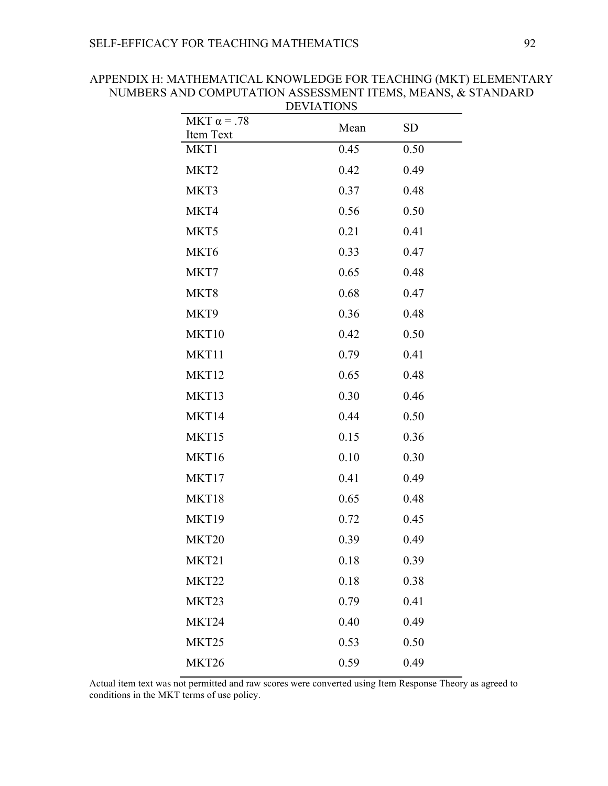| MKT $\alpha$ = .78 | Mean | <b>SD</b> |
|--------------------|------|-----------|
| Item Text          |      |           |
| MKT1               | 0.45 | 0.50      |
| MKT <sub>2</sub>   | 0.42 | 0.49      |
| MKT3               | 0.37 | 0.48      |
| MKT4               | 0.56 | 0.50      |
| MKT5               | 0.21 | 0.41      |
| MKT6               | 0.33 | 0.47      |
| MKT7               | 0.65 | 0.48      |
| MKT8               | 0.68 | 0.47      |
| MKT9               | 0.36 | 0.48      |
| MKT10              | 0.42 | 0.50      |
| MKT11              | 0.79 | 0.41      |
| MKT12              | 0.65 | 0.48      |
| MKT13              | 0.30 | 0.46      |
| MKT14              | 0.44 | 0.50      |
| MKT15              | 0.15 | 0.36      |
| MKT16              | 0.10 | 0.30      |
| MKT17              | 0.41 | 0.49      |
| MKT18              | 0.65 | 0.48      |
| MKT19              | 0.72 | 0.45      |
| MKT20              | 0.39 | 0.49      |
| MKT21              | 0.18 | 0.39      |
| MKT22              | 0.18 | 0.38      |
| MKT23              | 0.79 | 0.41      |
| MKT24              | 0.40 | 0.49      |
| MKT25              | 0.53 | 0.50      |
| MKT26              | 0.59 | 0.49      |

APPENDIX H: MATHEMATICAL KNOWLEDGE FOR TEACHING (MKT) ELEMENTARY NUMBERS AND COMPUTATION ASSESSMENT ITEMS, MEANS, & STANDARD DEVIATIONS

Actual item text was not permitted and raw scores were converted using Item Response Theory as agreed to conditions in the MKT terms of use policy.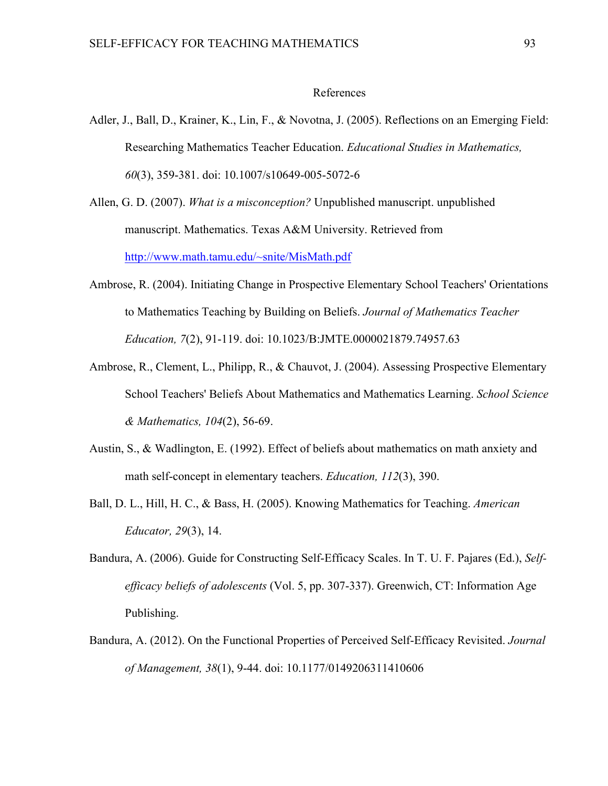#### References

- Adler, J., Ball, D., Krainer, K., Lin, F., & Novotna, J. (2005). Reflections on an Emerging Field: Researching Mathematics Teacher Education. *Educational Studies in Mathematics, 60*(3), 359-381. doi: 10.1007/s10649-005-5072-6
- Allen, G. D. (2007). *What is a misconception?* Unpublished manuscript. unpublished manuscript. Mathematics. Texas A&M University. Retrieved from http://www.math.tamu.edu/~snite/MisMath.pdf
- Ambrose, R. (2004). Initiating Change in Prospective Elementary School Teachers' Orientations to Mathematics Teaching by Building on Beliefs. *Journal of Mathematics Teacher Education, 7*(2), 91-119. doi: 10.1023/B:JMTE.0000021879.74957.63
- Ambrose, R., Clement, L., Philipp, R., & Chauvot, J. (2004). Assessing Prospective Elementary School Teachers' Beliefs About Mathematics and Mathematics Learning. *School Science & Mathematics, 104*(2), 56-69.
- Austin, S., & Wadlington, E. (1992). Effect of beliefs about mathematics on math anxiety and math self-concept in elementary teachers. *Education, 112*(3), 390.
- Ball, D. L., Hill, H. C., & Bass, H. (2005). Knowing Mathematics for Teaching. *American Educator, 29*(3), 14.
- Bandura, A. (2006). Guide for Constructing Self-Efficacy Scales. In T. U. F. Pajares (Ed.), *Selfefficacy beliefs of adolescents* (Vol. 5, pp. 307-337). Greenwich, CT: Information Age Publishing.
- Bandura, A. (2012). On the Functional Properties of Perceived Self-Efficacy Revisited. *Journal of Management, 38*(1), 9-44. doi: 10.1177/0149206311410606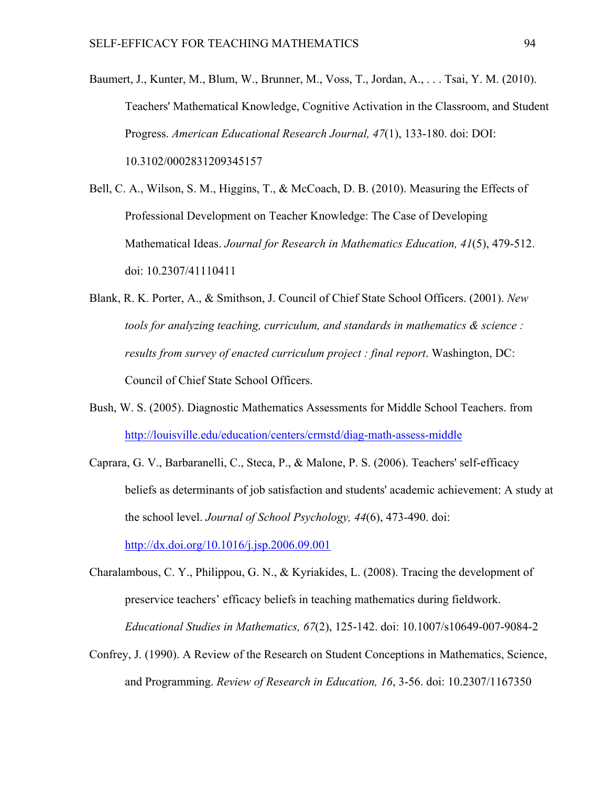- Baumert, J., Kunter, M., Blum, W., Brunner, M., Voss, T., Jordan, A., . . . Tsai, Y. M. (2010). Teachers' Mathematical Knowledge, Cognitive Activation in the Classroom, and Student Progress. *American Educational Research Journal, 47*(1), 133-180. doi: DOI: 10.3102/0002831209345157
- Bell, C. A., Wilson, S. M., Higgins, T., & McCoach, D. B. (2010). Measuring the Effects of Professional Development on Teacher Knowledge: The Case of Developing Mathematical Ideas. *Journal for Research in Mathematics Education, 41*(5), 479-512. doi: 10.2307/41110411
- Blank, R. K. Porter, A., & Smithson, J. Council of Chief State School Officers. (2001). *New tools for analyzing teaching, curriculum, and standards in mathematics & science : results from survey of enacted curriculum project : final report*. Washington, DC: Council of Chief State School Officers.
- Bush, W. S. (2005). Diagnostic Mathematics Assessments for Middle School Teachers. from http://louisville.edu/education/centers/crmstd/diag-math-assess-middle
- Caprara, G. V., Barbaranelli, C., Steca, P., & Malone, P. S. (2006). Teachers' self-efficacy beliefs as determinants of job satisfaction and students' academic achievement: A study at the school level. *Journal of School Psychology, 44*(6), 473-490. doi: http://dx.doi.org/10.1016/j.jsp.2006.09.001

Charalambous, C. Y., Philippou, G. N., & Kyriakides, L. (2008). Tracing the development of preservice teachers' efficacy beliefs in teaching mathematics during fieldwork. *Educational Studies in Mathematics, 67*(2), 125-142. doi: 10.1007/s10649-007-9084-2

Confrey, J. (1990). A Review of the Research on Student Conceptions in Mathematics, Science, and Programming. *Review of Research in Education, 16*, 3-56. doi: 10.2307/1167350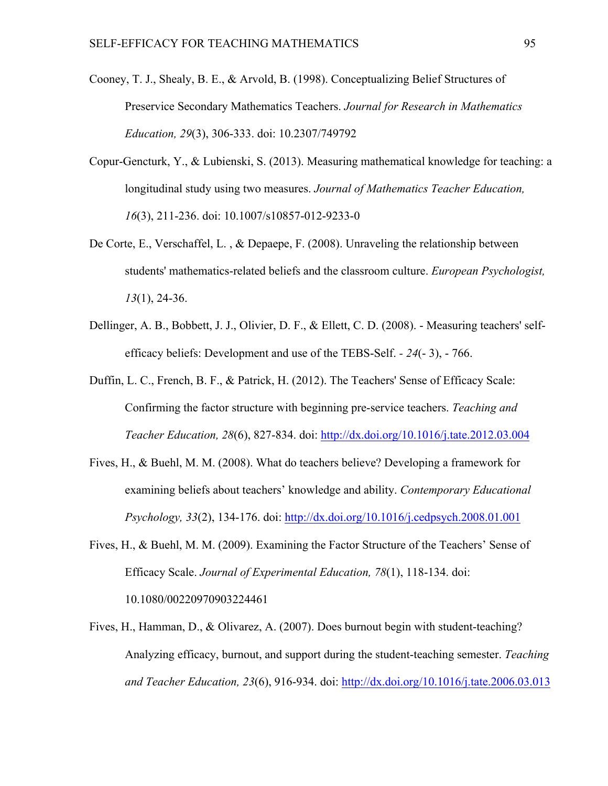- Cooney, T. J., Shealy, B. E., & Arvold, B. (1998). Conceptualizing Belief Structures of Preservice Secondary Mathematics Teachers. *Journal for Research in Mathematics Education, 29*(3), 306-333. doi: 10.2307/749792
- Copur-Gencturk, Y., & Lubienski, S. (2013). Measuring mathematical knowledge for teaching: a longitudinal study using two measures. *Journal of Mathematics Teacher Education, 16*(3), 211-236. doi: 10.1007/s10857-012-9233-0
- De Corte, E., Verschaffel, L. , & Depaepe, F. (2008). Unraveling the relationship between students' mathematics-related beliefs and the classroom culture. *European Psychologist, 13*(1), 24-36.
- Dellinger, A. B., Bobbett, J. J., Olivier, D. F., & Ellett, C. D. (2008). Measuring teachers' selfefficacy beliefs: Development and use of the TEBS-Self. *- 24*(- 3), - 766.
- Duffin, L. C., French, B. F., & Patrick, H. (2012). The Teachers' Sense of Efficacy Scale: Confirming the factor structure with beginning pre-service teachers. *Teaching and Teacher Education, 28*(6), 827-834. doi: http://dx.doi.org/10.1016/j.tate.2012.03.004
- Fives, H., & Buehl, M. M. (2008). What do teachers believe? Developing a framework for examining beliefs about teachers' knowledge and ability. *Contemporary Educational Psychology, 33*(2), 134-176. doi: http://dx.doi.org/10.1016/j.cedpsych.2008.01.001
- Fives, H., & Buehl, M. M. (2009). Examining the Factor Structure of the Teachers' Sense of Efficacy Scale. *Journal of Experimental Education, 78*(1), 118-134. doi: 10.1080/00220970903224461
- Fives, H., Hamman, D., & Olivarez, A. (2007). Does burnout begin with student-teaching? Analyzing efficacy, burnout, and support during the student-teaching semester. *Teaching and Teacher Education, 23*(6), 916-934. doi: http://dx.doi.org/10.1016/j.tate.2006.03.013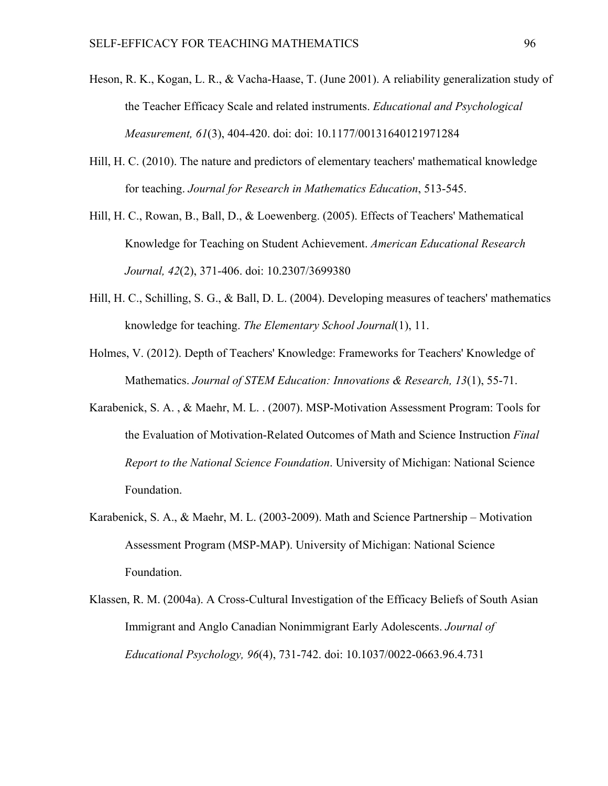- Heson, R. K., Kogan, L. R., & Vacha-Haase, T. (June 2001). A reliability generalization study of the Teacher Efficacy Scale and related instruments. *Educational and Psychological Measurement, 61*(3), 404-420. doi: doi: 10.1177/00131640121971284
- Hill, H. C. (2010). The nature and predictors of elementary teachers' mathematical knowledge for teaching. *Journal for Research in Mathematics Education*, 513-545.
- Hill, H. C., Rowan, B., Ball, D., & Loewenberg. (2005). Effects of Teachers' Mathematical Knowledge for Teaching on Student Achievement. *American Educational Research Journal, 42*(2), 371-406. doi: 10.2307/3699380
- Hill, H. C., Schilling, S. G., & Ball, D. L. (2004). Developing measures of teachers' mathematics knowledge for teaching. *The Elementary School Journal*(1), 11.
- Holmes, V. (2012). Depth of Teachers' Knowledge: Frameworks for Teachers' Knowledge of Mathematics. *Journal of STEM Education: Innovations & Research, 13*(1), 55-71.
- Karabenick, S. A. , & Maehr, M. L. . (2007). MSP-Motivation Assessment Program: Tools for the Evaluation of Motivation-Related Outcomes of Math and Science Instruction *Final Report to the National Science Foundation*. University of Michigan: National Science Foundation.
- Karabenick, S. A., & Maehr, M. L. (2003-2009). Math and Science Partnership Motivation Assessment Program (MSP-MAP). University of Michigan: National Science Foundation.
- Klassen, R. M. (2004a). A Cross-Cultural Investigation of the Efficacy Beliefs of South Asian Immigrant and Anglo Canadian Nonimmigrant Early Adolescents. *Journal of Educational Psychology, 96*(4), 731-742. doi: 10.1037/0022-0663.96.4.731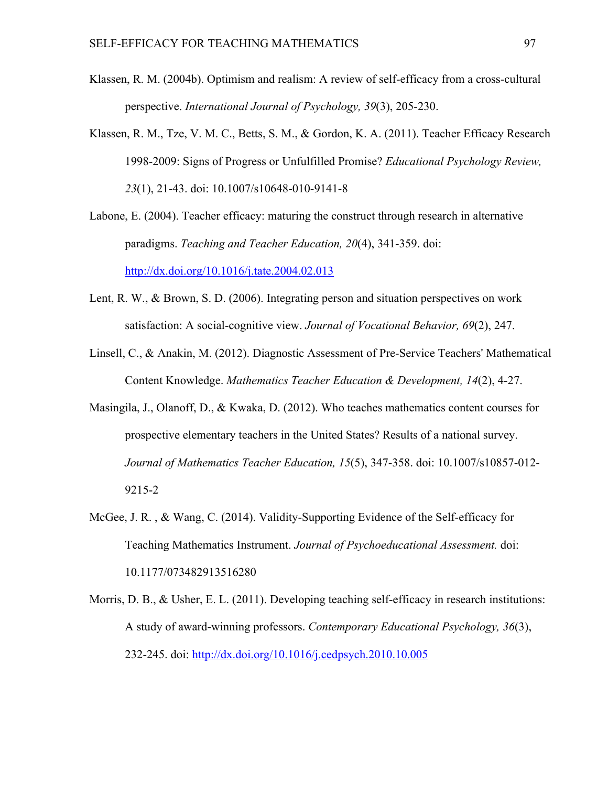- Klassen, R. M. (2004b). Optimism and realism: A review of self-efficacy from a cross-cultural perspective. *International Journal of Psychology, 39*(3), 205-230.
- Klassen, R. M., Tze, V. M. C., Betts, S. M., & Gordon, K. A. (2011). Teacher Efficacy Research 1998-2009: Signs of Progress or Unfulfilled Promise? *Educational Psychology Review, 23*(1), 21-43. doi: 10.1007/s10648-010-9141-8
- Labone, E. (2004). Teacher efficacy: maturing the construct through research in alternative paradigms. *Teaching and Teacher Education, 20*(4), 341-359. doi:

http://dx.doi.org/10.1016/j.tate.2004.02.013

- Lent, R. W., & Brown, S. D. (2006). Integrating person and situation perspectives on work satisfaction: A social-cognitive view. *Journal of Vocational Behavior, 69*(2), 247.
- Linsell, C., & Anakin, M. (2012). Diagnostic Assessment of Pre-Service Teachers' Mathematical Content Knowledge. *Mathematics Teacher Education & Development, 14*(2), 4-27.
- Masingila, J., Olanoff, D., & Kwaka, D. (2012). Who teaches mathematics content courses for prospective elementary teachers in the United States? Results of a national survey. *Journal of Mathematics Teacher Education, 15*(5), 347-358. doi: 10.1007/s10857-012- 9215-2
- McGee, J. R. , & Wang, C. (2014). Validity-Supporting Evidence of the Self-efficacy for Teaching Mathematics Instrument. *Journal of Psychoeducational Assessment.* doi: 10.1177/073482913516280
- Morris, D. B., & Usher, E. L. (2011). Developing teaching self-efficacy in research institutions: A study of award-winning professors. *Contemporary Educational Psychology, 36*(3), 232-245. doi: http://dx.doi.org/10.1016/j.cedpsych.2010.10.005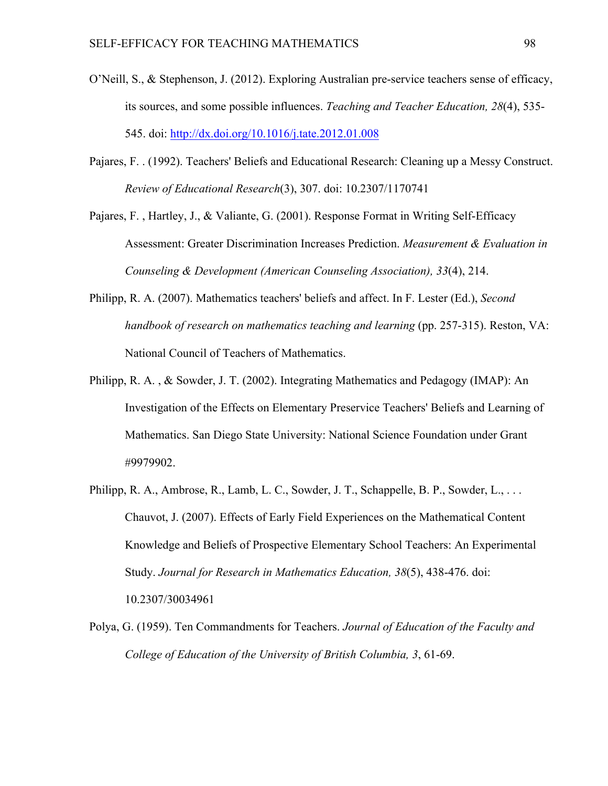- O'Neill, S., & Stephenson, J. (2012). Exploring Australian pre-service teachers sense of efficacy, its sources, and some possible influences. *Teaching and Teacher Education, 28*(4), 535- 545. doi: http://dx.doi.org/10.1016/j.tate.2012.01.008
- Pajares, F. . (1992). Teachers' Beliefs and Educational Research: Cleaning up a Messy Construct. *Review of Educational Research*(3), 307. doi: 10.2307/1170741
- Pajares, F. , Hartley, J., & Valiante, G. (2001). Response Format in Writing Self-Efficacy Assessment: Greater Discrimination Increases Prediction. *Measurement & Evaluation in Counseling & Development (American Counseling Association), 33*(4), 214.
- Philipp, R. A. (2007). Mathematics teachers' beliefs and affect. In F. Lester (Ed.), *Second handbook of research on mathematics teaching and learning* (pp. 257-315). Reston, VA: National Council of Teachers of Mathematics.
- Philipp, R. A. , & Sowder, J. T. (2002). Integrating Mathematics and Pedagogy (IMAP): An Investigation of the Effects on Elementary Preservice Teachers' Beliefs and Learning of Mathematics. San Diego State University: National Science Foundation under Grant #9979902.
- Philipp, R. A., Ambrose, R., Lamb, L. C., Sowder, J. T., Schappelle, B. P., Sowder, L., ... Chauvot, J. (2007). Effects of Early Field Experiences on the Mathematical Content Knowledge and Beliefs of Prospective Elementary School Teachers: An Experimental Study. *Journal for Research in Mathematics Education, 38*(5), 438-476. doi: 10.2307/30034961
- Polya, G. (1959). Ten Commandments for Teachers. *Journal of Education of the Faculty and College of Education of the University of British Columbia, 3*, 61-69.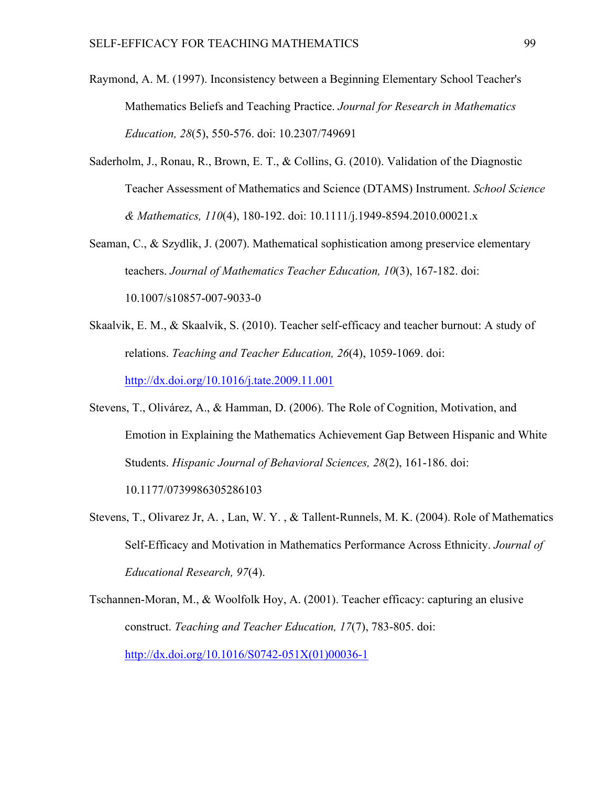- Raymond, A. M. (1997). Inconsistency between a Beginning Elementary School Teacher's Mathematics Beliefs and Teaching Practice. *Journal for Research in Mathematics Education, 28*(5), 550-576. doi: 10.2307/749691
- Saderholm, J., Ronau, R., Brown, E. T., & Collins, G. (2010). Validation of the Diagnostic Teacher Assessment of Mathematics and Science (DTAMS) Instrument. *School Science & Mathematics, 110*(4), 180-192. doi: 10.1111/j.1949-8594.2010.00021.x
- Seaman, C., & Szydlik, J. (2007). Mathematical sophistication among preservice elementary teachers. *Journal of Mathematics Teacher Education, 10*(3), 167-182. doi: 10.1007/s10857-007-9033-0
- Skaalvik, E. M., & Skaalvik, S. (2010). Teacher self-efficacy and teacher burnout: A study of relations. *Teaching and Teacher Education, 26*(4), 1059-1069. doi: http://dx.doi.org/10.1016/j.tate.2009.11.001
- Stevens, T., Olivárez, A., & Hamman, D. (2006). The Role of Cognition, Motivation, and Emotion in Explaining the Mathematics Achievement Gap Between Hispanic and White Students. *Hispanic Journal of Behavioral Sciences, 28*(2), 161-186. doi: 10.1177/0739986305286103
- Stevens, T., Olivarez Jr, A. , Lan, W. Y. , & Tallent-Runnels, M. K. (2004). Role of Mathematics Self-Efficacy and Motivation in Mathematics Performance Across Ethnicity. *Journal of Educational Research, 97*(4).
- Tschannen-Moran, M., & Woolfolk Hoy, A. (2001). Teacher efficacy: capturing an elusive construct. *Teaching and Teacher Education, 17*(7), 783-805. doi: http://dx.doi.org/10.1016/S0742-051X(01)00036-1